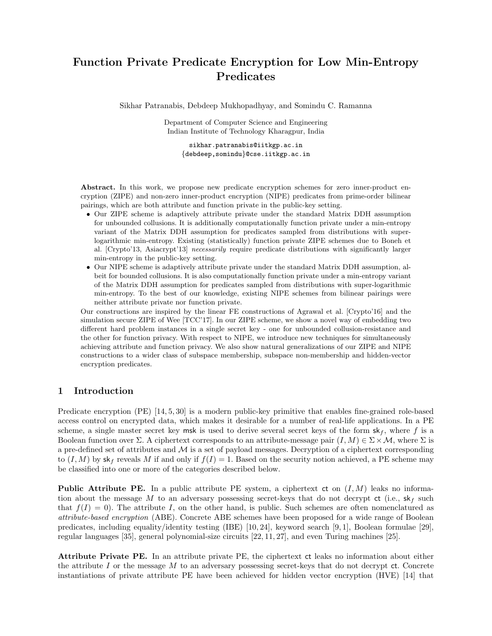# Function Private Predicate Encryption for Low Min-Entropy Predicates

Sikhar Patranabis, Debdeep Mukhopadhyay, and Somindu C. Ramanna

Department of Computer Science and Engineering Indian Institute of Technology Kharagpur, India

> sikhar.patranabis@iitkgp.ac.in {debdeep,somindu}@cse.iitkgp.ac.in

Abstract. In this work, we propose new predicate encryption schemes for zero inner-product encryption (ZIPE) and non-zero inner-product encryption (NIPE) predicates from prime-order bilinear pairings, which are both attribute and function private in the public-key setting.

- Our ZIPE scheme is adaptively attribute private under the standard Matrix DDH assumption for unbounded collusions. It is additionally computationally function private under a min-entropy variant of the Matrix DDH assumption for predicates sampled from distributions with superlogarithmic min-entropy. Existing (statistically) function private ZIPE schemes due to Boneh et al. [Crypto'13, Asiacrypt'13] necessarily require predicate distributions with significantly larger min-entropy in the public-key setting.
- Our NIPE scheme is adaptively attribute private under the standard Matrix DDH assumption, albeit for bounded collusions. It is also computationally function private under a min-entropy variant of the Matrix DDH assumption for predicates sampled from distributions with super-logarithmic min-entropy. To the best of our knowledge, existing NIPE schemes from bilinear pairings were neither attribute private nor function private.

Our constructions are inspired by the linear FE constructions of Agrawal et al. [Crypto'16] and the simulation secure ZIPE of Wee [TCC'17]. In our ZIPE scheme, we show a novel way of embedding two different hard problem instances in a single secret key - one for unbounded collusion-resistance and the other for function privacy. With respect to NIPE, we introduce new techniques for simultaneously achieving attribute and function privacy. We also show natural generalizations of our ZIPE and NIPE constructions to a wider class of subspace membership, subspace non-membership and hidden-vector encryption predicates.

# 1 Introduction

Predicate encryption (PE) [14, 5, 30] is a modern public-key primitive that enables fine-grained role-based access control on encrypted data, which makes it desirable for a number of real-life applications. In a PE scheme, a single master secret key msk is used to derive several secret keys of the form  $sk_f$ , where f is a Boolean function over  $\Sigma$ . A ciphertext corresponds to an attribute-message pair  $(I, M) \in \Sigma \times M$ , where  $\Sigma$  is a pre-defined set of attributes and  $M$  is a set of payload messages. Decryption of a ciphertext corresponding to  $(I, M)$  by  $sk_f$  reveals M if and only if  $f(I) = 1$ . Based on the security notion achieved, a PE scheme may be classified into one or more of the categories described below.

**Public Attribute PE.** In a public attribute PE system, a ciphertext ct on  $(I, M)$  leaks no information about the message M to an adversary possessing secret-keys that do not decrypt ct (i.e.,  $sk_f$  such that  $f(I) = 0$ . The attribute I, on the other hand, is public. Such schemes are often nomenclatured as attribute-based encryption (ABE). Concrete ABE schemes have been proposed for a wide range of Boolean predicates, including equality/identity testing (IBE) [10, 24], keyword search [9, 1], Boolean formulae [29], regular languages [35], general polynomial-size circuits [22, 11, 27], and even Turing machines [25].

Attribute Private PE. In an attribute private PE, the ciphertext ct leaks no information about either the attribute I or the message  $M$  to an adversary possessing secret-keys that do not decrypt  $ct$ . Concrete instantiations of private attribute PE have been achieved for hidden vector encryption (HVE) [14] that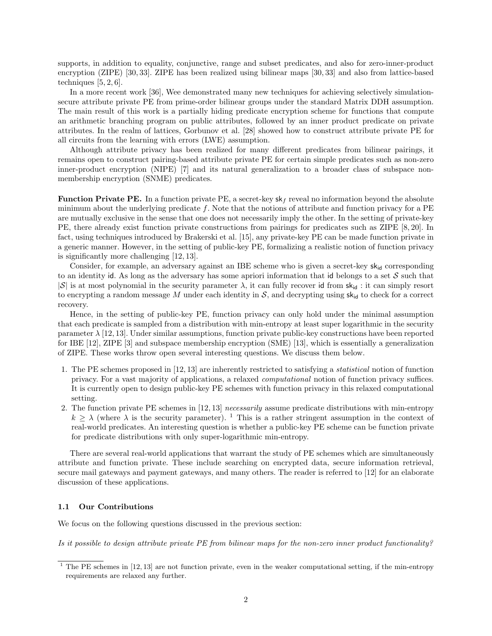supports, in addition to equality, conjunctive, range and subset predicates, and also for zero-inner-product encryption (ZIPE) [30, 33]. ZIPE has been realized using bilinear maps [30, 33] and also from lattice-based techniques  $[5, 2, 6]$ .

In a more recent work [36], Wee demonstrated many new techniques for achieving selectively simulationsecure attribute private PE from prime-order bilinear groups under the standard Matrix DDH assumption. The main result of this work is a partially hiding predicate encryption scheme for functions that compute an arithmetic branching program on public attributes, followed by an inner product predicate on private attributes. In the realm of lattices, Gorbunov et al. [28] showed how to construct attribute private PE for all circuits from the learning with errors (LWE) assumption.

Although attribute privacy has been realized for many different predicates from bilinear pairings, it remains open to construct pairing-based attribute private PE for certain simple predicates such as non-zero inner-product encryption (NIPE) [7] and its natural generalization to a broader class of subspace nonmembership encryption (SNME) predicates.

**Function Private PE.** In a function private PE, a secret-key  $s \nmid t$  reveal no information beyond the absolute minimum about the underlying predicate  $f$ . Note that the notions of attribute and function privacy for a PE are mutually exclusive in the sense that one does not necessarily imply the other. In the setting of private-key PE, there already exist function private constructions from pairings for predicates such as ZIPE [8, 20]. In fact, using techniques introduced by Brakerski et al. [15], any private-key PE can be made function private in a generic manner. However, in the setting of public-key PE, formalizing a realistic notion of function privacy is significantly more challenging [12, 13].

Consider, for example, an adversary against an IBE scheme who is given a secret-key  $s_{\text{ki}}$  corresponding to an identity id. As long as the adversary has some apriori information that id belongs to a set  $S$  such that |S| is at most polynomial in the security parameter  $\lambda$ , it can fully recover id from  $s_{\text{kd}}$  : it can simply resort to encrypting a random message M under each identity in  $S$ , and decrypting using  $sk_{id}$  to check for a correct recovery.

Hence, in the setting of public-key PE, function privacy can only hold under the minimal assumption that each predicate is sampled from a distribution with min-entropy at least super logarithmic in the security parameter  $\lambda$  [12, 13]. Under similar assumptions, function private public-key constructions have been reported for IBE [12], ZIPE [3] and subspace membership encryption (SME) [13], which is essentially a generalization of ZIPE. These works throw open several interesting questions. We discuss them below.

- 1. The PE schemes proposed in [12, 13] are inherently restricted to satisfying a statistical notion of function privacy. For a vast majority of applications, a relaxed computational notion of function privacy suffices. It is currently open to design public-key PE schemes with function privacy in this relaxed computational setting.
- 2. The function private PE schemes in [12, 13] necessarily assume predicate distributions with min-entropy  $k \geq \lambda$  (where  $\lambda$  is the security parameter). <sup>1</sup> This is a rather stringent assumption in the context of real-world predicates. An interesting question is whether a public-key PE scheme can be function private for predicate distributions with only super-logarithmic min-entropy.

There are several real-world applications that warrant the study of PE schemes which are simultaneously attribute and function private. These include searching on encrypted data, secure information retrieval, secure mail gateways and payment gateways, and many others. The reader is referred to [12] for an elaborate discussion of these applications.

## 1.1 Our Contributions

We focus on the following questions discussed in the previous section:

Is it possible to design attribute private PE from bilinear maps for the non-zero inner product functionality?

 $1$  The PE schemes in [12, 13] are not function private, even in the weaker computational setting, if the min-entropy requirements are relaxed any further.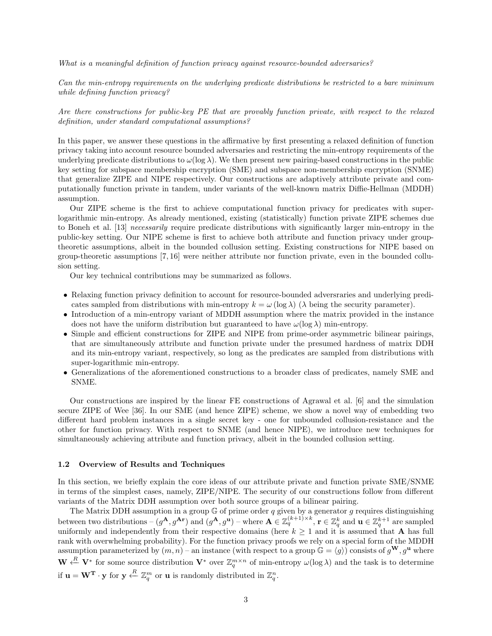What is a meaningful definition of function privacy against resource-bounded adversaries?

Can the min-entropy requirements on the underlying predicate distributions be restricted to a bare minimum while defining function privacy?

Are there constructions for public-key PE that are provably function private, with respect to the relaxed definition, under standard computational assumptions?

In this paper, we answer these questions in the affirmative by first presenting a relaxed definition of function privacy taking into account resource bounded adversaries and restricting the min-entropy requirements of the underlying predicate distributions to  $\omega(\log \lambda)$ . We then present new pairing-based constructions in the public key setting for subspace membership encryption (SME) and subspace non-membership encryption (SNME) that generalize ZIPE and NIPE respectively. Our constructions are adaptively attribute private and computationally function private in tandem, under variants of the well-known matrix Diffie-Hellman (MDDH) assumption.

Our ZIPE scheme is the first to achieve computational function privacy for predicates with superlogarithmic min-entropy. As already mentioned, existing (statistically) function private ZIPE schemes due to Boneh et al. [13] necessarily require predicate distributions with significantly larger min-entropy in the public-key setting. Our NIPE scheme is first to achieve both attribute and function privacy under grouptheoretic assumptions, albeit in the bounded collusion setting. Existing constructions for NIPE based on group-theoretic assumptions [7, 16] were neither attribute nor function private, even in the bounded collusion setting.

Our key technical contributions may be summarized as follows.

- Relaxing function privacy definition to account for resource-bounded adversraries and underlying predicates sampled from distributions with min-entropy  $k = \omega \left(\log \lambda\right)$  ( $\lambda$  being the security parameter).
- Introduction of a min-entropy variant of MDDH assumption where the matrix provided in the instance does not have the uniform distribution but guaranteed to have  $\omega(\log \lambda)$  min-entropy.
- Simple and efficient constructions for ZIPE and NIPE from prime-order asymmetric bilinear pairings, that are simultaneously attribute and function private under the presumed hardness of matrix DDH and its min-entropy variant, respectively, so long as the predicates are sampled from distributions with super-logarithmic min-entropy.
- Generalizations of the aforementioned constructions to a broader class of predicates, namely SME and SNME.

Our constructions are inspired by the linear FE constructions of Agrawal et al. [6] and the simulation secure ZIPE of Wee [36]. In our SME (and hence ZIPE) scheme, we show a novel way of embedding two different hard problem instances in a single secret key - one for unbounded collusion-resistance and the other for function privacy. With respect to SNME (and hence NIPE), we introduce new techniques for simultaneously achieving attribute and function privacy, albeit in the bounded collusion setting.

## 1.2 Overview of Results and Techniques

In this section, we briefly explain the core ideas of our attribute private and function private SME/SNME in terms of the simplest cases, namely, ZIPE/NIPE. The security of our constructions follow from different variants of the Matrix DDH assumption over both source groups of a bilinear pairing.

The Matrix DDH assumption in a group  $\mathbb G$  of prime order q given by a generator g requires distinguishing between two distributions  $-(g^{\mathbf{A}}, g^{\mathbf{A}\mathbf{r}})$  and  $(g^{\mathbf{A}}, g^{\mathbf{u}})$  – where  $\mathbf{A} \in \mathbb{Z}_q^{(k+1) \times k}$ ,  $\mathbf{r} \in \mathbb{Z}_q^k$  and  $\mathbf{u} \in \mathbb{Z}_q^{k+1}$  are sampled uniformly and independently from their respective domains (here  $k \geq 1$  and it is assumed that **A** has full rank with overwhelming probability). For the function privacy proofs we rely on a special form of the MDDH assumption parameterized by  $(m, n)$  – an instance (with respect to a group  $\mathbb{G} = \langle g \rangle$ ) consists of  $g^{\mathbf{W}}, g^{\mathbf{u}}$  where  $\mathbf{W} \leftarrow R \mathbf{V}^*$  for some source distribution  $\mathbf{V}^*$  over  $\mathbb{Z}_q^{m \times n}$  of min-entropy  $\omega(\log \lambda)$  and the task is to determine if  $\mathbf{u} = \mathbf{W}^{\mathbf{T}} \cdot \mathbf{y}$  for  $\mathbf{y} \stackrel{R}{\leftarrow} \mathbb{Z}_q^m$  or  $\mathbf{u}$  is randomly distributed in  $\mathbb{Z}_q^n$ .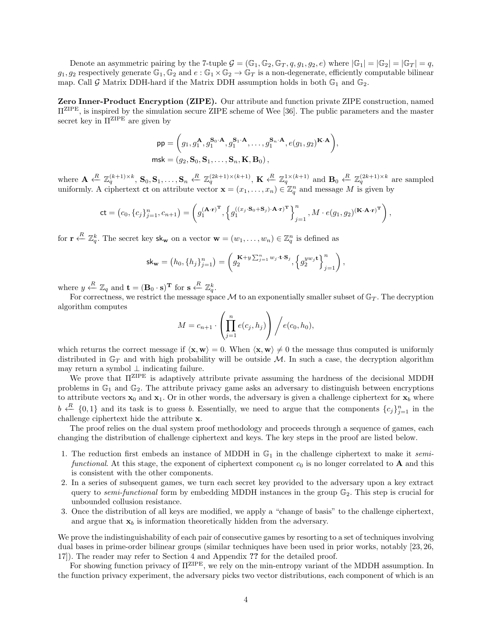Denote an asymmetric pairing by the 7-tuple  $\mathcal{G} = (\mathbb{G}_1, \mathbb{G}_2, \mathbb{G}_T, q, g_1, g_2, e)$  where  $|\mathbb{G}_1| = |\mathbb{G}_2| = |\mathbb{G}_T| = q$ ,  $g_1, g_2$  respectively generate  $\mathbb{G}_1, \mathbb{G}_2$  and  $e : \mathbb{G}_1 \times \mathbb{G}_2 \to \mathbb{G}_T$  is a non-degenerate, efficiently computable bilinear map. Call G Matrix DDH-hard if the Matrix DDH assumption holds in both  $\mathbb{G}_1$  and  $\mathbb{G}_2$ .

Zero Inner-Product Encryption (ZIPE). Our attribute and function private ZIPE construction, named ΠZIPE, is inspired by the simulation secure ZIPE scheme of Wee [36]. The public parameters and the master secret key in  $\Pi^{\text{ZIPE}}$  are given by

$$
\mathsf{pp} = \left(g_1, g_1^{\mathbf{A}}, g_1^{\mathbf{S}_0 \cdot \mathbf{A}}, g_1^{\mathbf{S}_1 \cdot \mathbf{A}}, \dots, g_1^{\mathbf{S}_n \cdot \mathbf{A}}, e(g_1, g_2)^{\mathbf{K} \cdot \mathbf{A}}\right),
$$
  

$$
\mathsf{msk} = (g_2, \mathbf{S}_0, \mathbf{S}_1, \dots, \mathbf{S}_n, \mathbf{K}, \mathbf{B}_0),
$$

where  $\mathbf{A} \leftarrow \mathbb{Z}_q^{(k+1)\times k}$ ,  $\mathbf{S}_0, \mathbf{S}_1, \ldots, \mathbf{S}_n \leftarrow \mathbb{Z}_q^{(2k+1)\times (k+1)}$ ,  $\mathbf{K} \leftarrow \mathbb{Z}_q^{1\times (k+1)}$  and  $\mathbf{B}_0 \leftarrow \mathbb{Z}_q^{(2k+1)\times k}$  are sampled uniformly. A ciphertext ct on attribute vector  $\mathbf{x} = (x_1, \ldots, x_n) \in \mathbb{Z}_q^n$  and message M is given by

$$
\mathbf{ct} = \left(c_0, \{c_j\}_{j=1}^n, c_{n+1}\right) = \left(g_1^{\left(\mathbf{A}\cdot\mathbf{r}\right)^{\mathbf{T}}}, \left\{g_1^{\left((x_j \cdot \mathbf{S}_0 + \mathbf{S}_j) \cdot \mathbf{A}\cdot\mathbf{r}\right)^{\mathbf{T}}}\right\}_{j=1}^n, M \cdot e(g_1, g_2)^{\left(\mathbf{K}\cdot\mathbf{A}\cdot\mathbf{r}\right)^{\mathbf{T}}}\right),
$$

for  $\mathbf{r} \leftarrow R \mathbb{Z}_q^k$ . The secret key sk<sub>w</sub> on a vector  $\mathbf{w} = (w_1, \ldots, w_n) \in \mathbb{Z}_q^n$  is defined as

$$
\mathsf{sk}_{\mathbf{w}} = \left(h_0, \{h_j\}_{j=1}^n\right) = \left(g_2^{\mathbf{K} + y \sum_{j=1}^n w_j \cdot \mathbf{t} \cdot \mathbf{S}_j}, \left\{g_2^{yw_j\mathbf{t}}\right\}_{j=1}^n\right),
$$

where  $y \stackrel{R}{\leftarrow} \mathbb{Z}_q$  and  $\mathbf{t} = (\mathbf{B}_0 \cdot \mathbf{s})^{\mathbf{T}}$  for  $\mathbf{s} \stackrel{R}{\leftarrow} \mathbb{Z}_q^k$ .

For correctness, we restrict the message space  $\mathcal M$  to an exponentially smaller subset of  $\mathbb G_T$ . The decryption algorithm computes

$$
M = c_{n+1} \cdot \left( \prod_{j=1}^{n} e(c_j, h_j) \right) / e(c_0, h_0),
$$

which returns the correct message if  $\langle \mathbf{x}, \mathbf{w} \rangle = 0$ . When  $\langle \mathbf{x}, \mathbf{w} \rangle \neq 0$  the message thus computed is uniformly distributed in  $\mathbb{G}_T$  and with high probability will be outside M. In such a case, the decryption algorithm may return a symbol ⊥ indicating failure.

We prove that ΠZIPE is adaptively attribute private assuming the hardness of the decisional MDDH problems in  $\mathbb{G}_1$  and  $\mathbb{G}_2$ . The attribute privacy game asks an adversary to distinguish between encryptions to attribute vectors  $x_0$  and  $x_1$ . Or in other words, the adversary is given a challenge ciphertext for  $x_b$  where  $b \leftarrow R$  {0, 1} and its task is to guess b. Essentially, we need to argue that the components  ${c_j}_{j=1}^n$  in the challenge ciphertext hide the attribute x.

The proof relies on the dual system proof methodology and proceeds through a sequence of games, each changing the distribution of challenge ciphertext and keys. The key steps in the proof are listed below.

- 1. The reduction first embeds an instance of MDDH in  $\mathbb{G}_1$  in the challenge ciphertext to make it semifunctional. At this stage, the exponent of ciphertext component  $c_0$  is no longer correlated to **A** and this is consistent with the other components.
- 2. In a series of subsequent games, we turn each secret key provided to the adversary upon a key extract query to semi-functional form by embedding MDDH instances in the group  $\mathbb{G}_2$ . This step is crucial for unbounded collusion resistance.
- 3. Once the distribution of all keys are modified, we apply a "change of basis" to the challenge ciphertext, and argue that  $x_b$  is information theoretically hidden from the adversary.

We prove the indistinguishability of each pair of consecutive games by resorting to a set of techniques involving dual bases in prime-order bilinear groups (similar techniques have been used in prior works, notably [23, 26, 17]). The reader may refer to Section 4 and Appendix ?? for the detailed proof.

For showing function privacy of ΠZIPE, we rely on the min-entropy variant of the MDDH assumption. In the function privacy experiment, the adversary picks two vector distributions, each component of which is an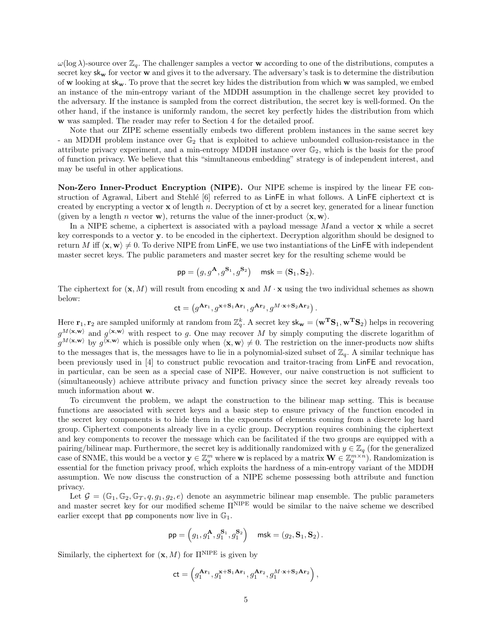$\omega(\log \lambda)$ -source over  $\mathbb{Z}_q$ . The challenger samples a vector **w** according to one of the distributions, computes a secret key  $sk_w$  for vector  $w$  and gives it to the adversary. The adversary's task is to determine the distribution of w looking at  $sk_w$ . To prove that the secret key hides the distribution from which w was sampled, we embed an instance of the min-entropy variant of the MDDH assumption in the challenge secret key provided to the adversary. If the instance is sampled from the correct distribution, the secret key is well-formed. On the other hand, if the instance is uniformly random, the secret key perfectly hides the distribution from which w was sampled. The reader may refer to Section 4 for the detailed proof.

Note that our ZIPE scheme essentially embeds two different problem instances in the same secret key - an MDDH problem instance over  $\mathbb{G}_2$  that is exploited to achieve unbounded collusion-resistance in the attribute privacy experiment, and a min-entropy MDDH instance over  $\mathbb{G}_2$ , which is the basis for the proof of function privacy. We believe that this "simultaneous embedding" strategy is of independent interest, and may be useful in other applications.

Non-Zero Inner-Product Encryption (NIPE). Our NIPE scheme is inspired by the linear FE construction of Agrawal, Libert and Stehlé [6] referred to as LinFE in what follows. A LinFE ciphertext ct is created by encrypting a vector  $x$  of length n. Decryption of  $ct$  by a secret key, generated for a linear function (given by a length *n* vector **w**), returns the value of the inner-product  $\langle \mathbf{x}, \mathbf{w} \rangle$ .

In a NIPE scheme, a ciphertext is associated with a payload message Mand a vector **x** while a secret key corresponds to a vector y. to be encoded in the ciphertext. Decryption algorithm should be designed to return M iff  $\langle x, w \rangle \neq 0$ . To derive NIPE from LinFE, we use two instantiations of the LinFE with independent master secret keys. The public parameters and master secret key for the resulting scheme would be

$$
\mathsf{pp} = \big(g, g^\mathbf{A}, g^{\mathbf{S}_1}, g^{\mathbf{S}_2}\big) \quad \text{ msk} = (\mathbf{S}_1, \mathbf{S}_2).
$$

The ciphertext for  $(x, M)$  will result from encoding x and  $M \cdot x$  using the two individual schemes as shown below:

$$
\mathsf{ct} = (g^{\mathbf{Ar}_1}, g^{\mathbf{x} + \mathbf{S}_1 \mathbf{Ar}_1}, g^{\mathbf{Ar}_2}, g^{M \cdot \mathbf{x} + \mathbf{S}_2 \mathbf{Ar}_2}).
$$

Here  $\mathbf{r}_1, \mathbf{r}_2$  are sampled uniformly at random from  $\mathbb{Z}_q^k$ . A secret key  $\mathbf{sk_w} = (\mathbf{w}^T \mathbf{S}_1, \mathbf{w}^T \mathbf{S}_2)$  helps in recovering  $g^{M\langle\mathbf{x},\mathbf{w}\rangle}$  and  $g^{\langle\mathbf{x},\mathbf{w}\rangle}$  with respect to g. One may recover M by simply computing the discrete logarithm of  $g^{M\langle \mathbf{x},\mathbf{w}\rangle}$  by  $g^{\langle \mathbf{x},\mathbf{w}\rangle}$  which is possible only when  $\langle \mathbf{x},\mathbf{w}\rangle\neq 0$ . The restriction on the inner-products now shifts to the messages that is, the messages have to lie in a polynomial-sized subset of  $\mathbb{Z}_q$ . A similar technique has been previously used in [4] to construct public revocation and traitor-tracing from LinFE and revocation, in particular, can be seen as a special case of NIPE. However, our naive construction is not sufficient to (simultaneously) achieve attribute privacy and function privacy since the secret key already reveals too much information about w.

To circumvent the problem, we adapt the construction to the bilinear map setting. This is because functions are associated with secret keys and a basic step to ensure privacy of the function encoded in the secret key components is to hide them in the exponents of elements coming from a discrete log hard group. Ciphertext components already live in a cyclic group. Decryption requires combining the ciphertext and key components to recover the message which can be facilitated if the two groups are equipped with a pairing/bilinear map. Furthermore, the secret key is additionally randomized with  $y \in \mathbb{Z}_q$  (for the generalized case of SNME, this would be a vector  $y \in \mathbb{Z}_q^m$  where w is replaced by a matrix  $\mathbf{W} \in \mathbb{Z}_q^{m \times n}$ ). Randomization is essential for the function privacy proof, which exploits the hardness of a min-entropy variant of the MDDH assumption. We now discuss the construction of a NIPE scheme possessing both attribute and function privacy.

Let  $\mathcal{G} = (\mathbb{G}_1, \mathbb{G}_2, \mathbb{G}_T, q, g_1, g_2, e)$  denote an asymmetric bilinear map ensemble. The public parameters and master secret key for our modified scheme ΠNIPE would be similar to the naive scheme we described earlier except that **pp** components now live in  $\mathbb{G}_1$ .

$$
\mathsf{pp} = \left(g_1, g_1^\mathbf{A}, g_1^{\mathbf{S}_1}, g_1^{\mathbf{S}_2}\right) \quad \text{msk} = \left(g_2, \mathbf{S}_1, \mathbf{S}_2\right).
$$

Similarly, the ciphertext for  $({\bf x}, M)$  for  $\Pi^{\text{NIPE}}$  is given by

$$
\mathsf{ct} = \left(g_1^{\mathbf{Ar}_1}, g_1^{\mathbf{x} + \mathbf{S}_1 \mathbf{Ar}_1}, g_1^{\mathbf{Ar}_2}, g_1^{M \cdot \mathbf{x} + \mathbf{S}_2 \mathbf{Ar}_2}\right),
$$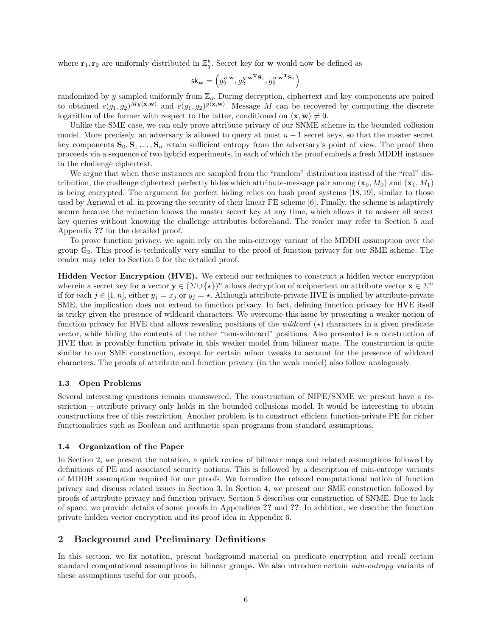where  $\mathbf{r}_1, \mathbf{r}_2$  are uniformly distributed in  $\mathbb{Z}_q^k$ . Secret key for **w** would now be defined as

$$
\mathsf{sk}_{\mathbf{w}}=\left(g^{y\cdot\mathbf{w}}_2,g^{y\cdot\mathbf{w^T}}_2\mathbf{S}_1,g^{y\cdot\mathbf{w^T}}_2\mathbf{S}_2\right)
$$

randomized by y sampled uniformly from  $\mathbb{Z}_q$ . During decryption, ciphertext and key components are paired to obtained  $e(g_1, g_2)^{My(\mathbf{x}, \mathbf{w})}$  and  $e(g_1, g_2)^{y(\mathbf{x}, \mathbf{w})}$ . Message M can be recovered by computing the discrete logarithm of the former with respect to the latter, conditioned on  $\langle \mathbf{x}, \mathbf{w} \rangle \neq 0$ .

Unlike the SME case, we can only prove attribute privacy of our SNME scheme in the bounded collusion model. More precisely, an adversary is allowed to query at most  $n - 1$  secret keys, so that the master secret key components  $S_0, S_1, \ldots, S_n$  retain sufficient entropy from the adversary's point of view. The proof then proceeds via a sequence of two hybrid experiments, in each of which the proof embeds a fresh MDDH instance in the challenge ciphertext.

We argue that when these instances are sampled from the "random" distribution instead of the "real" distribution, the challenge ciphertext perfectly hides which attribute-message pair among  $(\mathbf{x}_0, M_0)$  and  $(\mathbf{x}_1, M_1)$ is being encrypted. The argument for perfect hiding relies on hash proof systems [18, 19], similar to those used by Agrawal et al. in proving the security of their linear FE scheme [6]. Finally, the scheme is adaptively secure because the reduction knows the master secret key at any time, which allows it to answer all secret key queries without knowing the challenge attributes beforehand. The reader may refer to Section 5 and Appendix ?? for the detailed proof.

To prove function privacy, we again rely on the min-entropy variant of the MDDH assumption over the group  $\mathbb{G}_2$ . This proof is technically very similar to the proof of function privacy for our SME scheme. The reader may refer to Section 5 for the detailed proof.

Hidden Vector Encryption (HVE). We extend our techniques to construct a hidden vector encryption wherein a secret key for a vector  $y \in (\Sigma \cup \{\star\})^n$  allows decryption of a ciphertext on attribute vector  $\mathbf{x} \in \Sigma^n$ if for each  $j \in [1, n]$ , either  $y_j = x_j$  or  $y_j = \star$ . Although attribute-private HVE is implied by attribute-private SME, the implication does not extend to function privacy. In fact, defining function privacy for HVE itself is tricky given the presence of wildcard characters. We overcome this issue by presenting a weaker notion of function privacy for HVE that allows revealing positions of the *wildcard*  $(\star)$  characters in a given predicate vector, while hiding the contents of the other "non-wildcard" positions. Also presented is a construction of HVE that is provably function private in this weaker model from bilinear maps. The construction is quite similar to our SME construction, except for certain minor tweaks to account for the presence of wildcard characters. The proofs of attribute and function privacy (in the weak model) also follow analogously.

## 1.3 Open Problems

Several interesting questions remain unanswered. The construction of NIPE/SNME we present have a restriction – attribute privacy only holds in the bounded collusions model. It would be interesting to obtain constructions free of this restriction. Another problem is to construct efficient function-private PE for richer functionalities such as Boolean and arithmetic span programs from standard assumptions.

#### 1.4 Organization of the Paper

In Section 2, we present the notation, a quick review of bilinear maps and related assumptions followed by definitions of PE and associated security notions. This is followed by a description of min-entropy variants of MDDH assumption required for our proofs. We formalize the relaxed computational notion of function privacy and discuss related issues in Section 3. In Section 4, we present our SME construction followed by proofs of attribute privacy and function privacy. Section 5 describes our construction of SNME. Due to lack of space, we provide details of some proofs in Appendices ?? and ??. In addition, we describe the function private hidden vector encryption and its proof idea in Appendix 6.

# 2 Background and Preliminary Definitions

In this section, we fix notation, present background material on predicate encryption and recall certain standard computational assumptions in bilinear groups. We also introduce certain min-entropy variants of these assumptions useful for our proofs.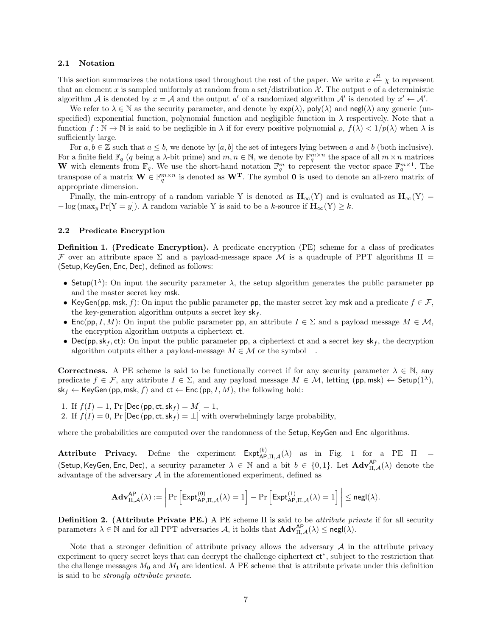#### 2.1 Notation

This section summarizes the notations used throughout the rest of the paper. We write  $x \stackrel{R}{\leftarrow} \chi$  to represent that an element x is sampled uniformly at random from a set/distribution  $\mathcal X$ . The output a of a deterministic algorithm A is denoted by  $x = A$  and the output a' of a randomized algorithm A' is denoted by  $x' \leftarrow A'$ .

We refer to  $\lambda \in \mathbb{N}$  as the security parameter, and denote by  $exp(\lambda)$ ,  $poly(\lambda)$  and  $neg(\lambda)$  any generic (unspecified) exponential function, polynomial function and negligible function in  $\lambda$  respectively. Note that a function  $f : \mathbb{N} \to \mathbb{N}$  is said to be negligible in  $\lambda$  if for every positive polynomial p,  $f(\lambda) < 1/p(\lambda)$  when  $\lambda$  is sufficiently large.

For  $a, b \in \mathbb{Z}$  such that  $a \leq b$ , we denote by [a, b] the set of integers lying between a and b (both inclusive). For a finite field  $\mathbb{F}_q$  (q being a  $\lambda$ -bit prime) and  $m, n \in \mathbb{N}$ , we denote by  $\mathbb{F}_q^{m \times n}$  the space of all  $m \times n$  matrices W with elements from  $\mathbb{F}_q$ . We use the short-hand notation  $\mathbb{F}_q^m$  to represent the vector space  $\mathbb{F}_q^{m \times 1}$ . The transpose of a matrix  $\mathbf{W} \in \mathbb{F}_q^{m \times n}$  is denoted as  $\mathbf{W}^T$ . The symbol 0 is used to denote an all-zero matrix of appropriate dimension.

Finally, the min-entropy of a random variable Y is denoted as  $H_{\infty}(Y)$  and is evaluated as  $H_{\infty}(Y)$  =  $-\log(\max_y \Pr[Y = y])$ . A random variable Y is said to be a k-source if  $\mathbf{H}_{\infty}(Y) \geq k$ .

#### 2.2 Predicate Encryption

Definition 1. (Predicate Encryption). A predicate encryption (PE) scheme for a class of predicates F over an attribute space  $\Sigma$  and a payload-message space M is a quadruple of PPT algorithms  $\Pi =$  $(Setup,KeyGen, Enc, Dec), defined as follows:$ 

- Setup( $1^{\lambda}$ ): On input the security parameter  $\lambda$ , the setup algorithm generates the public parameter pp and the master secret key msk.
- KeyGen(pp, msk, f): On input the public parameter pp, the master secret key msk and a predicate  $f \in \mathcal{F}$ , the key-generation algorithm outputs a secret key  $sk_f$ .
- Enc(pp, I, M): On input the public parameter pp, an attribute  $I \in \Sigma$  and a payload message  $M \in \mathcal{M}$ , the encryption algorithm outputs a ciphertext ct.
- Dec(pp,  $sk_f$ , ct): On input the public parameter pp, a ciphertext ct and a secret key  $sk_f$ , the decryption algorithm outputs either a payload-message  $M \in \mathcal{M}$  or the symbol  $\bot$ .

**Correctness.** A PE scheme is said to be functionally correct if for any security parameter  $\lambda \in \mathbb{N}$ , any predicate  $f \in \mathcal{F}$ , any attribute  $I \in \Sigma$ , and any payload message  $M \in \mathcal{M}$ , letting  $(pp, msk) \leftarrow$  Setup $(1^{\lambda})$ ,  $\mathsf{sk}_f \leftarrow \mathsf{KeyGen}\left(\mathsf{pp}, \mathsf{msk}, f\right)$  and  $\mathsf{ct} \leftarrow \mathsf{Enc}\left(\mathsf{pp}, I, M\right)$ , the following hold:

- 1. If  $f(I) = 1$ , Pr [Dec (pp, ct, sk  $_f$ ) = M] = 1,
- 2. If  $f(I) = 0$ , Pr [Dec (pp, ct, sk<sub>f</sub>) =  $\perp$ ] with overwhelmingly large probability,

where the probabilities are computed over the randomness of the Setup, KeyGen and Enc algorithms.

**Attribute Privacy.** Define the experiment  $\text{Expt}_{AP,\Pi,\mathcal{A}}^{(b)}(\lambda)$  as in Fig. 1 for a PE  $\Pi$  = (Setup, KeyGen, Enc, Dec), a security parameter  $\lambda \in \mathbb{N}$  and a bit  $b \in \{0,1\}$ . Let  $\text{Adv}_{\Pi,\mathcal{A}}^{\text{AP}}(\lambda)$  denote the advantage of the adversary  $A$  in the aforementioned experiment, defined as

$$
\mathbf{Adv}_{\Pi,\mathcal{A}}^{\mathsf{AP}}(\lambda) := \bigg|\Pr\Big[\mathsf{Expt}_{\mathsf{AP},\Pi,\mathcal{A}}^{(0)}(\lambda) = 1\Big] - \Pr\Big[\mathsf{Expt}_{\mathsf{AP},\Pi,\mathcal{A}}^{(1)}(\lambda) = 1\Big]\bigg| \leq \mathsf{negl}(\lambda).
$$

Definition 2. (Attribute Private PE.) A PE scheme Π is said to be attribute private if for all security parameters  $\lambda \in \mathbb{N}$  and for all PPT adversaries A, it holds that  $\mathbf{Adv}_{\Pi,\mathcal{A}}^{\mathsf{AP}}(\lambda) \leq \mathsf{negl}(\lambda)$ .

Note that a stronger definition of attribute privacy allows the adversary  $A$  in the attribute privacy experiment to query secret keys that can decrypt the challenge ciphertext  $ct^*$ , subject to the restriction that the challenge messages  $M_0$  and  $M_1$  are identical. A PE scheme that is attribute private under this definition is said to be strongly attribute private.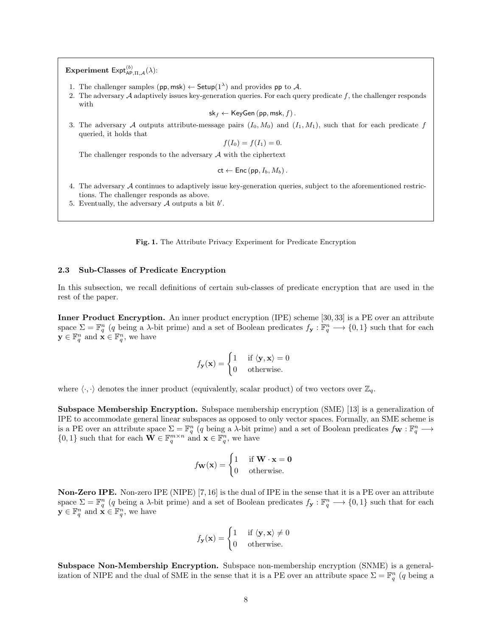**Experiment**  $\mathsf{Expt}_{\mathsf{AP},\Pi,\mathcal{A}}^{(b)}(\lambda)$ :

- 1. The challenger samples  $(pp, msk) \leftarrow$  Setup $(1^{\lambda})$  and provides pp to A.
- 2. The adversary  $A$  adaptively issues key-generation queries. For each query predicate  $f$ , the challenger responds with

 $\mathsf{sk}_f \leftarrow \mathsf{KeyGen}\left(\mathsf{pp},\mathsf{msk},f\right).$ 

3. The adversary A outputs attribute-message pairs  $(I_0, M_0)$  and  $(I_1, M_1)$ , such that for each predicate f queried, it holds that

 $f(I_0) = f(I_1) = 0.$ 

The challenger responds to the adversary  $A$  with the ciphertext

$$
\mathsf{ct} \leftarrow \mathsf{Enc}\left(\mathsf{pp}, I_b, M_b\right).
$$

- 4. The adversary A continues to adaptively issue key-generation queries, subject to the aforementioned restrictions. The challenger responds as above.
- 5. Eventually, the adversary  $A$  outputs a bit  $b'$ .

Fig. 1. The Attribute Privacy Experiment for Predicate Encryption

## 2.3 Sub-Classes of Predicate Encryption

In this subsection, we recall definitions of certain sub-classes of predicate encryption that are used in the rest of the paper.

Inner Product Encryption. An inner product encryption (IPE) scheme [30, 33] is a PE over an attribute space  $\Sigma = \mathbb{F}_q^n$  (q being a  $\lambda$ -bit prime) and a set of Boolean predicates  $f_{\mathbf{y}} : \mathbb{F}_q^n \longrightarrow \{0,1\}$  such that for each  $\mathbf{y} \in \mathbb{F}_q^n$  and  $\mathbf{x} \in \mathbb{F}_q^n$ , we have

$$
f_{\mathbf{y}}(\mathbf{x}) = \begin{cases} 1 & \text{if } \langle \mathbf{y}, \mathbf{x} \rangle = 0 \\ 0 & \text{otherwise.} \end{cases}
$$

where  $\langle \cdot, \cdot \rangle$  denotes the inner product (equivalently, scalar product) of two vectors over  $\mathbb{Z}_q$ .

Subspace Membership Encryption. Subspace membership encryption (SME) [13] is a generalization of IPE to accommodate general linear subspaces as opposed to only vector spaces. Formally, an SME scheme is is a PE over an attribute space  $\Sigma = \mathbb{F}_q^n$  (q being a  $\lambda$ -bit prime) and a set of Boolean predicates  $f_{\mathbf{W}} : \mathbb{F}_q^n \longrightarrow$  $\{0,1\}$  such that for each  $\mathbf{W} \in \mathbb{F}_q^{m \times n}$  and  $\mathbf{x} \in \mathbb{F}_q^n$ , we have

$$
f_{\mathbf{W}}(\mathbf{x}) = \begin{cases} 1 & \text{if } \mathbf{W} \cdot \mathbf{x} = \mathbf{0} \\ 0 & \text{otherwise.} \end{cases}
$$

Non-Zero IPE. Non-zero IPE (NIPE) [7, 16] is the dual of IPE in the sense that it is a PE over an attribute space  $\Sigma = \mathbb{F}_q^n$  (q being a  $\lambda$ -bit prime) and a set of Boolean predicates  $f_{\mathbf{y}} : \mathbb{F}_q^n \longrightarrow \{0,1\}$  such that for each  $\mathbf{y} \in \mathbb{F}_q^n$  and  $\mathbf{x} \in \mathbb{F}_q^n$ , we have

$$
f_{\mathbf{y}}(\mathbf{x}) = \begin{cases} 1 & \text{if } \langle \mathbf{y}, \mathbf{x} \rangle \neq 0 \\ 0 & \text{otherwise.} \end{cases}
$$

Subspace Non-Membership Encryption. Subspace non-membership encryption (SNME) is a generalization of NIPE and the dual of SME in the sense that it is a PE over an attribute space  $\Sigma = \mathbb{F}_q^n$  (q being a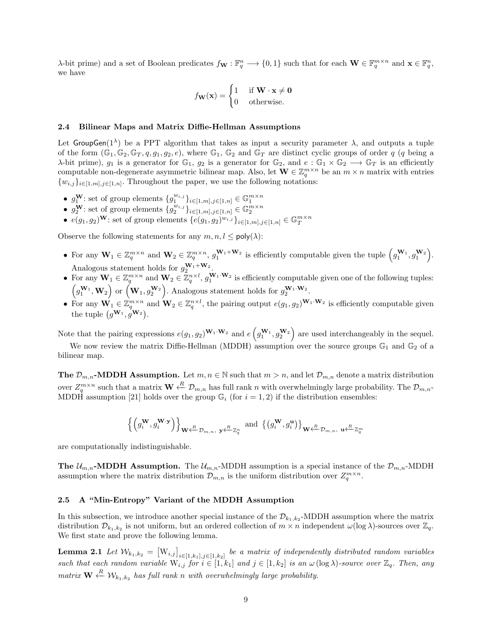$\lambda$ -bit prime) and a set of Boolean predicates  $f_{\mathbf{W}} : \mathbb{F}_q^n \longrightarrow \{0,1\}$  such that for each  $\mathbf{W} \in \mathbb{F}_q^{m \times n}$  and  $\mathbf{x} \in \mathbb{F}_q^n$ , we have

$$
f_{\mathbf{W}}(\mathbf{x}) = \begin{cases} 1 & \text{if } \mathbf{W} \cdot \mathbf{x} \neq \mathbf{0} \\ 0 & \text{otherwise.} \end{cases}
$$

#### 2.4 Bilinear Maps and Matrix Diffie-Hellman Assumptions

Let GroupGen( $1^{\lambda}$ ) be a PPT algorithm that takes as input a security parameter  $\lambda$ , and outputs a tuple of the form  $(\mathbb{G}_1, \mathbb{G}_2, \mathbb{G}_T, q, g_1, g_2, e)$ , where  $\mathbb{G}_1$ ,  $\mathbb{G}_2$  and  $\mathbb{G}_T$  are distinct cyclic groups of order q (q being a  $\lambda$ -bit prime),  $g_1$  is a generator for  $\mathbb{G}_1$ ,  $g_2$  is a generator for  $\mathbb{G}_2$ , and  $e : \mathbb{G}_1 \times \mathbb{G}_2 \longrightarrow \mathbb{G}_T$  is an efficiently computable non-degenerate asymmetric bilinear map. Also, let  $\mathbf{W} \in \mathbb{Z}_q^{m \times n}$  be an  $m \times n$  matrix with entries  $\{w_{i,j}\}_{i\in[1,m],j\in[1,n]}$ . Throughout the paper, we use the following notations:

- 
- 
- $g_2^{\mathbf{W}}$ : set of group elements  $\{g_2^{w_{i,j}}\}_{i \in [1,m],j \in [1,n]} \in \mathbb{G}_1^{m \times n}$ <br>
 $e(g_1, g_2)^{\mathbf{W}}$ : set of group elements  $\{e(g_1, g_2)^{w_{i,j}}\}_{i \in [1,m],j \in [1,n]} \in \mathbb{G}_T^{m \times n}$

Observe the following statements for any  $m, n, l \leq \text{poly}(\lambda)$ :

- For any  $\mathbf{W}_1 \in \mathbb{Z}_q^{m \times n}$  and  $\mathbf{W}_2 \in \mathbb{Z}_q^{m \times n}$ ,  $g_1^{\mathbf{W}_1 + \mathbf{W}_2}$  is efficiently computable given the tuple  $(g_1^{\mathbf{W}_1}, g_1^{\mathbf{W}_2})$ . Analogous statement holds for  $g_2^{\mathbf{W}_1 + \mathbf{W}_2}$ .
- For any  $\mathbf{W}_1 \in \mathbb{Z}_q^{m \times n}$  and  $\mathbf{W}_2 \in \mathbb{Z}_q^{n \times l}$ ,  $g_1^{\mathbf{W}_1 \cdot \mathbf{W}_2}$  is efficiently computable given one of the following tuples:  $(g_1^{\mathbf{W}_1}, \mathbf{W}_2)$  or  $(\mathbf{W}_1, g_2^{\mathbf{W}_2})$ . Analogous statement holds for  $g_2^{\mathbf{W}_1 \cdot \mathbf{W}_2}$ .
- For any  $\mathbf{W}_1 \in \mathbb{Z}_q^{m \times n}$  and  $\mathbf{W}_2 \in \mathbb{Z}_q^{n \times l}$ , the pairing output  $e(g_1, g_2)^{\mathbf{W}_1 \cdot \mathbf{W}_2}$  is efficiently computable given the tuple  $(g^{\mathbf{W}_1}, g^{\mathbf{W}_2}).$

Note that the pairing expressions  $e(g_1, g_2)$ <sup>W<sub>1</sub>·W<sub>2</sub></sub> and  $e(g_1^{W_1}, g_2^{W_2})$  are used interchangeably in the sequel.</sup>

We now review the matrix Diffie-Hellman (MDDH) assumption over the source groups  $\mathbb{G}_1$  and  $\mathbb{G}_2$  of a bilinear map.

The  $\mathcal{D}_{m,n}$ -MDDH Assumption. Let  $m, n \in \mathbb{N}$  such that  $m > n$ , and let  $\mathcal{D}_{m,n}$  denote a matrix distribution over  $Z_q^{m\times n}$  such that a matrix  $\mathbf{W}\stackrel{R}{\leftarrow}\mathcal{D}_{m,n}$  has full rank n with overwhelmingly large probability. The  $\mathcal{D}_{m,n}$ -MDDH assumption [21] holds over the group  $\mathbb{G}_i$  (for  $i = 1, 2$ ) if the distribution ensembles:

$$
\left\{\left(g_i^\mathbf{W},g_i^{\mathbf{W}\cdot\mathbf{y}}\right)\right\}_{\mathbf{W}\xleftarrow{R}\mathcal{D}_{m,n},\ \mathbf{y}\xleftarrow{R}\mathbb{Z}_q^n}\ \text{and}\ \left\{\left(g_i^\mathbf{W},g_i^\mathbf{u}\right)\right\}_{\mathbf{W}\xleftarrow{R}\mathcal{D}_{m,n},\ \mathbf{u}\xleftarrow{R}\mathbb{Z}_q^m}
$$

are computationally indistinguishable.

The  $\mathcal{U}_{m,n}$ -MDDH Assumption. The  $\mathcal{U}_{m,n}$ -MDDH assumption is a special instance of the  $\mathcal{D}_{m,n}$ -MDDH assumption where the matrix distribution  $\mathcal{D}_{m,n}$  is the uniform distribution over  $Z_q^{m \times n}$ .

#### 2.5 A "Min-Entropy" Variant of the MDDH Assumption

In this subsection, we introduce another special instance of the  $\mathcal{D}_{k_1,k_2}$ -MDDH assumption where the matrix distribution  $\mathcal{D}_{k_1,k_2}$  is not uniform, but an ordered collection of  $m \times n$  independent  $\omega(\log \lambda)$ -sources over  $\mathbb{Z}_q$ . We first state and prove the following lemma.

**Lemma 2.1** Let  $W_{k_1,k_2} = [W_{i,j}]_{i \in [1,k_1],j \in [1,k_2]}$  be a matrix of independently distributed random variables such that each random variable  $W_{i,j}$  for  $i \in [1, k_1]$  and  $j \in [1, k_2]$  is an  $\omega(\log \lambda)$ -source over  $\mathbb{Z}_q$ . Then, any matrix  $\mathbf{W} \stackrel{R}{\leftarrow} \mathcal{W}_{k_1,k_2}$  has full rank n with overwhelmingly large probability.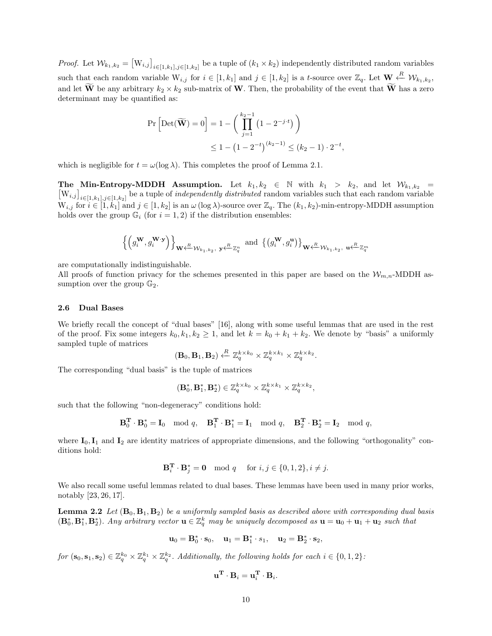*Proof.* Let  $W_{k_1,k_2} = [W_{i,j}]_{i \in [1,k_1],j \in [1,k_2]}$  be a tuple of  $(k_1 \times k_2)$  independently distributed random variables such that each random variable  $W_{i,j}$  for  $i \in [1, k_1]$  and  $j \in [1, k_2]$  is a t-source over  $\mathbb{Z}_q$ . Let  $\mathbf{W} \stackrel{R}{\leftarrow} \mathcal{W}_{k_1, k_2}$ , and let W be any arbitrary  $k_2 \times k_2$  sub-matrix of W. Then, the probability of the event that W has a zero determinant may be quantified as:

$$
\Pr\left[\text{Det}(\widetilde{\mathbf{W}}) = 0\right] = 1 - \left(\prod_{j=1}^{k_2 - 1} \left(1 - 2^{-j \cdot t}\right)\right)
$$
  
 
$$
\leq 1 - \left(1 - 2^{-t}\right)^{(k_2 - 1)} \leq (k_2 - 1) \cdot 2^{-t},
$$

which is negligible for  $t = \omega(\log \lambda)$ . This completes the proof of Lemma 2.1.

The Min-Entropy-MDDH Assumption. Let  $k_1, k_2 \in \mathbb{N}$  with  $k_1 > k_2$ , and let  $\mathcal{W}_{k_1, k_2}$  =  $W_{i,j}]_{i\in[1,k_1],j\in[1,k_2]}$  be a tuple of *independently distributed* random variables such that each random variable  $W_{i,j}$  for  $i \in [1, k_1]$  and  $j \in [1, k_2]$  is an  $\omega(\log \lambda)$ -source over  $\mathbb{Z}_q$ . The  $(k_1, k_2)$ -min-entropy-MDDH assumption holds over the group  $\mathbb{G}_i$  (for  $i = 1, 2$ ) if the distribution ensembles:

$$
\left\{ \left( g_i^{\mathbf{W}}, g_i^{\mathbf{W} \cdot \mathbf{y}} \right) \right\}_{\mathbf{W} \leftarrow \mathcal{W}_{k_1, k_2, \mathbf{y}} \leftarrow \mathbb{Z}_q^n} \text{ and } \left\{ \left( g_i^{\mathbf{W}}, g_i^{\mathbf{u}} \right) \right\}_{\mathbf{W} \leftarrow \mathcal{W}_{k_1, k_2, \mathbf{u}} \leftarrow \mathbb{Z}_q^m}
$$

are computationally indistinguishable.

All proofs of function privacy for the schemes presented in this paper are based on the  $W_{m,n}$ -MDDH assumption over the group  $\mathbb{G}_2$ .

#### 2.6 Dual Bases

We briefly recall the concept of "dual bases" [16], along with some useful lemmas that are used in the rest of the proof. Fix some integers  $k_0, k_1, k_2 \geq 1$ , and let  $k = k_0 + k_1 + k_2$ . We denote by "basis" a uniformly sampled tuple of matrices

$$
(\mathbf{B}_0, \mathbf{B}_1, \mathbf{B}_2) \xleftarrow{R} \mathbb{Z}_q^{k \times k_0} \times \mathbb{Z}_q^{k \times k_1} \times \mathbb{Z}_q^{k \times k_2}.
$$

The corresponding "dual basis" is the tuple of matrices

$$
(\mathbf{B}_0^*, \mathbf{B}_1^*, \mathbf{B}_2^*) \in \mathbb{Z}_q^{k \times k_0} \times \mathbb{Z}_q^{k \times k_1} \times \mathbb{Z}_q^{k \times k_2},
$$

such that the following "non-degeneracy" conditions hold:

$$
\mathbf{B}_0^{\mathbf{T}} \cdot \mathbf{B}_0^* = \mathbf{I}_0 \mod q, \quad \mathbf{B}_1^{\mathbf{T}} \cdot \mathbf{B}_1^* = \mathbf{I}_1 \mod q, \quad \mathbf{B}_2^{\mathbf{T}} \cdot \mathbf{B}_2^* = \mathbf{I}_2 \mod q,
$$

where  $I_0$ ,  $I_1$  and  $I_2$  are identity matrices of appropriate dimensions, and the following "orthogonality" conditions hold:

$$
\mathbf{B}_i^{\mathbf{T}} \cdot \mathbf{B}_j^* = \mathbf{0} \mod q \quad \text{ for } i, j \in \{0, 1, 2\}, i \neq j.
$$

We also recall some useful lemmas related to dual bases. These lemmas have been used in many prior works, notably [23, 26, 17].

**Lemma 2.2** Let  $(\mathbf{B}_0, \mathbf{B}_1, \mathbf{B}_2)$  be a uniformly sampled basis as described above with corresponding dual basis  $(\mathbf{B}_0^*, \mathbf{B}_1^*, \mathbf{B}_2^*)$ . Any arbitrary vector  $\mathbf{u} \in \mathbb{Z}_q^k$  may be uniquely decomposed as  $\mathbf{u} = \mathbf{u}_0 + \mathbf{u}_1 + \mathbf{u}_2$  such that

$$
\mathbf{u}_0 = \mathbf{B}_0^* \cdot \mathbf{s}_0, \quad \mathbf{u}_1 = \mathbf{B}_1^* \cdot s_1, \quad \mathbf{u}_2 = \mathbf{B}_2^* \cdot \mathbf{s}_2,
$$

 $for (\mathbf{s}_0, \mathbf{s}_1, \mathbf{s}_2) \in \mathbb{Z}_q^{k_0} \times \mathbb{Z}_q^{k_1} \times \mathbb{Z}_q^{k_2}$ . Additionally, the following holds for each  $i \in \{0, 1, 2\}$ :

$$
\mathbf{u}^{\mathbf{T}} \cdot \mathbf{B}_i = \mathbf{u}_i^{\mathbf{T}} \cdot \mathbf{B}_i.
$$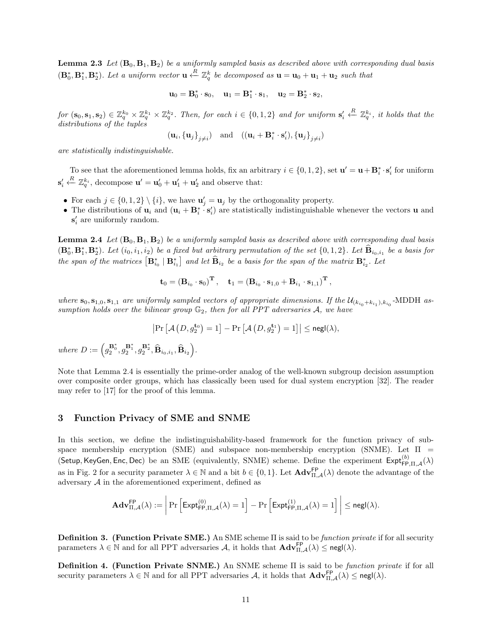**Lemma 2.3** Let  $(\mathbf{B}_0, \mathbf{B}_1, \mathbf{B}_2)$  be a uniformly sampled basis as described above with corresponding dual basis  $(\mathbf{B}_0^*, \mathbf{B}_1^*, \mathbf{B}_2^*)$ . Let a uniform vector  $\mathbf{u} \stackrel{R}{\leftarrow} \mathbb{Z}_q^k$  be decomposed as  $\mathbf{u} = \mathbf{u}_0 + \mathbf{u}_1 + \mathbf{u}_2$  such that

$$
\mathbf{u}_0 = \mathbf{B}_0^* \cdot \mathbf{s}_0, \quad \mathbf{u}_1 = \mathbf{B}_1^* \cdot \mathbf{s}_1, \quad \mathbf{u}_2 = \mathbf{B}_2^* \cdot \mathbf{s}_2,
$$

for  $(\mathbf{s}_0, \mathbf{s}_1, \mathbf{s}_2) \in \mathbb{Z}_q^{k_0} \times \mathbb{Z}_q^{k_1} \times \mathbb{Z}_q^{k_2}$ . Then, for each  $i \in \{0, 1, 2\}$  and for uniform  $\mathbf{s}'_i$  $\stackrel{R}{\leftarrow} \mathbb{Z}_q^{k_i}$ , it holds that the distributions of the tuples

$$
(\mathbf{u}_i, {\mathbf{u}_j}_{j \neq i})
$$
 and  $((\mathbf{u}_i + \mathbf{B}_i^* \cdot \mathbf{s}'_i), {\mathbf{u}_j}_{j \neq i})$ 

are statistically indistinguishable.

To see that the aforementioned lemma holds, fix an arbitrary  $i \in \{0, 1, 2\}$ , set  $\mathbf{u}' = \mathbf{u} + \mathbf{B}_i^* \cdot \mathbf{s}'_i$  for uniform  $\mathbf{s}_i'$ ←  $\mathbb{Z}_q^{k_i}$ , decompose **u**' = **u**'<sub>0</sub> + **u'**<sub>1</sub> + **u**'<sub>2</sub> and observe that:

- For each  $j \in \{0,1,2\} \setminus \{i\}$ , we have  $\mathbf{u}'_j = \mathbf{u}_j$  by the orthogonality property.
- The distributions of  $\mathbf{u}_i$  and  $(\mathbf{u}_i + \mathbf{B}_i^*, \mathbf{s}'_i)$  are statistically indistinguishable whenever the vectors **u** and  $s'_{i}$  are uniformly random.

**Lemma 2.4** Let  $(\mathbf{B}_0, \mathbf{B}_1, \mathbf{B}_2)$  be a uniformly sampled basis as described above with corresponding dual basis  $(\mathbf{B}_0^*, \mathbf{B}_1^*, \mathbf{B}_2^*)$ . Let  $(i_0, i_1, i_2)$  be a fixed but arbitrary permutation of the set  $\{0, 1, 2\}$ . Let  $\mathbf{\hat{B}}_{i_0, i_1}$  be a basis for the span of the matrices  $[\mathbf{B}_{i_0}^* \mid \mathbf{B}_{i_1}^*]$  and let  $\mathbf{\hat{B}}_{i_2}$  be a basis for the span of the matrix  $\mathbf{B}_{i_2}^*$ . Let

$$
\mathbf{t}_0 = \left(\mathbf{B}_{i_0}\cdot\mathbf{s}_0\right)^{\mathbf{T}}, \quad \mathbf{t}_1 = \left(\mathbf{B}_{i_0}\cdot\mathbf{s}_{1,0} + \mathbf{B}_{i_1}\cdot\mathbf{s}_{1,1}\right)^{\mathbf{T}},
$$

where  $s_0, s_{1,0}, s_{1,1}$  are uniformly sampled vectors of appropriate dimensions. If the  $\mathcal{U}_{(k_{i_0}+k_{i_1}), k_{i_0}}$ -MDDH assumption holds over the bilinear group  $\mathbb{G}_2$ , then for all PPT adversaries A, we have

$$
\left|\Pr\left[\mathcal{A}\left(D, g_2^{\mathbf{t}_0}\right) = 1\right] - \Pr\left[\mathcal{A}\left(D, g_2^{\mathbf{t}_1}\right) = 1\right]\right| \le \mathsf{negl}(\lambda),
$$

 $\textit{where} \ D := \left( g_2^{\mathbf{B}_0^*}, g_2^{\mathbf{B}_1^*}, g_2^{\mathbf{B}_2^*}, \widehat{\mathbf{B}}_{i_0, i_1}, \widehat{\mathbf{B}}_{i_2} \right).$ 

Note that Lemma 2.4 is essentially the prime-order analog of the well-known subgroup decision assumption over composite order groups, which has classically been used for dual system encryption [32]. The reader may refer to [17] for the proof of this lemma.

# 3 Function Privacy of SME and SNME

In this section, we define the indistinguishability-based framework for the function privacy of subspace membership encryption (SME) and subspace non-membership encryption (SNME). Let  $\Pi$  = (Setup, KeyGen, Enc, Dec) be an SME (equivalently, SNME) scheme. Define the experiment  $Expt_{FP,\Pi,\mathcal{A}}^{(b)}(\lambda)$ as in Fig. 2 for a security parameter  $\lambda \in \mathbb{N}$  and a bit  $b \in \{0,1\}$ . Let  $\text{Adv}_{\Pi,\mathcal{A}}^{\text{FP}}(\lambda)$  denote the advantage of the adversary  $A$  in the aforementioned experiment, defined as

$$
\mathbf{Adv}_{\Pi,\mathcal{A}}^{\mathsf{FP}}(\lambda) := \bigg|\Pr\Big[\mathsf{Expt}_{\mathsf{FP},\Pi,\mathcal{A}}^{(0)}(\lambda) = 1\Big] - \Pr\Big[\mathsf{Expt}_{\mathsf{FP},\Pi,\mathcal{A}}^{(1)}(\lambda) = 1\Big]\bigg| \leq \mathsf{negl}(\lambda).
$$

Definition 3. (Function Private SME.) An SME scheme Π is said to be function private if for all security parameters  $\lambda \in \mathbb{N}$  and for all PPT adversaries A, it holds that  $\mathbf{Adv}_{\Pi,\mathcal{A}}^{\mathsf{FP}}(\lambda) \leq \mathsf{negl}(\lambda)$ .

Definition 4. (Function Private SNME.) An SNME scheme Π is said to be function private if for all security parameters  $\lambda \in \mathbb{N}$  and for all PPT adversaries A, it holds that  $\mathbf{Adv}_{\Pi,\mathcal{A}}^{\mathsf{FP}}(\lambda) \leq \mathsf{negl}(\lambda)$ .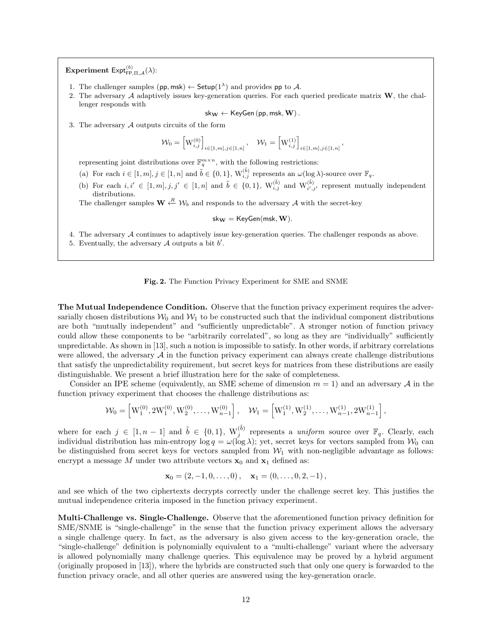**Experiment**  $\mathsf{Expt}_{\mathsf{FP},\Pi,\mathcal{A}}^{(b)}(\lambda)$ :

- 1. The challenger samples  $(pp, msk) \leftarrow$  Setup $(1^{\lambda})$  and provides pp to A.
- 2. The adversary  $A$  adaptively issues key-generation queries. For each queried predicate matrix  $W$ , the challenger responds with

$$
\mathsf{sk}_\mathbf{W} \leftarrow \mathsf{KeyGen}\left(\mathsf{pp}, \mathsf{msk}, \mathbf{W}\right).
$$

3. The adversary  $A$  outputs circuits of the form

$$
\mathcal{W}_0 = \left[\mathbf{W}_{i,j}^{(0)}\right]_{i \in [1,m], j \in [1,n]}, \quad \mathcal{W}_1 = \left[\mathbf{W}_{i,j}^{(1)}\right]_{i \in [1,m], j \in [1,n]},
$$

representing joint distributions over  $\mathbb{F}_q^{m \times n}$ , with the following restrictions:

- (a) For each  $i \in [1, m], j \in [1, n]$  and  $\tilde{b} \in \{0, 1\}, W_{i,j}^{(\tilde{b})}$  represents an  $\omega(\log \lambda)$ -source over  $\mathbb{F}_q$ .
- (b) For each  $i, i' \in [1, m], j, j' \in [1, n]$  and  $\tilde{b} \in \{0, 1\}$ ,  $W_{i,j}^{(\tilde{b})}$  and  $W_{i',j'}^{(\tilde{b})}$  represent mutually independent distributions.

The challenger samples  $\mathbf{W} \stackrel{R}{\leftarrow} \mathcal{W}_b$  and responds to the adversary A with the secret-key

$$
\mathsf{sk}_\mathbf{W} = \mathsf{KeyGen}(\mathsf{msk}, \mathbf{W}).
$$

4. The adversary A continues to adaptively issue key-generation queries. The challenger responds as above.

5. Eventually, the adversary  $A$  outputs a bit  $b'$ .

## Fig. 2. The Function Privacy Experiment for SME and SNME

The Mutual Independence Condition. Observe that the function privacy experiment requires the adversarially chosen distributions  $W_0$  and  $W_1$  to be constructed such that the individual component distributions are both "mutually independent" and "sufficiently unpredictable". A stronger notion of function privacy could allow these components to be "arbitrarily correlated", so long as they are "individually" sufficiently unpredictable. As shown in [13], such a notion is impossible to satisfy. In other words, if arbitrary correlations were allowed, the adversary  $A$  in the function privacy experiment can always create challenge distributions that satisfy the unpredictability requirement, but secret keys for matrices from these distributions are easily distinguishable. We present a brief illustration here for the sake of completeness.

Consider an IPE scheme (equivalently, an SME scheme of dimension  $m = 1$ ) and an adversary A in the function privacy experiment that chooses the challenge distributions as:

$$
\mathcal{W}_0 = \left[ W_1^{(0)}, 2W_1^{(0)}, W_2^{(0)}, \dots, W_{n-1}^{(0)} \right], \quad \mathcal{W}_1 = \left[ W_1^{(1)}, W_2^{(1)}, \dots, W_{n-1}^{(1)}, 2W_{n-1}^{(1)} \right],
$$

where for each  $j \in [1, n-1]$  and  $\tilde{b} \in \{0,1\}$ ,  $\mathbf{W}_j^{(\tilde{b})}$  represents a *uniform* source over  $\mathbb{F}_q$ . Clearly, each individual distribution has min-entropy  $\log q = \omega(\log \lambda)$ ; yet, secret keys for vectors sampled from  $\mathcal{W}_0$  can be distinguished from secret keys for vectors sampled from  $W_1$  with non-negligible advantage as follows: encrypt a message M under two attribute vectors  $x_0$  and  $x_1$  defined as:

$$
\mathbf{x}_0 = (2, -1, 0, \dots, 0), \quad \mathbf{x}_1 = (0, \dots, 0, 2, -1),
$$

and see which of the two ciphertexts decrypts correctly under the challenge secret key. This justifies the mutual independence criteria imposed in the function privacy experiment.

Multi-Challenge vs. Single-Challenge. Observe that the aforementioned function privacy definition for SME/SNME is "single-challenge" in the sense that the function privacy experiment allows the adversary a single challenge query. In fact, as the adversary is also given access to the key-generation oracle, the "single-challenge" definition is polynomially equivalent to a "multi-challenge" variant where the adversary is allowed polynomially many challenge queries. This equivalence may be proved by a hybrid argument (originally proposed in [13]), where the hybrids are constructed such that only one query is forwarded to the function privacy oracle, and all other queries are answered using the key-generation oracle.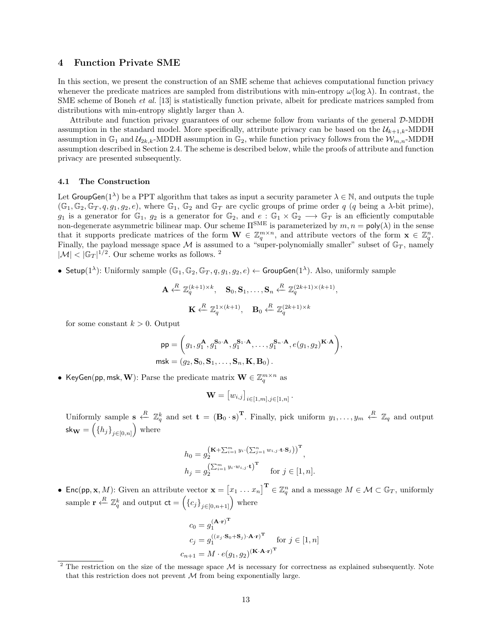# 4 Function Private SME

In this section, we present the construction of an SME scheme that achieves computational function privacy whenever the predicate matrices are sampled from distributions with min-entropy  $\omega(\log \lambda)$ . In contrast, the SME scheme of Boneh et al. [13] is statistically function private, albeit for predicate matrices sampled from distributions with min-entropy slightly larger than  $\lambda$ .

Attribute and function privacy guarantees of our scheme follow from variants of the general D-MDDH assumption in the standard model. More specifically, attribute privacy can be based on the  $\mathcal{U}_{k+1,k}$ -MDDH assumption in  $\mathbb{G}_1$  and  $\mathcal{U}_{2k,k}$ -MDDH assumption in  $\mathbb{G}_2$ , while function privacy follows from the  $\mathcal{W}_{m,n}$ -MDDH assumption described in Section 2.4. The scheme is described below, while the proofs of attribute and function privacy are presented subsequently.

## 4.1 The Construction

Let GroupGen( $1^{\lambda}$ ) be a PPT algorithm that takes as input a security parameter  $\lambda \in \mathbb{N}$ , and outputs the tuple  $(\mathbb{G}_1, \mathbb{G}_2, \mathbb{G}_T, q, g_1, g_2, e)$ , where  $\mathbb{G}_1, \mathbb{G}_2$  and  $\mathbb{G}_T$  are cyclic groups of prime order q (q being a  $\lambda$ -bit prime),  $g_1$  is a generator for  $\mathbb{G}_1$ ,  $g_2$  is a generator for  $\mathbb{G}_2$ , and  $e : \mathbb{G}_1 \times \mathbb{G}_2 \longrightarrow \mathbb{G}_T$  is an efficiently computable non-degenerate asymmetric bilinear map. Our scheme  $\Pi^{\text{SME}}$  is parameterized by  $m, n = \text{poly}(\lambda)$  in the sense that it supports predicate matrices of the form  $\mathbf{W} \in \mathbb{Z}_q^{m \times n}$ , and attribute vectors of the form  $\mathbf{x} \in \mathbb{Z}_q^n$ . Finally, the payload message space M is assumed to a "super-polynomially smaller" subset of  $\mathbb{G}_T$ , namely  $|\mathcal{M}| < |\mathbb{G}_T|^{1/2}$ . Our scheme works as follows. <sup>2</sup>

• Setup(1<sup> $\lambda$ </sup>): Uniformly sample  $(\mathbb{G}_1, \mathbb{G}_2, \mathbb{G}_T, q, g_1, g_2, e) \leftarrow$  GroupGen(1<sup> $\lambda$ </sup>). Also, uniformly sample

$$
\mathbf{A} \xleftarrow{R} \mathbb{Z}_q^{(k+1)\times k}, \quad \mathbf{S}_0, \mathbf{S}_1, \dots, \mathbf{S}_n \xleftarrow{R} \mathbb{Z}_q^{(2k+1)\times (k+1)}
$$
\n
$$
\mathbf{K} \xleftarrow{R} \mathbb{Z}_q^{1\times (k+1)}, \quad \mathbf{B}_0 \xleftarrow{R} \mathbb{Z}_q^{(2k+1)\times k}
$$

,

for some constant  $k > 0$ . Output

$$
\mathsf{pp} = \left(g_1, g_1^{\mathbf{A}}, g_1^{\mathbf{S}_0 \cdot \mathbf{A}}, g_1^{\mathbf{S}_1 \cdot \mathbf{A}}, \dots, g_1^{\mathbf{S}_n \cdot \mathbf{A}}, e(g_1, g_2)^{\mathbf{K} \cdot \mathbf{A}}\right),
$$
  

$$
\mathsf{msk} = (g_2, \mathbf{S}_0, \mathbf{S}_1, \dots, \mathbf{S}_n, \mathbf{K}, \mathbf{B}_0).
$$

• KeyGen(pp, msk, W): Parse the predicate matrix  $\mathbf{W} \in \mathbb{Z}_q^{m \times n}$  as

$$
\mathbf{W} = [w_{i,j}]_{i \in [1,m], j \in [1,n]}.
$$

Uniformly sample  $\mathbf{s} \leftarrow \mathbb{Z}_q^k$  and set  $\mathbf{t} = (\mathbf{B}_0 \cdot \mathbf{s})^T$ . Finally, pick uniform  $y_1, \ldots, y_m \leftarrow \mathbb{Z}_q$  and output  $\mathsf{sk}_{\mathbf{W}} = \left(\left\{h_j \right\}_{j \in [0,n]} \right) \, \text{where}$ 

$$
h_0 = g_2^{\left(\mathbf{K} + \sum_{i=1}^m y_i \cdot (\sum_{j=1}^n w_{i,j} \cdot \mathbf{t} \cdot \mathbf{S}_j)\right)^{\mathbf{T}}},
$$
  
\n
$$
h_j = g_2^{\left(\sum_{i=1}^m y_i \cdot w_{i,j} \cdot \mathbf{t}\right)^{\mathbf{T}}} \quad \text{for } j \in [1, n].
$$

• Enc(pp, x, M): Given an attribute vector  $\mathbf{x} = \begin{bmatrix} x_1 \dots x_n \end{bmatrix}^{\mathbf{T}} \in \mathbb{Z}_q^n$  and a message  $M \in \mathcal{M} \subset \mathbb{G}_T$ , uniformly sample  $\mathbf{r} \stackrel{R}{\leftarrow} \mathbb{Z}_q^k$  and output  $\mathsf{ct} = \left(\{c_j\}_{j \in [0, n+1]}\right)$  where

$$
c_0 = g_1^{(\mathbf{A} \cdot \mathbf{r})^{\mathbf{T}}}
$$
  
\n
$$
c_j = g_1^{((x_j \cdot \mathbf{S}_0 + \mathbf{S}_j) \cdot \mathbf{A} \cdot \mathbf{r})^{\mathbf{T}}}
$$
 for  $j \in [1, n]$   
\n
$$
c_{n+1} = M \cdot e(g_1, g_2)^{(\mathbf{K} \cdot \mathbf{A} \cdot \mathbf{r})^{\mathbf{T}}}
$$

 $2$  The restriction on the size of the message space  $M$  is necessary for correctness as explained subsequently. Note that this restriction does not prevent  $\mathcal M$  from being exponentially large.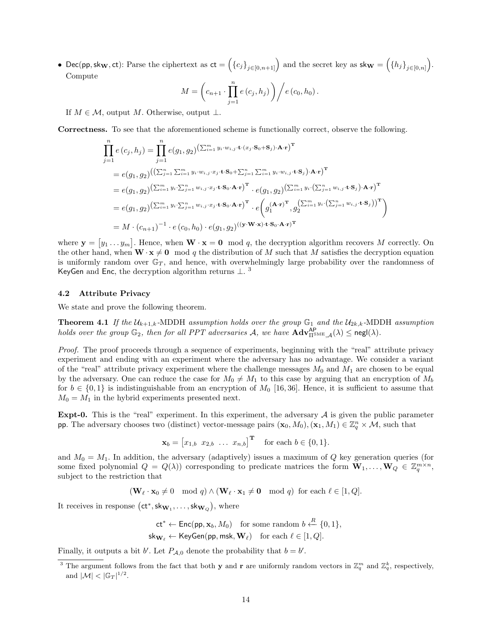• Dec(pp, skw, ct): Parse the ciphertext as  $ct = \left(\{c_j\}_{j\in[0,n+1]}\right)$  and the secret key as  $\mathsf{skw} = \left(\{h_j\}_{j\in[0,n]}\right)$ . Compute

$$
M = \left(c_{n+1} \cdot \prod_{j=1}^{n} e(c_j, h_j)\right) / e(c_0, h_0).
$$

If  $M \in \mathcal{M}$ , output M. Otherwise, output  $\perp$ .

Correctness. To see that the aforementioned scheme is functionally correct, observe the following.

$$
\begin{split} &\prod_{j=1}^{n}e\left(c_{j},h_{j}\right)=\prod_{j=1}^{n}e(g_{1},g_{2})\left(\sum_{i=1}^{m}y_{i}\cdot w_{i,j}\cdot\mathbf{t}\cdot\left(x_{j}\cdot\mathbf{S}_{0}+\mathbf{S}_{j}\right)\cdot\mathbf{A}\cdot\mathbf{r}\right)^{\mathbf{T}}\\ &=e(g_{1},g_{2})\left(\left(\sum_{j=1}^{n}\sum_{i=1}^{m}y_{i}\cdot w_{i,j}\cdot x_{j}\cdot\mathbf{t}\cdot\mathbf{S}_{0}+\sum_{j=1}^{n}\sum_{i=1}^{m}y_{i}\cdot w_{i,j}\cdot\mathbf{t}\cdot\mathbf{S}_{j}\right)\cdot\mathbf{A}\cdot\mathbf{r}\right)^{\mathbf{T}}\\ &=e(g_{1},g_{2})\left(\sum_{i=1}^{m}y_{i}\cdot\sum_{j=1}^{n}w_{i,j}\cdot x_{j}\cdot\mathbf{t}\cdot\mathbf{S}_{0}\cdot\mathbf{A}\cdot\mathbf{r}\right)^{\mathbf{T}}\cdot e(g_{1},g_{2})\left(\sum_{i=1}^{m}y_{i}\cdot\left(\sum_{j=1}^{n}w_{i,j}\cdot\mathbf{t}\cdot\mathbf{S}_{j}\right)\cdot\mathbf{A}\cdot\mathbf{r}\right)^{\mathbf{T}}\\ &=e(g_{1},g_{2})\left(\sum_{i=1}^{m}y_{i}\cdot\sum_{j=1}^{n}w_{i,j}\cdot x_{j}\cdot\mathbf{t}\cdot\mathbf{S}_{0}\cdot\mathbf{A}\cdot\mathbf{r}\right)^{\mathbf{T}}\cdot e\left(g_{1}^{(\mathbf{A}\cdot\mathbf{r})^{\mathbf{T}},g_{2}^{(\sum_{i=1}^{m}y_{i}\cdot\left(\sum_{j=1}^{n}w_{i,j}\cdot\mathbf{t}\cdot\mathbf{S}_{j}\right)\right)^{\mathbf{T}}\right)\\ &=M\cdot\left(c_{n+1}\right)^{-1}\cdot e\left(c_{0},h_{0}\right)\cdot e(g_{1},g_{2})^{((\mathbf{y}\cdot\mathbf{W}\cdot\mathbf{x})\cdot\mathbf{t}\cdot\mathbf{S}_{0}\cdot\mathbf{A}\cdot\mathbf{r})^{\mathbf{T}} \end{split}
$$

where  $\mathbf{y} = [y_1 \dots y_m]$ . Hence, when  $\mathbf{W} \cdot \mathbf{x} = \mathbf{0} \mod q$ , the decryption algorithm recovers M correctly. On the other hand, when  $\mathbf{W} \cdot \mathbf{x} \neq \mathbf{0} \mod q$  the distribution of M such that M satisfies the decryption equation is uniformly random over  $\mathbb{G}_T$ , and hence, with overwhelmingly large probability over the randomness of KeyGen and Enc, the decryption algorithm returns  $\perp$ .<sup>3</sup>

#### 4.2 Attribute Privacy

We state and prove the following theorem.

**Theorem 4.1** If the  $\mathcal{U}_{k+1,k}$ -MDDH assumption holds over the group  $\mathbb{G}_1$  and the  $\mathcal{U}_{2k,k}$ -MDDH assumption holds over the group  $\mathbb{G}_2$ , then for all PPT adversaries A, we have  $\text{Adv}_{\Pi^{\text{SME}},\mathcal{A}}^{\text{AP}}(\lambda) \le \text{negl}(\lambda)$ .

Proof. The proof proceeds through a sequence of experiments, beginning with the "real" attribute privacy experiment and ending with an experiment where the adversary has no advantage. We consider a variant of the "real" attribute privacy experiment where the challenge messages  $M_0$  and  $M_1$  are chosen to be equal by the adversary. One can reduce the case for  $M_0 \neq M_1$  to this case by arguing that an encryption of  $M_b$ for  $b \in \{0,1\}$  is indistinguishable from an encryption of  $M_0$  [16, 36]. Hence, it is sufficient to assume that  $M_0 = M_1$  in the hybrid experiments presented next.

**Expt-0.** This is the "real" experiment. In this experiment, the adversary  $A$  is given the public parameter pp. The adversary chooses two (distinct) vector-message pairs  $(\mathbf{x}_0, M_0), (\mathbf{x}_1, M_1) \in \mathbb{Z}_q^n \times \mathcal{M}$ , such that

 $\mathbf{x}_b = \begin{bmatrix} x_{1,b} & x_{2,b} & \dots & x_{n,b} \end{bmatrix}^{\mathbf{T}}$  for each  $b \in \{0,1\}.$ 

and  $M_0 = M_1$ . In addition, the adversary (adaptively) issues a maximum of Q key generation queries (for some fixed polynomial  $Q = Q(\lambda)$  corresponding to predicate matrices the form  $W_1, \ldots, W_Q \in \mathbb{Z}_q^{m \times n}$ , subject to the restriction that

 $(\mathbf{W}_{\ell} \cdot \mathbf{x}_0 \neq 0 \mod q) \wedge (\mathbf{W}_{\ell} \cdot \mathbf{x}_1 \neq \mathbf{0} \mod q)$  for each  $\ell \in [1, Q]$ .

It receives in response  $(\mathsf{ct}^*,\mathsf{sk}_{\mathbf{W}_1},\ldots,\mathsf{sk}_{\mathbf{W}_Q}),$  where

 $ct^* \leftarrow \mathsf{Enc}(\mathsf{pp}, \mathbf{x}_b, M_0)$  for some random  $b \stackrel{R}{\leftarrow} \{0, 1\},$  $\mathsf{sk}_{\mathbf{W}_{\ell}} \leftarrow \mathsf{KeyGen}(\mathsf{pp}, \mathsf{msk}, \mathbf{W}_{\ell})$  for each  $\ell \in [1, Q]$ .

Finally, it outputs a bit b'. Let  $P_{A,0}$  denote the probability that  $b = b'$ .

<sup>&</sup>lt;sup>3</sup> The argument follows from the fact that both **y** and **r** are uniformly random vectors in  $\mathbb{Z}_q^m$  and  $\mathbb{Z}_q^k$ , respectively, and  $|\mathcal{M}| < |\mathbb{G}_T|^{1/2}$ .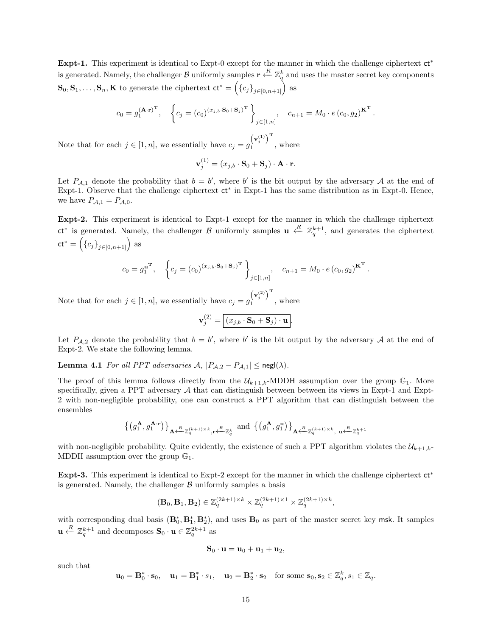Expt-1. This experiment is identical to Expt-0 except for the manner in which the challenge ciphertext ct<sup>∗</sup> is generated. Namely, the challenger  $\mathcal B$  uniformly samples  $\mathbf r \stackrel{R}{\leftarrow} \mathbb Z_q^k$  and uses the master secret key components  $\mathbf{S}_0, \mathbf{S}_1, \ldots, \mathbf{S}_n, \mathbf{K}$  to generate the ciphertext  $\mathsf{ct}^* = \left(\left\{c_j\right\}_{j \in [0, n+1]} \right)$  as

$$
c_0 = g_1^{(\mathbf{A} \cdot \mathbf{r})^{\mathbf{T}}}, \quad \left\{ c_j = (c_0)^{(x_{j,b} \cdot \mathbf{S}_0 + \mathbf{S}_j)^{\mathbf{T}}} \right\}_{j \in [1,n]}, \quad c_{n+1} = M_0 \cdot e(c_0, g_2)^{\mathbf{K}^{\mathbf{T}}}.
$$

Note that for each  $j \in [1, n]$ , we essentially have  $c_j = g$  $\left(\mathbf{v}_j^{(1)}\right)^{\mathbf{T}}$  $\frac{1}{1}$ , where

$$
\mathbf{v}_j^{(1)} = (x_{j,b} \cdot \mathbf{S}_0 + \mathbf{S}_j) \cdot \mathbf{A} \cdot \mathbf{r}.
$$

Let  $P_{A,1}$  denote the probability that  $b = b'$ , where b' is the bit output by the adversary A at the end of Expt-1. Observe that the challenge ciphertext ct<sup>∗</sup> in Expt-1 has the same distribution as in Expt-0. Hence, we have  $P_{A,1} = P_{A,0}$ .

Expt-2. This experiment is identical to Expt-1 except for the manner in which the challenge ciphertext ct<sup>\*</sup> is generated. Namely, the challenger B uniformly samples  $\mathbf{u} \leftarrow R \mathbb{Z}_q^{k+1}$ , and generates the ciphertext  $ct^* = \left( \{c_j\}_{j \in [0, n+1]} \right)$  as

$$
c_0 = g_1^{\mathbf{u}^{\mathbf{T}}}, \quad \left\{ c_j = (c_0)^{(x_{j,b} \cdot \mathbf{S}_0 + \mathbf{S}_j)^{\mathbf{T}}} \right\}_{j \in [1,n]}, \quad c_{n+1} = M_0 \cdot e(c_0, g_2)^{\mathbf{K}^{\mathbf{T}}}.
$$

Note that for each  $j \in [1, n]$ , we essentially have  $c_j = g$  $\left(\mathbf{v}_j^{(2)}\right)^{\mathbf{T}}$  $\frac{1}{1}$ , where

$$
\mathbf{v}_j^{(2)} = \boxed{(x_{j,b} \cdot \mathbf{S}_0 + \mathbf{S}_j) \cdot \mathbf{u}}.
$$

Let  $P_{A,2}$  denote the probability that  $b = b'$ , where b' is the bit output by the adversary A at the end of Expt-2. We state the following lemma.

**Lemma 4.1** For all PPT adversaries  $A$ ,  $|P_{A,2} - P_{A,1}| \leq$  negl( $\lambda$ ).

The proof of this lemma follows directly from the  $\mathcal{U}_{k+1,k}$ -MDDH assumption over the group  $\mathbb{G}_1$ . More specifically, given a PPT adversary  $A$  that can distinguish between between its views in Expt-1 and Expt-2 with non-negligible probability, one can construct a PPT algorithm that can distinguish between the ensembles

$$
\left\{\left(g^{\mathbf{A}}_{1}, g^{\mathbf{A}:\mathbf{r}}_{1}\right)\right\}_{\mathbf{A} \xleftarrow{R} \mathbb{Z}_q^{(k+1)\times k}, \mathbf{r} \xleftarrow{R} \mathbb{Z}_q^{k}} \text{ and } \left\{\left(g^{\mathbf{A}}_{1}, g^{\mathbf{u}}_{1}\right)\right\}_{\mathbf{A} \xleftarrow{R} \mathbb{Z}_q^{(k+1)\times k}, \ \mathbf{u} \xleftarrow{R} \mathbb{Z}_q^{k+1}}
$$

with non-negligible probability. Quite evidently, the existence of such a PPT algorithm violates the  $\mathcal{U}_{k+1,k-1}$ MDDH assumption over the group  $\mathbb{G}_1$ .

Expt-3. This experiment is identical to Expt-2 except for the manner in which the challenge ciphertext ct<sup>∗</sup> is generated. Namely, the challenger  $\beta$  uniformly samples a basis

$$
(\mathbf{B}_0, \mathbf{B}_1, \mathbf{B}_2) \in \mathbb{Z}_q^{(2k+1)\times k} \times \mathbb{Z}_q^{(2k+1)\times 1} \times \mathbb{Z}_q^{(2k+1)\times k},
$$

with corresponding dual basis  $(\mathbf{B}_0^*, \mathbf{B}_1^*, \mathbf{B}_2^*)$ , and uses  $\mathbf{B}_0$  as part of the master secret key msk. It samples  $\mathbf{u} \stackrel{R}{\leftarrow} \mathbb{Z}_q^{k+1}$  and decomposes  $\mathbf{S}_0 \cdot \mathbf{u} \in \mathbb{Z}_q^{2k+1}$  as

$$
\mathbf{S}_0 \cdot \mathbf{u} = \mathbf{u}_0 + \mathbf{u}_1 + \mathbf{u}_2,
$$

such that

$$
\mathbf{u}_0 = \mathbf{B}_0^* \cdot \mathbf{s}_0, \quad \mathbf{u}_1 = \mathbf{B}_1^* \cdot s_1, \quad \mathbf{u}_2 = \mathbf{B}_2^* \cdot \mathbf{s}_2 \quad \text{for some } \mathbf{s}_0, \mathbf{s}_2 \in \mathbb{Z}_q^k, s_1 \in \mathbb{Z}_q.
$$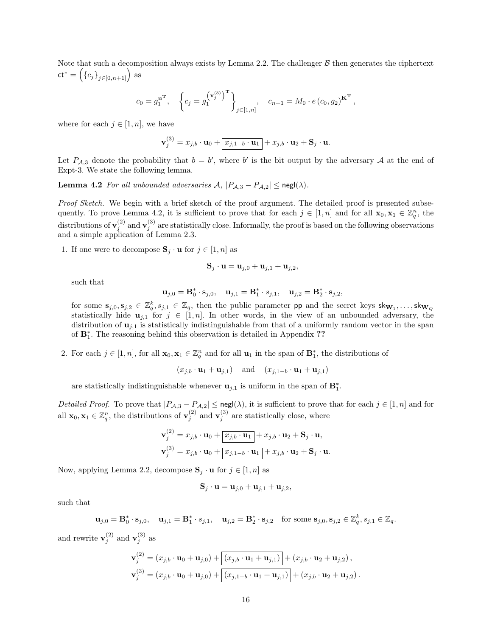Note that such a decomposition always exists by Lemma 2.2. The challenger  $\beta$  then generates the ciphertext  $ct^* = \left( \{c_j\}_{j \in [0, n+1]} \right)$  as

$$
c_0 = g_1^{\mathbf{u}^{\mathbf{T}}}, \quad \left\{ c_j = g_1^{(\mathbf{v}_j^{(3)})^{\mathbf{T}}} \right\}_{j \in [1,n]}, \quad c_{n+1} = M_0 \cdot e(c_0, g_2)^{\mathbf{K}^{\mathbf{T}}},
$$

where for each  $j \in [1, n]$ , we have

$$
\mathbf{v}_j^{(3)} = x_{j,b} \cdot \mathbf{u}_0 + \boxed{x_{j,1-b} \cdot \mathbf{u}_1} + x_{j,b} \cdot \mathbf{u}_2 + \mathbf{S}_j \cdot \mathbf{u}.
$$

Let  $P_{A,3}$  denote the probability that  $b = b'$ , where b' is the bit output by the adversary A at the end of Expt-3. We state the following lemma.

**Lemma 4.2** For all unbounded adversaries  $A$ ,  $|P_{A,3} - P_{A,2}| \le$  negl( $\lambda$ ).

Proof Sketch. We begin with a brief sketch of the proof argument. The detailed proof is presented subsequently. To prove Lemma 4.2, it is sufficient to prove that for each  $j \in [1, n]$  and for all  $\mathbf{x}_0, \mathbf{x}_1 \in \mathbb{Z}_q^n$ , the distributions of  $\mathbf{v}_j^{(2)}$  and  $\mathbf{v}_j^{(3)}$  are statistically close. Informally, the proof is based on the following observations and a simple application of Lemma 2.3.

1. If one were to decompose  $\mathbf{S}_j \cdot \mathbf{u}$  for  $j \in [1, n]$  as

$$
\mathbf{S}_j \cdot \mathbf{u} = \mathbf{u}_{j,0} + \mathbf{u}_{j,1} + \mathbf{u}_{j,2},
$$

such that

$$
\mathbf{u}_{j,0} = \mathbf{B}_0^* \cdot \mathbf{s}_{j,0}, \quad \mathbf{u}_{j,1} = \mathbf{B}_1^* \cdot s_{j,1}, \quad \mathbf{u}_{j,2} = \mathbf{B}_2^* \cdot \mathbf{s}_{j,2},
$$

for some  $s_{j,0}, s_{j,2} \in \mathbb{Z}_q^k$ ,  $s_{j,1} \in \mathbb{Z}_q$ , then the public parameter pp and the secret keys  $sk_{\mathbf{W}_1}, \ldots, sk_{\mathbf{W}_Q}$ statistically hide  $u_{j,1}$  for  $j \in [1, n]$ . In other words, in the view of an unbounded adversary, the distribution of  $\mathbf{u}_{i,1}$  is statistically indistinguishable from that of a uniformly random vector in the span of  $B_1^*$ . The reasoning behind this observation is detailed in Appendix ??

2. For each  $j \in [1, n]$ , for all  $\mathbf{x}_0, \mathbf{x}_1 \in \mathbb{Z}_q^n$  and for all  $\mathbf{u}_1$  in the span of  $\mathbf{B}_1^*$ , the distributions of

$$
(x_{j,b} \cdot \mathbf{u}_1 + \mathbf{u}_{j,1})
$$
 and  $(x_{j,1-b} \cdot \mathbf{u}_1 + \mathbf{u}_{j,1})$ 

are statistically indistinguishable whenever  $\mathbf{u}_{j,1}$  is uniform in the span of  $\mathbf{B}_{1}^{*}$ .

Detailed Proof. To prove that  $|P_{A,3} - P_{A,2}| \leq \text{negl}(\lambda)$ , it is sufficient to prove that for each  $j \in [1,n]$  and for all  $\mathbf{x}_0, \mathbf{x}_1 \in \mathbb{Z}_q^n$ , the distributions of  $\mathbf{v}_j^{(2)}$  and  $\mathbf{v}_j^{(3)}$  are statistically close, where

$$
\mathbf{v}_{j}^{(2)} = x_{j,b} \cdot \mathbf{u}_{0} + \boxed{x_{j,b} \cdot \mathbf{u}_{1}} + x_{j,b} \cdot \mathbf{u}_{2} + \mathbf{S}_{j} \cdot \mathbf{u},
$$

$$
\mathbf{v}_{j}^{(3)} = x_{j,b} \cdot \mathbf{u}_{0} + \boxed{x_{j,1-b} \cdot \mathbf{u}_{1}} + x_{j,b} \cdot \mathbf{u}_{2} + \mathbf{S}_{j} \cdot \mathbf{u}.
$$

Now, applying Lemma 2.2, decompose  $\mathbf{S}_j \cdot \mathbf{u}$  for  $j \in [1, n]$  as

$$
\mathbf{S}_j \cdot \mathbf{u} = \mathbf{u}_{j,0} + \mathbf{u}_{j,1} + \mathbf{u}_{j,2},
$$

such that

$$
\mathbf{u}_{j,0} = \mathbf{B}_0^* \cdot \mathbf{s}_{j,0}, \quad \mathbf{u}_{j,1} = \mathbf{B}_1^* \cdot s_{j,1}, \quad \mathbf{u}_{j,2} = \mathbf{B}_2^* \cdot \mathbf{s}_{j,2} \quad \text{for some } \mathbf{s}_{j,0}, \mathbf{s}_{j,2} \in \mathbb{Z}_q^k, s_{j,1} \in \mathbb{Z}_q.
$$

and rewrite  $\mathbf{v}_j^{(2)}$  and  $\mathbf{v}_j^{(3)}$  as

$$
\mathbf{v}_{j}^{(2)} = (x_{j,b} \cdot \mathbf{u}_{0} + \mathbf{u}_{j,0}) + \overline{(x_{j,b} \cdot \mathbf{u}_{1} + \mathbf{u}_{j,1})} + (x_{j,b} \cdot \mathbf{u}_{2} + \mathbf{u}_{j,2}),
$$
  

$$
\mathbf{v}_{j}^{(3)} = (x_{j,b} \cdot \mathbf{u}_{0} + \mathbf{u}_{j,0}) + \overline{(x_{j,1-b} \cdot \mathbf{u}_{1} + \mathbf{u}_{j,1})} + (x_{j,b} \cdot \mathbf{u}_{2} + \mathbf{u}_{j,2}).
$$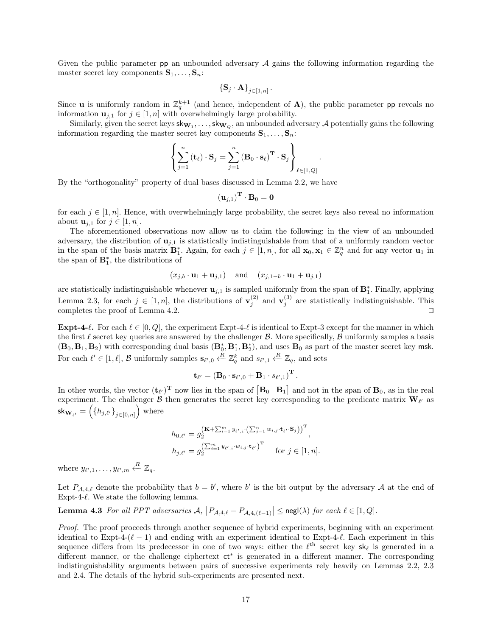Given the public parameter **pp** an unbounded adversary  $A$  gains the following information regarding the master secret key components  $\mathbf{S}_1, \ldots, \mathbf{S}_n$ :

$$
\left\{ \mathbf{S}_{j}\cdot\mathbf{A}\right\} _{j\in\left[ 1,n\right] }.
$$

Since **u** is uniformly random in  $\mathbb{Z}_q^{k+1}$  (and hence, independent of **A**), the public parameter **pp** reveals no information  $\mathbf{u}_{j,1}$  for  $j \in [1, n]$  with overwhelmingly large probability.

Similarly, given the secret keys  $\mathsf{sk}_{\mathbf{W}_1},\ldots,\mathsf{sk}_{\mathbf{W}_Q},$  an unbounded adversary  ${\mathcal{A}}$  potentially gains the following information regarding the master secret key components  $S_1, \ldots, S_n$ :

$$
\left\{\sum_{j=1}^{n}(\mathbf{t}_{\ell})\cdot\mathbf{S}_{j}=\sum_{j=1}^{n}\left(\mathbf{B}_{0}\cdot\mathbf{s}_{\ell}\right)^{\mathbf{T}}\cdot\mathbf{S}_{j}\right\}_{\ell\in[1,Q]}
$$

.

By the "orthogonality" property of dual bases discussed in Lemma 2.2, we have

$$
(\mathbf{u}_{j,1})^{\mathbf{T}}\cdot\mathbf{B}_0=\mathbf{0}
$$

for each  $j \in [1, n]$ . Hence, with overwhelmingly large probability, the secret keys also reveal no information about  $\mathbf{u}_{i,1}$  for  $j \in [1, n]$ .

The aforementioned observations now allow us to claim the following: in the view of an unbounded adversary, the distribution of  $\mathbf{u}_{i,1}$  is statistically indistinguishable from that of a uniformly random vector in the span of the basis matrix  $\mathbf{B}_1^*$ . Again, for each  $j \in [1, n]$ , for all  $\mathbf{x}_0, \mathbf{x}_1 \in \mathbb{Z}_q^n$  and for any vector  $\mathbf{u}_1$  in the span of  $\mathbf{B}_{1}^{*}$ , the distributions of

$$
(x_{j,b} \cdot \mathbf{u}_1 + \mathbf{u}_{j,1})
$$
 and  $(x_{j,1-b} \cdot \mathbf{u}_1 + \mathbf{u}_{j,1})$ 

are statistically indistinguishable whenever  $\mathbf{u}_{j,1}$  is sampled uniformly from the span of  $\mathbf{B}_1^*$ . Finally, applying Lemma 2.3, for each  $j \in [1, n]$ , the distributions of  $\mathbf{v}_j^{(2)}$  and  $\mathbf{v}_j^{(3)}$  are statistically indistinguishable. This completes the proof of Lemma 4.2.  $\Box$ 

Expt-4- $\ell$ . For each  $\ell \in [0, Q]$ , the experiment Expt-4- $\ell$  is identical to Expt-3 except for the manner in which the first  $\ell$  secret key queries are answered by the challenger  $\mathcal B$ . More specifically,  $\mathcal B$  uniformly samples a basis  $(B_0, B_1, B_2)$  with corresponding dual basis  $(B_0^*, B_1^*, B_2^*)$ , and uses  $B_0$  as part of the master secret key msk. For each  $\ell' \in [1, \ell], \mathcal{B}$  uniformly samples  $\mathbf{s}_{\ell',0} \stackrel{R}{\leftarrow} \mathbb{Z}_q^k$  and  $s_{\ell',1} \stackrel{R}{\leftarrow} \mathbb{Z}_q$ , and sets

$$
\mathbf{t}_{\ell'} = \left(\mathbf{B}_0 \cdot \mathbf{s}_{\ell',0} + \mathbf{B}_1 \cdot s_{\ell',1}\right)^{\mathbf{T}}.
$$

In other words, the vector  $(\mathbf{t}_{\ell'})^{\mathbf{T}}$  now lies in the span of  $[\mathbf{B}_0 | \mathbf{B}_1]$  and not in the span of  $\mathbf{B}_0$ , as in the real experiment. The challenger  $\beta$  then generates the secret key corresponding to the predicate matrix  $\mathbf{W}_{\ell'}$  as  $\mathsf{sk}_{{\mathbf{W}}_{\ell'}} = \left(\left\{h_{j,\ell'}\right\}_{j\in[0,n]}\right) \, \text{where}$ 

$$
h_{0,\ell'} = g_2^{\left(\mathbf{K} + \sum_{i=1}^m y_{\ell',i} \cdot (\sum_{j=1}^n w_{i,j} \cdot \mathbf{t}_{\ell'} \cdot \mathbf{S}_j)\right)^{\mathbf{T}}},
$$
  

$$
h_{j,\ell'} = g_2^{\left(\sum_{i=1}^m y_{\ell',i} \cdot w_{i,j} \cdot \mathbf{t}_{\ell'}\right)^{\mathbf{T}}} \quad \text{for } j \in [1, n].
$$

where  $y_{\ell',1}, \ldots, y_{\ell',m} \stackrel{R}{\leftarrow} \mathbb{Z}_q$ .

Let  $P_{A,4,\ell}$  denote the probability that  $b = b'$ , where b' is the bit output by the adversary A at the end of Expt-4- $\ell$ . We state the following lemma.

**Lemma 4.3** For all PPT adversaries  $\mathcal{A}$ ,  $\left|P_{\mathcal{A},4,\ell} - P_{\mathcal{A},4,(\ell-1)}\right| \leq \mathsf{negl}(\lambda)$  for each  $\ell \in [1, Q]$ .

Proof. The proof proceeds through another sequence of hybrid experiments, beginning with an experiment identical to Expt-4- $(\ell - 1)$  and ending with an experiment identical to Expt-4- $\ell$ . Each experiment in this sequence differs from its predecessor in one of two ways: either the  $\ell^{\text{th}}$  secret key sk<sub>l</sub> is generated in a different manner, or the challenge ciphertext ct<sup>∗</sup> is generated in a different manner. The corresponding indistinguishability arguments between pairs of successive experiments rely heavily on Lemmas 2.2, 2.3 and 2.4. The details of the hybrid sub-experiments are presented next.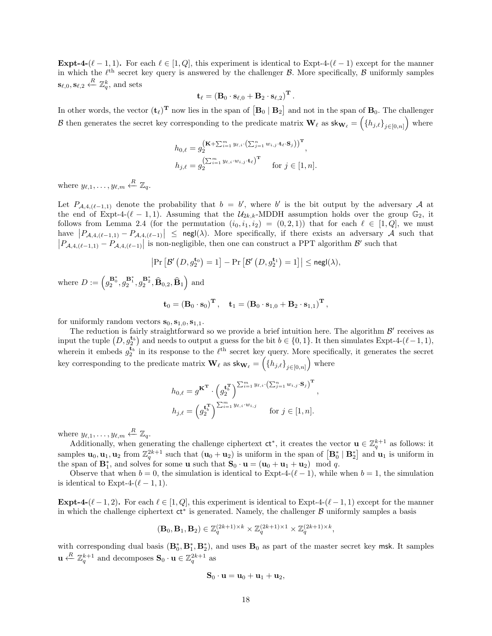**Expt-4-(** $\ell - 1, 1$ **).** For each  $\ell \in [1, Q]$ , this experiment is identical to Expt-4- $(\ell - 1)$  except for the manner in which the  $\ell^{\text{th}}$  secret key query is answered by the challenger  $\mathcal{B}$ . More specifically,  $\mathcal{B}$  uniformly samples  $\mathbf{s}_{\ell,0}, \mathbf{s}_{\ell,2} \overset{R}{\leftarrow} \mathbb{Z}_q^k$ , and sets

$$
\mathbf{t}_{\ell} = \left(\mathbf{B}_0 \cdot \mathbf{s}_{\ell,0} + \mathbf{B}_2 \cdot \mathbf{s}_{\ell,2}\right)^{\mathbf{T}}.
$$

In other words, the vector  $(\mathbf{t}_{\ell})^{\mathbf{T}}$  now lies in the span of  $[\mathbf{B}_0 | \mathbf{B}_2]$  and not in the span of  $\mathbf{B}_0$ . The challenger B then generates the secret key corresponding to the predicate matrix  $\mathbf{W}_{\ell}$  as  $\mathsf{sk}_{\mathbf{W}_{\ell}} = (\{h_{j,\ell}\}_{j \in [0,n]})$  where

$$
h_{0,\ell} = g_2^{\left(\mathbf{K} + \sum_{i=1}^m y_{\ell,i} \cdot \left(\sum_{j=1}^n w_{i,j} \cdot \mathbf{t}_{\ell} \cdot \mathbf{S}_j\right)\right)^{\mathbf{T}}},
$$
  

$$
h_{j,\ell} = g_2^{\left(\sum_{i=1}^m y_{\ell,i} \cdot w_{i,j} \cdot \mathbf{t}_{\ell}\right)^{\mathbf{T}}} \quad \text{for } j \in [1, n].
$$

where  $y_{\ell,1}, \ldots, y_{\ell,m} \stackrel{R}{\leftarrow} \mathbb{Z}_q$ .

Let  $P_{A,4,(\ell-1,1)}$  denote the probability that  $b = b'$ , where b' is the bit output by the adversary A at the end of Expt-4-( $\ell - 1, 1$ ). Assuming that the  $\mathcal{U}_{2k,k}$ -MDDH assumption holds over the group  $\mathbb{G}_2$ , it follows from Lemma 2.4 (for the permutation  $(i_0, i_1, i_2) = (0, 2, 1)$ ) that for each  $\ell \in [1, Q]$ , we must have  $|P_{\mathcal{A},4,(\ell-1,1)} - P_{\mathcal{A},4,(\ell-1)}| \leq \text{negl}(\lambda)$ . More specifically, if there exists an adversary A such that  $\left|P_{A,4,(\ell-1,1)}-P_{A,4,(\ell-1)}\right|$  is non-negligible, then one can construct a PPT algorithm  $\mathcal{B}'$  such that

$$
\left|\Pr\left[\mathcal{B}'\left(D, g_2^{\mathbf{t}_0}\right) = 1\right] - \Pr\left[\mathcal{B}'\left(D, g_2^{\mathbf{t}_1}\right) = 1\right]\right| \leq \mathsf{negl}(\lambda),
$$

where  $D:=\left(g_2^{\mathbf{B}_0^*},g_2^{\mathbf{B}_1^*},g_2^{\mathbf{B}_2^*},\widehat{\mathbf{B}}_{0,2},\widehat{\mathbf{B}}_1\right)$  and

$$
\mathbf{t}_0 = \left(\mathbf{B}_0 \cdot \mathbf{s}_0\right)^{\mathbf{T}}, \quad \mathbf{t}_1 = \left(\mathbf{B}_0 \cdot \mathbf{s}_{1,0} + \mathbf{B}_2 \cdot \mathbf{s}_{1,1}\right)^{\mathbf{T}}
$$

,

,

for uniformly random vectors  $s_0, s_{1,0}, s_{1,1}$ .

The reduction is fairly straightforward so we provide a brief intuition here. The algorithm  $\mathcal{B}'$  receives as input the tuple  $(D, g_2^{\mathbf{t}_b})$  and needs to output a guess for the bit  $b \in \{0, 1\}$ . It then simulates Expt-4- $(\ell-1, 1)$ , wherein it embeds  $g_2^{\mathbf{t}_b}$  in its response to the  $\ell^{\text{th}}$  secret key query. More specifically, it generates the secret key corresponding to the predicate matrix  $\mathbf{W}_{\ell}$  as  $\mathsf{sk}_{\mathbf{W}_{\ell}} = \left(\{h_{j,\ell}\}_{j\in[0,n]}\right)$  where

$$
\begin{aligned} h_{0,\ell} &= g^{\mathbf{K^T}} \cdot \left( g_2^{\mathbf{t}_b^{\mathbf{T}}} \right)^{\sum_{i=1}^m y_{\ell,i} \cdot \left( \sum_{j=1}^n w_{i,j} \cdot \mathbf{S}_j \right)^{\mathbf{T}}} \\ h_{j,\ell} &= \left( g_2^{\mathbf{t}_b^{\mathbf{T}}} \right)^{\sum_{i=1}^m y_{\ell,i} \cdot w_{i,j}} \quad \text{ for } j \in [1,n]. \end{aligned}
$$

where  $y_{\ell,1}, \ldots, y_{\ell,m} \stackrel{R}{\leftarrow} \mathbb{Z}_q$ .

Additionally, when generating the challenge ciphertext  $ct^*$ , it creates the vector  $\mathbf{u} \in \mathbb{Z}_q^{k+1}$  as follows: it samples  $\mathbf{u}_0, \mathbf{u}_1, \mathbf{u}_2$  from  $\mathbb{Z}_q^{2k+1}$  such that  $(\mathbf{u}_0 + \mathbf{u}_2)$  is uniform in the span of  $[\mathbf{B}_0^* \mid \mathbf{B}_2^*]$  and  $\mathbf{u}_1$  is uniform in the span of  $\mathbf{B}_1^*$ , and solves for some **u** such that  $\mathbf{S}_0 \cdot \mathbf{u} = (\mathbf{u}_0 + \mathbf{u}_1 + \mathbf{u}_2) \mod q$ .

Observe that when  $b = 0$ , the simulation is identical to Expt-4- $(\ell - 1)$ , while when  $b = 1$ , the simulation is identical to Expt-4- $(\ell - 1, 1)$ .

Expt-4- $(\ell - 1, 2)$ . For each  $\ell \in [1, Q]$ , this experiment is identical to Expt-4- $(\ell - 1, 1)$  except for the manner in which the challenge ciphertext  $ct^*$  is generated. Namely, the challenger  $\beta$  uniformly samples a basis

$$
(\mathbf{B}_0,\mathbf{B}_1,\mathbf{B}_2)\in\mathbb{Z}_q^{(2k+1)\times k}\times\mathbb{Z}_q^{(2k+1)\times 1}\times\mathbb{Z}_q^{(2k+1)\times k},
$$

with corresponding dual basis  $(\mathbf{B}_0^*, \mathbf{B}_1^*, \mathbf{B}_2^*)$ , and uses  $\mathbf{B}_0$  as part of the master secret key msk. It samples  $\mathbf{u} \stackrel{R}{\leftarrow} \mathbb{Z}_q^{k+1}$  and decomposes  $\mathbf{S}_0 \cdot \mathbf{u} \in \mathbb{Z}_q^{2k+1}$  as

$$
\mathbf{S}_0 \cdot \mathbf{u} = \mathbf{u}_0 + \mathbf{u}_1 + \mathbf{u}_2,
$$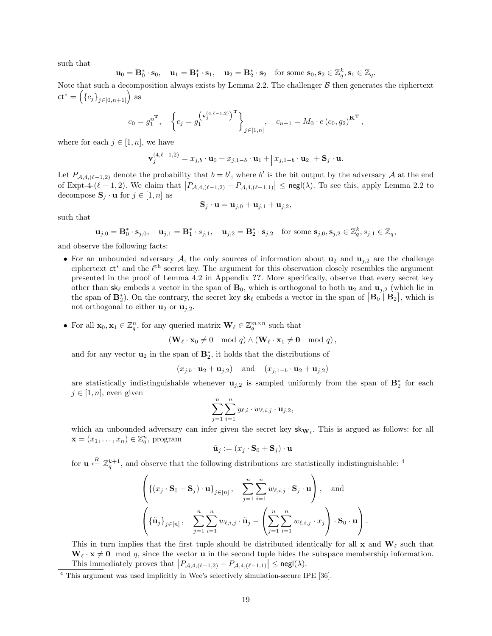such that

$$
\mathbf{u}_0 = \mathbf{B}_0^* \cdot \mathbf{s}_0, \quad \mathbf{u}_1 = \mathbf{B}_1^* \cdot \mathbf{s}_1, \quad \mathbf{u}_2 = \mathbf{B}_2^* \cdot \mathbf{s}_2 \quad \text{for some } \mathbf{s}_0, \mathbf{s}_2 \in \mathbb{Z}_q^k, \mathbf{s}_1 \in \mathbb{Z}_q.
$$

Note that such a decomposition always exists by Lemma 2.2. The challenger  $\beta$  then generates the ciphertext  $ct^* = \left( \{c_j\}_{j \in [0, n+1]} \right)$  as

$$
c_0 = g_1^{\mathbf{u}^{\mathbf{T}}}, \quad \left\{ c_j = g_1^{\left(\mathbf{v}_j^{(4,\ell-1,2)}\right)^{\mathbf{T}}}\right\}_{j \in [1,n]}, \quad c_{n+1} = M_0 \cdot e\left(c_0, g_2\right)^{\mathbf{K}^{\mathbf{T}}},
$$

where for each  $j \in [1, n]$ , we have

$$
\mathbf{v}_{j}^{(4,\ell-1,2)} = x_{j,b} \cdot \mathbf{u}_{0} + x_{j,1-b} \cdot \mathbf{u}_{1} + \boxed{x_{j,1-b} \cdot \mathbf{u}_{2}} + \mathbf{S}_{j} \cdot \mathbf{u}.
$$

Let  $P_{A,4,(\ell-1,2)}$  denote the probability that  $b = b'$ , where b' is the bit output by the adversary A at the end of Expt-4- $(\ell-1,2)$ . We claim that  $|P_{\mathcal{A},4,(\ell-1,2)} - P_{\mathcal{A},4,(\ell-1,1)}| \leq \text{negl}(\lambda)$ . To see this, apply Lemma 2.2 to decompose  $\mathbf{S}_j \cdot \mathbf{u}$  for  $j \in [1, n]$  as

$$
\mathbf{S}_j \cdot \mathbf{u} = \mathbf{u}_{j,0} + \mathbf{u}_{j,1} + \mathbf{u}_{j,2},
$$

such that

$$
\mathbf{u}_{j,0} = \mathbf{B}_0^* \cdot \mathbf{s}_{j,0}, \quad \mathbf{u}_{j,1} = \mathbf{B}_1^* \cdot s_{j,1}, \quad \mathbf{u}_{j,2} = \mathbf{B}_2^* \cdot \mathbf{s}_{j,2} \quad \text{for some } \mathbf{s}_{j,0}, \mathbf{s}_{j,2} \in \mathbb{Z}_q^k, s_{j,1} \in \mathbb{Z}_q,
$$

and observe the following facts:

- For an unbounded adversary A, the only sources of information about  $\mathbf{u}_2$  and  $\mathbf{u}_{j,2}$  are the challenge ciphertext  $ct^*$  and the  $\ell^{\text{th}}$  secret key. The argument for this observation closely resembles the argument presented in the proof of Lemma 4.2 in Appendix ??. More specifically, observe that every secret key other than  $sk_\ell$  embeds a vector in the span of  $B_0$ , which is orthogonal to both  $u_2$  and  $u_{j,2}$  (which lie in the span of  $\mathbf{B}_2^*$ ). On the contrary, the secret key sk<sub>ℓ</sub> embeds a vector in the span of  $[\mathbf{B}_0 | \mathbf{B}_2]$ , which is not orthogonal to either  $\mathbf{u}_2$  or  $\mathbf{u}_{j,2}$ .
- For all  $\mathbf{x}_0, \mathbf{x}_1 \in \mathbb{Z}_q^n$ , for any queried matrix  $\mathbf{W}_{\ell} \in \mathbb{Z}_q^{m \times n}$  such that

 $(\mathbf{W}_{\ell} \cdot \mathbf{x}_0 \neq 0 \mod q) \wedge (\mathbf{W}_{\ell} \cdot \mathbf{x}_1 \neq \mathbf{0} \mod q),$ 

and for any vector  $\mathbf{u}_2$  in the span of  $\mathbf{B}_2^*$ , it holds that the distributions of

$$
(x_{j,b} \cdot \mathbf{u}_2 + \mathbf{u}_{j,2})
$$
 and  $(x_{j,1-b} \cdot \mathbf{u}_2 + \mathbf{u}_{j,2})$ 

are statistically indistinguishable whenever  $\mathbf{u}_{j,2}$  is sampled uniformly from the span of  $\mathbf{B}_{2}^{*}$  for each  $j \in [1, n]$ , even given

$$
\sum_{j=1}^n\sum_{i=1}^ny_{\ell,i}\cdot w_{\ell,i,j}\cdot \mathbf{u}_{j,2},
$$

which an unbounded adversary can infer given the secret key  $sk_{W_{\ell}}$ . This is argued as follows: for all  $\mathbf{x} = (x_1, \dots, x_n) \in \mathbb{Z}_q^n$ , program

$$
\tilde{\mathbf{u}}_j := (x_j \cdot \mathbf{S}_0 + \mathbf{S}_j) \cdot \mathbf{u}
$$

for  $\mathbf{u} \leftarrow R \mathbb{Z}_q^{k+1}$ , and observe that the following distributions are statistically indistinguishable: <sup>4</sup>

$$
\left( \{ (x_j \cdot \mathbf{S}_0 + \mathbf{S}_j) \cdot \mathbf{u} \}_{j \in [n]}, \sum_{j=1}^n \sum_{i=1}^n w_{\ell, i, j} \cdot \mathbf{S}_j \cdot \mathbf{u} \right), \text{ and}
$$

$$
\left( \{\tilde{\mathbf{u}}_j\}_{j \in [n]}, \sum_{j=1}^n \sum_{i=1}^n w_{\ell, i, j} \cdot \tilde{\mathbf{u}}_j - \left( \sum_{j=1}^n \sum_{i=1}^n w_{\ell, i, j} \cdot x_j \right) \cdot \mathbf{S}_0 \cdot \mathbf{u} \right).
$$

This in turn implies that the first tuple should be distributed identically for all  $x$  and  $W_\ell$  such that  $\mathbf{W}_{\ell} \cdot \mathbf{x} \neq \mathbf{0} \mod q$ , since the vector **u** in the second tuple hides the subspace membership information. This immediately proves that  $|P_{\mathcal{A},4,(\ell-1,2)} - P_{\mathcal{A},4,(\ell-1,1)}| \leq \mathsf{negl}(\lambda)$ .

<sup>4</sup> This argument was used implicitly in Wee's selectively simulation-secure IPE [36].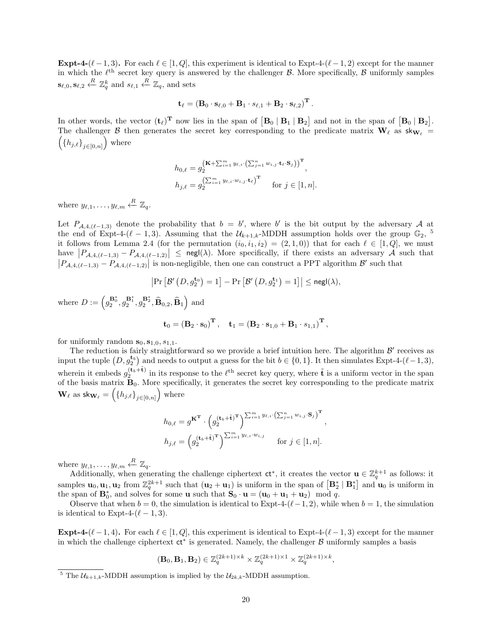Expt-4-( $\ell - 1, 3$ ). For each  $\ell \in [1, Q]$ , this experiment is identical to Expt-4-( $\ell - 1, 2$ ) except for the manner in which the  $\ell^{\text{th}}$  secret key query is answered by the challenger  $\mathcal{B}$ . More specifically,  $\mathcal{B}$  uniformly samples  $\mathbf{s}_{\ell,0}, \mathbf{s}_{\ell,2} \leftarrow^R \mathbb{Z}_q^k$  and  $s_{\ell,1} \leftarrow^R \mathbb{Z}_q$ , and sets

$$
\mathbf{t}_{\ell} = (\mathbf{B}_0 \cdot \mathbf{s}_{\ell,0} + \mathbf{B}_1 \cdot s_{\ell,1} + \mathbf{B}_2 \cdot \mathbf{s}_{\ell,2})^{\mathbf{T}}.
$$

In other words, the vector  $(\mathbf{t}_{\ell})^{\mathbf{T}}$  now lies in the span of  $[\mathbf{B}_0 | \mathbf{B}_1 | \mathbf{B}_2]$  and not in the span of  $[\mathbf{B}_0 | \mathbf{B}_2]$ . The challenger B then generates the secret key corresponding to the predicate matrix  $W_\ell$  as  $sk_{W_\ell} =$  ${h_{j,\ell}}_{j\in[0,n]}$  where

$$
h_{0,\ell} = g_2^{\left(\mathbf{K} + \sum_{i=1}^m y_{\ell,i} \cdot \left(\sum_{j=1}^n w_{i,j} \cdot \mathbf{t}_{\ell} \cdot \mathbf{S}_j\right)\right)^{\mathbf{T}}},
$$
  

$$
h_{j,\ell} = g_2^{\left(\sum_{i=1}^m y_{\ell,i} \cdot w_{i,j} \cdot \mathbf{t}_{\ell}\right)^{\mathbf{T}}} \quad \text{for } j \in [1, n].
$$

where  $y_{\ell,1}, \ldots, y_{\ell,m} \stackrel{R}{\leftarrow} \mathbb{Z}_q$ .

Let  $P_{A,4,(\ell-1,3)}$  denote the probability that  $b = b'$ , where b' is the bit output by the adversary A at the end of Expt-4- $(\ell - 1, 3)$ . Assuming that the  $\mathcal{U}_{k+1,k}$ -MDDH assumption holds over the group  $\mathbb{G}_2$ , <sup>5</sup> it follows from Lemma 2.4 (for the permutation  $(i_0, i_1, i_2) = (2, 1, 0)$ ) that for each  $\ell \in [1, Q]$ , we must have  $|P_{A,4,(\ell-1,3)} - P_{A,4,(\ell-1,2)}| \leq \text{negl}(\lambda)$ . More specifically, if there exists an adversary A such that  $\left|P_{A,4,(\ell-1,3)}-P_{A,4,(\ell-1,2)}\right|$  is non-negligible, then one can construct a PPT algorithm  $\mathcal{B}'$  such that

$$
\left| \Pr \left[ \mathcal{B}' \left( D, g_2^{\mathbf{t}_0} \right) = 1 \right] - \Pr \left[ \mathcal{B}' \left( D, g_2^{\mathbf{t}_1} \right) = 1 \right] \right| \le \mathsf{negl}(\lambda),
$$
  

$$
B_0^*, g_2^{\mathbf{B}_1^*}, g_2^{\mathbf{B}_2^*}, \widehat{\mathbf{B}}_{0,2}, \widehat{\mathbf{B}}_1 \right) \text{ and }
$$

where  $D := \left(g_2^{\mathbf{B}_0^*}\right)$ 2

$$
\mathbf{t}_0 = \left(\mathbf{B}_2 \cdot \mathbf{s}_0\right)^{\mathbf{T}}, \quad \mathbf{t}_1 = \left(\mathbf{B}_2 \cdot \mathbf{s}_{1,0} + \mathbf{B}_1 \cdot s_{1,1}\right)^{\mathbf{T}},
$$

for uniformly random  $s_0, s_{1,0}, s_{1,1}.$ 

The reduction is fairly straightforward so we provide a brief intuition here. The algorithm  $\mathcal{B}'$  receives as input the tuple  $(D, g_2^{\mathbf{t}_b})$  and needs to output a guess for the bit  $b \in \{0, 1\}$ . It then simulates Expt-4- $(\ell-1, 3)$ , wherein it embeds  $g_2^{(t_b+\tilde{t})}$  in its response to the  $\ell^{\text{th}}$  secret key query, where  $\tilde{t}$  is a uniform vector in the span of the basis matrix  $\mathbf{B}_0$ . More specifically, it generates the secret key corresponding to the predicate matrix  $\mathbf{W}_\ell$  as sk $\mathbf{w}_\ell = \left(\left\{h_{j,\ell}\right\}_{j\in[0,n]}\right)$  where

$$
h_{0,\ell} = g^{\mathbf{K}^{\mathbf{T}}} \cdot \left( g_2^{(\mathbf{t}_b + \tilde{\mathbf{t}})^{\mathbf{T}}} \right)^{\sum_{i=1}^m y_{\ell,i} \cdot \left( \sum_{j=1}^n w_{i,j} \cdot \mathbf{S}_j \right)^{\mathbf{T}}},
$$
  

$$
h_{j,\ell} = \left( g_2^{(\mathbf{t}_b + \tilde{\mathbf{t}})^{\mathbf{T}}} \right)^{\sum_{i=1}^m y_{\ell,i} \cdot w_{i,j}} \quad \text{for } j \in [1, n].
$$

where  $y_{\ell,1}, \ldots, y_{\ell,m} \stackrel{R}{\leftarrow} \mathbb{Z}_q$ .

Additionally, when generating the challenge ciphertext  $ct^*$ , it creates the vector  $\mathbf{u} \in \mathbb{Z}_q^{k+1}$  as follows: it samples  $\mathbf{u}_0, \mathbf{u}_1, \mathbf{u}_2$  from  $\mathbb{Z}_q^{2k+1}$  such that  $(\mathbf{u}_2 + \mathbf{u}_1)$  is uniform in the span of  $[\mathbf{B}_2^* \mid \mathbf{B}_1^*]$  and  $\mathbf{u}_0$  is uniform in the span of  $\mathbf{B}_0^*$ , and solves for some **u** such that  $\mathbf{S}_0 \cdot \mathbf{u} = (\mathbf{u}_0 + \mathbf{u}_1 + \mathbf{u}_2) \mod q$ .

Observe that when  $b = 0$ , the simulation is identical to Expt-4- $(\ell-1, 2)$ , while when  $b = 1$ , the simulation is identical to Expt-4- $(\ell - 1, 3)$ .

Expt-4- $(\ell - 1, 4)$ . For each  $\ell \in [1, Q]$ , this experiment is identical to Expt-4- $(\ell - 1, 3)$  except for the manner in which the challenge ciphertext  $ct^*$  is generated. Namely, the challenger  $\beta$  uniformly samples a basis

$$
(\mathbf{B}_0,\mathbf{B}_1,\mathbf{B}_2)\in\mathbb{Z}_q^{(2k+1)\times k}\times\mathbb{Z}_q^{(2k+1)\times 1}\times\mathbb{Z}_q^{(2k+1)\times k},
$$

<sup>&</sup>lt;sup>5</sup> The  $\mathcal{U}_{k+1,k}$ -MDDH assumption is implied by the  $\mathcal{U}_{2k,k}$ -MDDH assumption.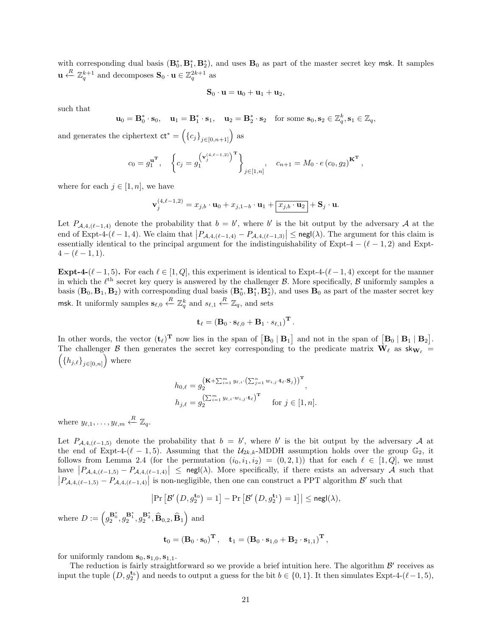with corresponding dual basis  $(\mathbf{B}_0^*, \mathbf{B}_1^*, \mathbf{B}_2^*)$ , and uses  $\mathbf{B}_0$  as part of the master secret key msk. It samples  $\mathbf{u} \stackrel{R}{\leftarrow} \mathbb{Z}_q^{k+1}$  and decomposes  $\mathbf{S}_0 \cdot \mathbf{u} \in \mathbb{Z}_q^{2k+1}$  as

$$
\mathbf{S}_0 \cdot \mathbf{u} = \mathbf{u}_0 + \mathbf{u}_1 + \mathbf{u}_2,
$$

such that

$$
\mathbf{u}_0 = \mathbf{B}_0^* \cdot \mathbf{s}_0, \quad \mathbf{u}_1 = \mathbf{B}_1^* \cdot \mathbf{s}_1, \quad \mathbf{u}_2 = \mathbf{B}_2^* \cdot \mathbf{s}_2 \quad \text{for some } \mathbf{s}_0, \mathbf{s}_2 \in \mathbb{Z}_q^k, \mathbf{s}_1 \in \mathbb{Z}_q,
$$

and generates the ciphertext  $ct^* = (\{c_j\}_{j\in[0,n+1]})$  as

$$
c_0 = g_1^{\mathbf{u}^{\mathbf{T}}}, \quad \left\{ c_j = g_1^{\left( \mathbf{v}_j^{(4,\ell-1,2)} \right)^{\mathbf{T}}} \right\}_{j \in [1,n]}, \quad c_{n+1} = M_0 \cdot e(c_0, g_2)^{\mathbf{K}^{\mathbf{T}}},
$$

where for each  $j \in [1, n]$ , we have

$$
\mathbf{v}_{j}^{(4,\ell-1,2)}=x_{j,b}\cdot\mathbf{u}_{0}+x_{j,1-b}\cdot\mathbf{u}_{1}+\boxed{x_{j,b}\cdot\mathbf{u}_{2}}+\mathbf{S}_{j}\cdot\mathbf{u}.
$$

Let  $P_{A,4,(\ell-1,4)}$  denote the probability that  $b = b'$ , where b' is the bit output by the adversary A at the end of Expt-4- $(\ell-1, 4)$ . We claim that  $|P_{\mathcal{A},4,(\ell-1,4)} - P_{\mathcal{A},4,(\ell-1,3)}| \leq \text{negl}(\lambda)$ . The argument for this claim is essentially identical to the principal argument for the indistinguishability of Expt-4 − ( $\ell$  − 1, 2) and Expt- $4 - (\ell - 1, 1).$ 

Expt-4-( $\ell - 1, 5$ ). For each  $\ell \in [1, Q]$ , this experiment is identical to Expt-4-( $\ell - 1, 4$ ) except for the manner in which the  $\ell^{\text{th}}$  secret key query is answered by the challenger  $\mathcal{B}$ . More specifically,  $\mathcal{B}$  uniformly samples a basis  $(\mathbf{B}_0, \mathbf{B}_1, \mathbf{B}_2)$  with corresponding dual basis  $(\mathbf{B}_0^*, \mathbf{B}_1^*, \mathbf{B}_2^*)$ , and uses  $\mathbf{B}_0$  as part of the master secret key msk. It uniformly samples  $\mathbf{s}_{\ell,0} \leftarrow \mathbb{Z}_q^k$  and  $s_{\ell,1} \leftarrow \mathbb{Z}_q$ , and sets

$$
\mathbf{t}_{\ell} = (\mathbf{B}_0 \cdot \mathbf{s}_{\ell,0} + \mathbf{B}_1 \cdot s_{\ell,1})^{\mathbf{T}}.
$$

In other words, the vector  $(\mathbf{t}_{\ell})^{\mathbf{T}}$  now lies in the span of  $[\mathbf{B}_0 | \mathbf{B}_1]$  and not in the span of  $[\mathbf{B}_0 | \mathbf{B}_1 | \mathbf{B}_2]$ . The challenger B then generates the secret key corresponding to the predicate matrix  $\dot{W}_{\ell}$  as  $sk_{W_{\ell}} =$  ${h_{j,\ell}}_{j\in[0,n]}$  where

$$
h_{0,\ell} = g_2^{\left(\mathbf{K} + \sum_{i=1}^m y_{\ell,i} \cdot \left(\sum_{j=1}^n w_{i,j} \cdot \mathbf{t}_{\ell} \cdot \mathbf{S}_j\right)\right)^{\mathbf{T}}},
$$
  

$$
h_{j,\ell} = g_2^{\left(\sum_{i=1}^m y_{\ell,i} \cdot w_{i,j} \cdot \mathbf{t}_{\ell}\right)^{\mathbf{T}}} \quad \text{for } j \in [1, n].
$$

where  $y_{\ell,1}, \ldots, y_{\ell,m} \stackrel{R}{\leftarrow} \mathbb{Z}_q$ .

Let  $P_{A,4,(\ell-1,5)}$  denote the probability that  $b = b'$ , where b' is the bit output by the adversary A at the end of Expt-4-( $\ell$  – 1, 5). Assuming that the  $\mathcal{U}_{2k,k}$ -MDDH assumption holds over the group  $\mathbb{G}_2$ , it follows from Lemma 2.4 (for the permutation  $(i_0, i_1, i_2) = (0, 2, 1)$ ) that for each  $\ell \in [1, Q]$ , we must have  $|P_{A,4,(\ell-1,5)} - P_{A,4,(\ell-1,4)}| \leq \text{negl}(\lambda)$ . More specifically, if there exists an adversary A such that  $\left|P_{A,4,(\ell-1,5)}-P_{A,4,(\ell-1,4)}\right|$  is non-negligible, then one can construct a PPT algorithm  $\mathcal{B}'$  such that

$$
\left|\Pr\left[\mathcal{B}'\left(D, g_2^{\mathbf{t}_0}\right) = 1\right] - \Pr\left[\mathcal{B}'\left(D, g_2^{\mathbf{t}_1}\right) = 1\right]\right| \le \mathsf{negl}(\lambda),
$$

where  $D:=\left(g_2^{\mathbf{B}_0^*},g_2^{\mathbf{B}_1^*},g_2^{\mathbf{B}_2^*},\widehat{\mathbf{B}}_{0,2},\widehat{\mathbf{B}}_1\right)$  and

$$
\mathbf{t}_0 = \left(\mathbf{B}_0 \cdot \mathbf{s}_0\right)^{\mathbf{T}}, \quad \mathbf{t}_1 = \left(\mathbf{B}_0 \cdot \mathbf{s}_{1,0} + \mathbf{B}_2 \cdot \mathbf{s}_{1,1}\right)^{\mathbf{T}},
$$

for uniformly random  $s_0, s_{1,0}, s_{1,1}$ .

The reduction is fairly straightforward so we provide a brief intuition here. The algorithm  $\mathcal{B}'$  receives as input the tuple  $(D, g_2^{\mathbf{t}_b})$  and needs to output a guess for the bit  $b \in \{0, 1\}$ . It then simulates Expt-4- $(\ell-1, 5)$ ,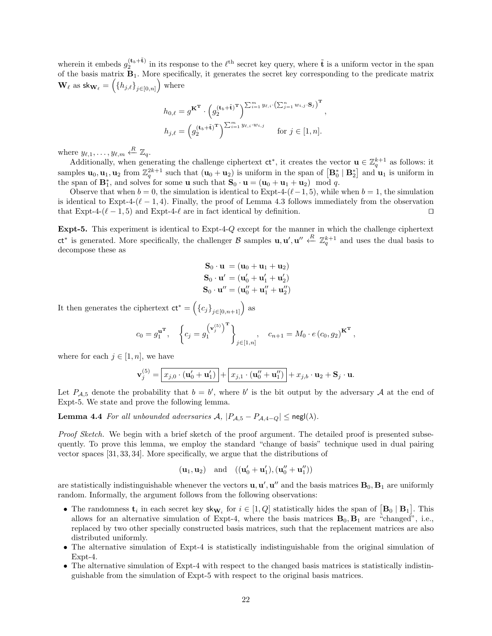wherein it embeds  $g_2^{(t_b+\tilde{t})}$  in its response to the  $\ell^{\text{th}}$  secret key query, where  $\tilde{t}$  is a uniform vector in the span of the basis matrix  $\mathbf{B}_1$ . More specifically, it generates the secret key corresponding to the predicate matrix  $\mathbf{W}_\ell$  as sk $\mathbf{w}_\ell = \left(\left\{h_{j,\ell}\right\}_{j\in[0,n]}\right)$  where

$$
h_{0,\ell} = g^{\mathbf{K}^{\mathbf{T}}} \cdot \left( g_2^{(\mathbf{t}_b + \tilde{\mathbf{t}})^{\mathbf{T}}} \right)^{\sum_{i=1}^m y_{\ell,i} \cdot \left( \sum_{j=1}^n w_{i,j} \cdot \mathbf{S}_j \right)^{\mathbf{T}}},
$$
  

$$
h_{j,\ell} = \left( g_2^{(\mathbf{t}_b + \tilde{\mathbf{t}})^{\mathbf{T}}} \right)^{\sum_{i=1}^m y_{\ell,i} \cdot w_{i,j}} \quad \text{for } j \in [1, n].
$$

where  $y_{\ell,1}, \ldots, y_{\ell,m} \stackrel{R}{\leftarrow} \mathbb{Z}_q$ .

Additionally, when generating the challenge ciphertext  $ct^*$ , it creates the vector  $\mathbf{u} \in \mathbb{Z}_q^{k+1}$  as follows: it samples  $\mathbf{u}_0, \mathbf{u}_1, \mathbf{u}_2$  from  $\mathbb{Z}_q^{2k+1}$  such that  $(\mathbf{u}_0 + \mathbf{u}_2)$  is uniform in the span of  $[\mathbf{B}_0^* \mid \mathbf{B}_2^*]$  and  $\mathbf{u}_1$  is uniform in the span of  $\mathbf{B}_1^*$ , and solves for some **u** such that  $\mathbf{S}_0 \cdot \mathbf{u} = (\mathbf{u}_0 + \mathbf{u}_1 + \mathbf{u}_2) \mod q$ .

Observe that when  $b = 0$ , the simulation is identical to Expt-4-( $\ell$  - 1, 5), while when  $b = 1$ , the simulation is identical to Expt-4- $(\ell - 1, 4)$ . Finally, the proof of Lemma 4.3 follows immediately from the observation that Expt-4-( $\ell$  - 1, 5) and Expt-4- $\ell$  are in fact identical by definition.  $\Box$ 

Expt-5. This experiment is identical to Expt-4-Q except for the manner in which the challenge ciphertext ct<sup>\*</sup> is generated. More specifically, the challenger B samples  $\mathbf{u}, \mathbf{u}', \mathbf{u}'' \leftarrow \mathbb{Z}_q^{k+1}$  and uses the dual basis to decompose these as

$$
S_0 \cdot \mathbf{u} = (\mathbf{u}_0 + \mathbf{u}_1 + \mathbf{u}_2)
$$
  
\n
$$
S_0 \cdot \mathbf{u}' = (\mathbf{u}'_0 + \mathbf{u}'_1 + \mathbf{u}'_2)
$$
  
\n
$$
S_0 \cdot \mathbf{u}'' = (\mathbf{u}''_0 + \mathbf{u}''_1 + \mathbf{u}''_2)
$$

It then generates the ciphertext  $ct^* = \left(\left\{c_j\right\}_{j\in[0,n+1]} \right)$  as

$$
c_0 = g_1^{\mathbf{u}^{\mathbf{T}}}, \quad \left\{ c_j = g_1^{(\mathbf{v}_j^{(5)})^{\mathbf{T}}} \right\}_{j \in [1,n]}, \quad c_{n+1} = M_0 \cdot e(c_0, g_2)^{\mathbf{K}^{\mathbf{T}}},
$$

where for each  $j \in [1, n]$ , we have

$$
\mathbf{v}_{j}^{(5)} = \boxed{x_{j,0} \cdot (\mathbf{u}_{0}^{\prime} + \mathbf{u}_{1}^{\prime})} + \boxed{x_{j,1} \cdot (\mathbf{u}_{0}^{\prime\prime} + \mathbf{u}_{1}^{\prime\prime})} + x_{j,b} \cdot \mathbf{u}_{2} + \mathbf{S}_{j} \cdot \mathbf{u}.
$$

Let  $P_{A,5}$  denote the probability that  $b = b'$ , where b' is the bit output by the adversary A at the end of Expt-5. We state and prove the following lemma.

**Lemma 4.4** For all unbounded adversaries  $A$ ,  $|P_{A,5} - P_{A,4-Q}| \le$  negl( $\lambda$ ).

Proof Sketch. We begin with a brief sketch of the proof argument. The detailed proof is presented subsequently. To prove this lemma, we employ the standard "change of basis" technique used in dual pairing vector spaces [31, 33, 34]. More specifically, we argue that the distributions of

$$
(\mathbf{u}_1,\mathbf{u}_2) \quad \text{and} \quad ((\mathbf{u}_0'+\mathbf{u}_1'),(\mathbf{u}_0''+\mathbf{u}_1''))
$$

are statistically indistinguishable whenever the vectors  $\bf{u}, u', u''$  and the basis matrices  $\bf{B}_0, \bf{B}_1$  are uniformly random. Informally, the argument follows from the following observations:

- The randomness  $\mathbf{t}_i$  in each secret key  $\mathsf{sk}_{\mathbf{W}_i}$  for  $i \in [1, Q]$  statistically hides the span of  $[\mathbf{B}_0 | \mathbf{B}_1]$ . This allows for an alternative simulation of Expt-4, where the basis matrices  $\mathbf{B}_0$ ,  $\mathbf{B}_1$  are "changed", i.e., replaced by two other specially constructed basis matrices, such that the replacement matrices are also distributed uniformly.
- The alternative simulation of Expt-4 is statistically indistinguishable from the original simulation of Expt-4.
- The alternative simulation of Expt-4 with respect to the changed basis matrices is statistically indistinguishable from the simulation of Expt-5 with respect to the original basis matrices.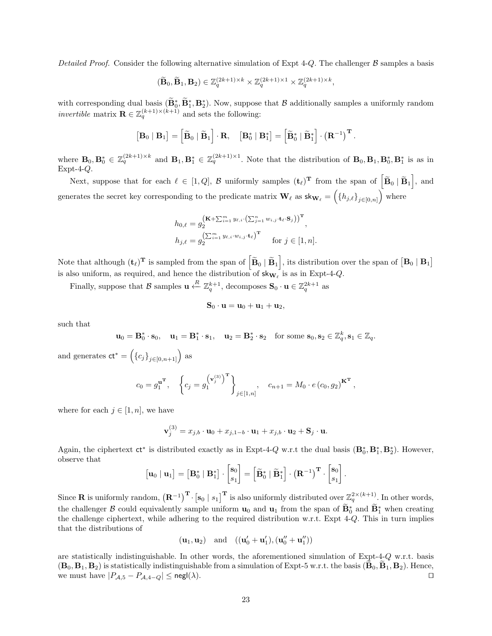Detailed Proof. Consider the following alternative simulation of Expt 4-Q. The challenger  $\beta$  samples a basis

$$
(\widetilde{\mathbf{B}}_0,\widetilde{\mathbf{B}}_1,\mathbf{B}_2)\in\mathbb{Z}_q^{(2k+1)\times k}\times\mathbb{Z}_q^{(2k+1)\times 1}\times\mathbb{Z}_q^{(2k+1)\times k},
$$

with corresponding dual basis  $(\widetilde{\mathbf{B}}_0^*, \widetilde{\mathbf{B}}_1^*, \mathbf{B}_2^*)$ . Now, suppose that B additionally samples a uniformly random *invertible* matrix  $\mathbf{R} \in \mathbb{Z}_q^{(k+1)\times (k+1)}$  and sets the following:

$$
\begin{bmatrix} \mathbf{B}_0 \mid \mathbf{B}_1 \end{bmatrix} = \begin{bmatrix} \widetilde{\mathbf{B}}_0 \mid \widetilde{\mathbf{B}}_1 \end{bmatrix} \cdot \mathbf{R}, \quad \begin{bmatrix} \mathbf{B}_0^* \mid \mathbf{B}_1^* \end{bmatrix} = \begin{bmatrix} \widetilde{\mathbf{B}}_0^* \mid \widetilde{\mathbf{B}}_1^* \end{bmatrix} \cdot \left( \mathbf{R}^{-1} \right)^{\mathbf{T}}.
$$

where  $\mathbf{B}_0, \mathbf{B}_0^* \in \mathbb{Z}_q^{(2k+1)\times k}$  and  $\mathbf{B}_1, \mathbf{B}_1^* \in \mathbb{Z}_q^{(2k+1)\times 1}$ . Note that the distribution of  $\mathbf{B}_0, \mathbf{B}_1, \mathbf{B}_0^*, \mathbf{B}_1^*$  is as in  $Expt-4-Q$ .

Next, suppose that for each  $\ell \in [1, Q], \mathcal{B}$  uniformly samples  $(\mathbf{t}_{\ell})^{\mathbf{T}}$  from the span of  $\left[\widetilde{\mathbf{B}}_{0} \mid \widetilde{\mathbf{B}}_{1}\right]$ , and generates the secret key corresponding to the predicate matrix  $\mathbf{W}_{\ell}$  as  $\mathsf{sk}_{\mathbf{W}_{\ell}} = (\{h_{j,\ell}\}_{j \in [0,n]})$  where

$$
h_{0,\ell} = g_2^{\left(\mathbf{K} + \sum_{i=1}^m y_{\ell,i} \cdot \left(\sum_{j=1}^n w_{i,j} \cdot \mathbf{t}_{\ell} \cdot \mathbf{S}_j\right)\right)^{\mathbf{T}}},
$$
  

$$
h_{j,\ell} = g_2^{\left(\sum_{i=1}^m y_{\ell,i} \cdot w_{i,j} \cdot \mathbf{t}_{\ell}\right)^{\mathbf{T}}} \quad \text{for } j \in [1, n].
$$

Note that although  $(\mathbf{t}_{\ell})^{\mathbf{T}}$  is sampled from the span of  $\left[\widetilde{\mathbf{B}}_{0} \mid \widetilde{\mathbf{B}}_{1}\right]$ , its distribution over the span of  $\left[\mathbf{B}_{0} \mid \mathbf{B}_{1}\right]$ is also uniform, as required, and hence the distribution of  $\mathsf{sk}_{\mathbf{W}_{\ell}}$  is as in Expt-4-Q.

Finally, suppose that B samples  $\mathbf{u} \leftarrow R \mathbb{Z}_q^{k+1}$ , decomposes  $\mathbf{S}_0 \cdot \mathbf{u} \in \mathbb{Z}_q^{2k+1}$  as

$$
\mathbf{S}_0 \cdot \mathbf{u} = \mathbf{u}_0 + \mathbf{u}_1 + \mathbf{u}_2,
$$

such that

$$
\mathbf{u}_0 = \mathbf{B}_0^* \cdot \mathbf{s}_0, \quad \mathbf{u}_1 = \mathbf{B}_1^* \cdot \mathbf{s}_1, \quad \mathbf{u}_2 = \mathbf{B}_2^* \cdot \mathbf{s}_2 \quad \text{for some } \mathbf{s}_0, \mathbf{s}_2 \in \mathbb{Z}_q^k, \mathbf{s}_1 \in \mathbb{Z}_q.
$$

and generates  $ct^* = \left( \{c_j\}_{j\in[0,n+1]} \right)$  as

$$
c_0 = g_1^{\mathbf{u}^{\mathbf{T}}}, \quad \left\{ c_j = g_1^{(\mathbf{v}_j^{(3)})^{\mathbf{T}}} \right\}_{j \in [1,n]}, \quad c_{n+1} = M_0 \cdot e(c_0, g_2)^{\mathbf{K}^{\mathbf{T}}},
$$

where for each  $j \in [1, n]$ , we have

$$
\mathbf{v}_j^{(3)} = x_{j,b} \cdot \mathbf{u}_0 + x_{j,1-b} \cdot \mathbf{u}_1 + x_{j,b} \cdot \mathbf{u}_2 + \mathbf{S}_j \cdot \mathbf{u}.
$$

Again, the ciphertext  $ct^*$  is distributed exactly as in Expt-4-Q w.r.t the dual basis  $(\mathbf{B}_0^*, \mathbf{B}_1^*, \mathbf{B}_2^*)$ . However, observe that

$$
\begin{bmatrix} \mathbf{u}_0 \mid \mathbf{u}_1 \end{bmatrix} = \begin{bmatrix} \mathbf{B}_0^* \mid \mathbf{B}_1^* \end{bmatrix} \cdot \begin{bmatrix} \mathbf{s}_0 \\ s_1 \end{bmatrix} = \begin{bmatrix} \widetilde{\mathbf{B}}_0^* \mid \widetilde{\mathbf{B}}_1^* \end{bmatrix} \cdot \left( \mathbf{R}^{-1} \right)^{\mathbf{T}} \cdot \begin{bmatrix} \mathbf{s}_0 \\ s_1 \end{bmatrix}.
$$

Since **R** is uniformly random,  $(\mathbf{R}^{-1})^{\mathbf{T}} \cdot [s_0 | s_1]^{\mathbf{T}}$  is also uniformly distributed over  $\mathbb{Z}_q^{2 \times (k+1)}$ . In other words, the challenger B could equivalently sample uniform  $\mathbf{u}_0$  and  $\mathbf{u}_1$  from the span of  $\mathbf{B}_0^*$  and  $\mathbf{B}_1^*$  when creating the challenge ciphertext, while adhering to the required distribution w.r.t. Expt 4-Q. This in turn implies that the distributions of

$$
(\mathbf{u}_1, \mathbf{u}_2) \quad \text{and} \quad ((\mathbf{u}'_0 + \mathbf{u}'_1), (\mathbf{u}''_0 + \mathbf{u}''_1))
$$

are statistically indistinguishable. In other words, the aforementioned simulation of Expt-4-Q w.r.t. basis  $(\mathbf{B}_0, \mathbf{B}_1, \mathbf{B}_2)$  is statistically indistinguishable from a simulation of Expt-5 w.r.t. the basis  $(\mathbf{B}_0, \mathbf{B}_1, \mathbf{B}_2)$ . Hence, we must have  $|P_{\mathbf{A}}| \leq P_{\mathbf{A}}|_{\mathbf{A} > 0}| \leq \mathsf{neq}(\lambda)$ . we must have  $|P_{A,5} - P_{A,4-Q}| \leq \mathsf{negl}(\lambda)$ .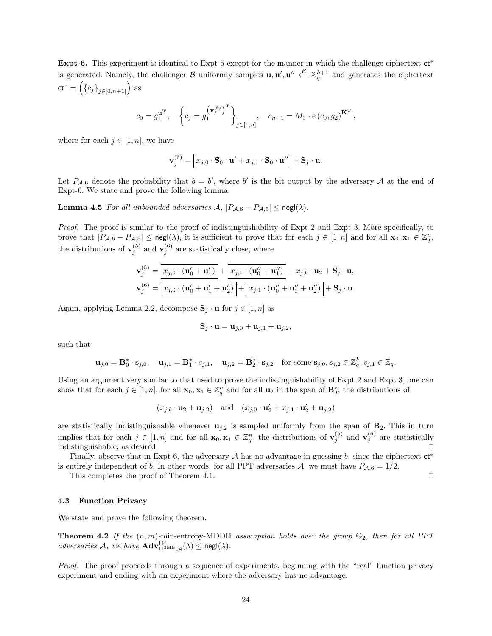Expt-6. This experiment is identical to Expt-5 except for the manner in which the challenge ciphertext ct<sup>∗</sup> is generated. Namely, the challenger B uniformly samples  $\mathbf{u}, \mathbf{u}', \mathbf{u}'' \leftarrow \mathbb{Z}_q^{k+1}$  and generates the ciphertext  $ct^* = \left( \{c_j\}_{j \in [0, n+1]} \right)$  as

$$
c_0 = g_1^{\mathbf{u}^{\mathbf{T}}}, \quad \left\{ c_j = g_1^{(\mathbf{v}_j^{(6)})^{\mathbf{T}}} \right\}_{j \in [1,n]}, \quad c_{n+1} = M_0 \cdot e(c_0, g_2)^{\mathbf{K}^{\mathbf{T}}},
$$

where for each  $j \in [1, n]$ , we have

$$
\mathbf{v}_{j}^{(6)} = \boxed{x_{j,0} \cdot \mathbf{S}_{0} \cdot \mathbf{u}' + x_{j,1} \cdot \mathbf{S}_{0} \cdot \mathbf{u}''} + \mathbf{S}_{j} \cdot \mathbf{u}.
$$

Let  $P_{A,6}$  denote the probability that  $b = b'$ , where b' is the bit output by the adversary A at the end of Expt-6. We state and prove the following lemma.

**Lemma 4.5** For all unbounded adversaries  $A$ ,  $|P_{A,6} - P_{A,5}| \le$  negl( $\lambda$ ).

Proof. The proof is similar to the proof of indistinguishability of Expt 2 and Expt 3. More specifically, to prove that  $|P_{\mathcal{A},6} - P_{\mathcal{A},5}| \leq \text{negl}(\lambda)$ , it is sufficient to prove that for each  $j \in [1, n]$  and for all  $\mathbf{x}_0, \mathbf{x}_1 \in \mathbb{Z}_q^n$ , the distributions of  $\mathbf{v}_j^{(5)}$  and  $\mathbf{v}_j^{(6)}$  are statistically close, where

$$
\mathbf{v}_{j}^{(5)} = \boxed{x_{j,0} \cdot (\mathbf{u}_{0}^{\prime} + \mathbf{u}_{1}^{\prime})} + \boxed{x_{j,1} \cdot (\mathbf{u}_{0}^{\prime\prime} + \mathbf{u}_{1}^{\prime\prime})} + x_{j,b} \cdot \mathbf{u}_{2} + \mathbf{S}_{j} \cdot \mathbf{u},
$$
  

$$
\mathbf{v}_{j}^{(6)} = \boxed{x_{j,0} \cdot (\mathbf{u}_{0}^{\prime} + \mathbf{u}_{1}^{\prime} + \mathbf{u}_{2}^{\prime})} + \boxed{x_{j,1} \cdot (\mathbf{u}_{0}^{\prime\prime} + \mathbf{u}_{1}^{\prime\prime} + \mathbf{u}_{2}^{\prime\prime})} + \mathbf{S}_{j} \cdot \mathbf{u}.
$$

Again, applying Lemma 2.2, decompose  $\mathbf{S}_j \cdot \mathbf{u}$  for  $j \in [1, n]$  as

$$
\mathbf{S}_j \cdot \mathbf{u} = \mathbf{u}_{j,0} + \mathbf{u}_{j,1} + \mathbf{u}_{j,2},
$$

such that

$$
\mathbf u_{j,0}=\mathbf B_0^*\cdot \mathbf s_{j,0}, \quad \mathbf u_{j,1}=\mathbf B_1^*\cdot s_{j,1}, \quad \mathbf u_{j,2}=\mathbf B_2^*\cdot \mathbf s_{j,2} \quad \text{for some } \mathbf s_{j,0}, \mathbf s_{j,2}\in \mathbb Z_q^k, s_{j,1}\in \mathbb Z_q.
$$

Using an argument very similar to that used to prove the indistinguishability of Expt 2 and Expt 3, one can show that for each  $j \in [1, n]$ , for all  $\mathbf{x}_0, \mathbf{x}_1 \in \mathbb{Z}_q^n$  and for all  $\mathbf{u}_2$  in the span of  $\mathbf{B}_2^*$ , the distributions of

$$
(x_{j,b} \cdot \mathbf{u}_2 + \mathbf{u}_{j,2})
$$
 and  $(x_{j,0} \cdot \mathbf{u}'_2 + x_{j,1} \cdot \mathbf{u}'_2 + \mathbf{u}_{j,2})$ 

are statistically indistinguishable whenever  $\mathbf{u}_{j,2}$  is sampled uniformly from the span of  $\mathbf{B}_2$ . This in turn implies that for each  $j \in [1, n]$  and for all  $\mathbf{x}_0, \mathbf{x}_1 \in \mathbb{Z}_q^n$ , the distributions of  $\mathbf{v}_j^{(5)}$  and  $\mathbf{v}_j^{(6)}$  are statistically indistinguishable, as desired.  $\square$ 

Finally, observe that in Expt-6, the adversary  $A$  has no advantage in guessing b, since the ciphertext  $ct^*$ is entirely independent of b. In other words, for all PPT adversaries A, we must have  $P_{A,6} = 1/2$ .

This completes the proof of Theorem 4.1.  $\Box$ 

#### 4.3 Function Privacy

We state and prove the following theorem.

**Theorem 4.2** If the  $(n, m)$ -min-entropy-MDDH assumption holds over the group  $\mathbb{G}_2$ , then for all PPT adversaries A, we have  $\mathbf{Adv}_{\Pi^{\mathrm{SME}},\mathcal{A}}^{\mathsf{FP}}(\lambda) \le \mathsf{negl}(\lambda)$ .

Proof. The proof proceeds through a sequence of experiments, beginning with the "real" function privacy experiment and ending with an experiment where the adversary has no advantage.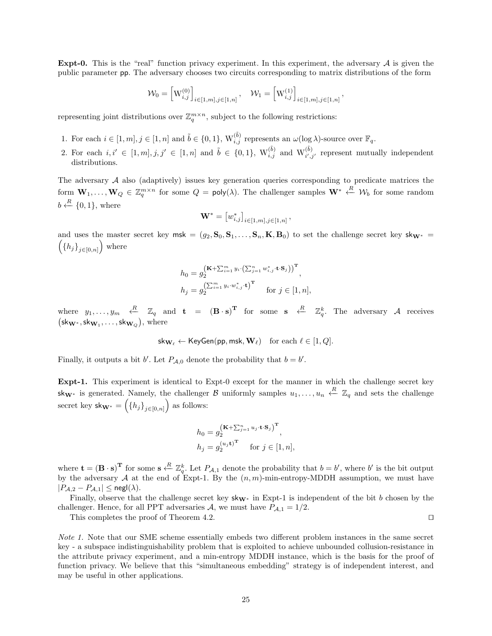**Expt-0.** This is the "real" function privacy experiment. In this experiment, the adversary  $A$  is given the public parameter pp. The adversary chooses two circuits corresponding to matrix distributions of the form

$$
\mathcal{W}_0 = \left[\mathbf{W}_{i,j}^{(0)}\right]_{i \in [1,m], j \in [1,n]}, \quad \mathcal{W}_1 = \left[\mathbf{W}_{i,j}^{(1)}\right]_{i \in [1,m], j \in [1,n]},
$$

representing joint distributions over  $\mathbb{Z}_q^{m \times n}$ , subject to the following restrictions:

- 1. For each  $i \in [1, m], j \in [1, n]$  and  $\tilde{b} \in \{0, 1\}$ ,  $\mathbf{W}_{i,j}^{(\tilde{b})}$  represents an  $\omega(\log \lambda)$ -source over  $\mathbb{F}_q$ .
- 2. For each  $i, i' \in [1, m], j, j' \in [1, n]$  and  $\tilde{b} \in \{0, 1\}$ ,  $W_{i,j}^{(\tilde{b})}$  and  $W_{i',j'}^{(\tilde{b})}$  represent mutually independent distributions.

The adversary A also (adaptively) issues key generation queries corresponding to predicate matrices the form  $\mathbf{W}_1,\ldots,\mathbf{W}_Q\in\mathbb{Z}_q^{m\times n}$  for some  $Q = \mathsf{poly}(\lambda).$  The challenger samples  $\mathbf{W}^*\overset{R}{\leftarrow}\mathcal{W}_b$  for some random  $b \stackrel{R}{\leftarrow} \{0,1\}$ , where

$$
\mathbf{W}^* = \left[w_{i,j}^*\right]_{i \in [1,m], j \in [1,n]},
$$

and uses the master secret key msk =  $(g_2, \mathbf{S}_0, \mathbf{S}_1, \ldots, \mathbf{S}_n, \mathbf{K}, \mathbf{B}_0)$  to set the challenge secret key sk $\mathbf{w}^*$  =  $(\lbrace h_j \rbrace_{j \in [0,n]} )$  where

$$
h_0 = g_2^{\left(\mathbf{K} + \sum_{i=1}^m y_i \cdot (\sum_{j=1}^n w_{i,j}^* \cdot \mathbf{t} \cdot \mathbf{S}_j)\right)^{\mathbf{T}}},
$$
  

$$
h_j = g_2^{\left(\sum_{i=1}^m y_i \cdot w_{i,j}^* \cdot \mathbf{t}\right)^{\mathbf{T}}} \quad \text{for } j \in [1, n],
$$

where  $y_1,\ldots,y_m \stackrel{R}{\leftarrow} \mathbb{Z}_q$  and  $\mathbf{t} = (\mathbf{B}\cdot\mathbf{s})^{\mathbf{T}}$  for some  $\mathbf{s} \stackrel{R}{\leftarrow} \mathbb{Z}_q^k$ . The adversary A receives  $\left($ sk $_{\mathbf{W}^*}$ , sk $_{\mathbf{W}_1}$ ,  $\dots$ , sk $_{\mathbf{W}_Q}$ ), where

$$
\mathsf{sk}_{\mathbf{W}_{\ell}} \leftarrow \mathsf{KeyGen}(\mathsf{pp},\mathsf{msk},\mathbf{W}_{\ell}) \quad \text{for each } \ell \in [1,Q].
$$

Finally, it outputs a bit b'. Let  $P_{A,0}$  denote the probability that  $b = b'$ .

Expt-1. This experiment is identical to Expt-0 except for the manner in which the challenge secret key sk<sub>W<sup>∗</sup></sub> is generated. Namely, the challenger B uniformly samples  $u_1, \ldots, u_n \stackrel{R}{\leftarrow} \mathbb{Z}_q$  and sets the challenge secret key sk $_{\mathbf{W}^*} = \left(\left\{h_j\right\}_{j\in[0,n]}\right)$  as follows:

$$
h_0 = g_2^{\left(\mathbf{K} + \sum_{j=1}^n u_j \cdot \mathbf{t} \cdot \mathbf{S}_j\right)^{\mathrm{T}}},
$$
  

$$
h_j = g_2^{\left(u_j \mathbf{t}\right)^{\mathrm{T}}} \quad \text{for } j \in [1, n],
$$

where  $\mathbf{t} = (\mathbf{B} \cdot \mathbf{s})^{\mathbf{T}}$  for some  $\mathbf{s} \stackrel{R}{\leftarrow} \mathbb{Z}_q^k$ . Let  $P_{\mathcal{A},1}$  denote the probability that  $b = b'$ , where  $b'$  is the bit output by the adversary A at the end of Expt-1. By the  $(n, m)$ -min-entropy-MDDH assumption, we must have  $|P_{A,2} - P_{A,1}| \leq$  negl $(\lambda)$ .

Finally, observe that the challenge secret key  $\mathbf{sk}_{\mathbf{W}^*}$  in Expt-1 is independent of the bit b chosen by the challenger. Hence, for all PPT adversaries A, we must have  $P_{A,1} = 1/2$ .

This completes the proof of Theorem 4.2.  $\Box$ 

Note 1. Note that our SME scheme essentially embeds two different problem instances in the same secret key - a subspace indistinguishability problem that is exploited to achieve unbounded collusion-resistance in the attribute privacy experiment, and a min-entropy MDDH instance, which is the basis for the proof of function privacy. We believe that this "simultaneous embedding" strategy is of independent interest, and may be useful in other applications.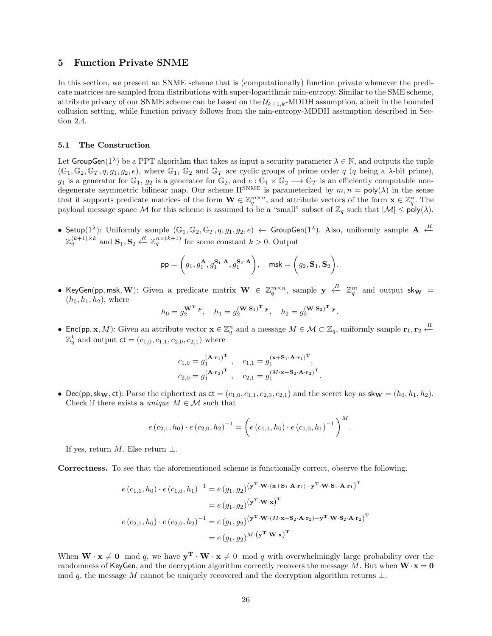# 5 Function Private SNME

In this section, we present an SNME scheme that is (computationally) function private whenever the predicate matrices are sampled from distributions with super-logarithmic min-entropy. Similar to the SME scheme, attribute privacy of our SNME scheme can be based on the  $\mathcal{U}_{k+1,k}$ -MDDH assumption, albeit in the bounded collusion setting, while function privacy follows from the min-entropy-MDDH assumption described in Section 2.4.

## 5.1 The Construction

Let GroupGen( $1^{\lambda}$ ) be a PPT algorithm that takes as input a security parameter  $\lambda \in \mathbb{N}$ , and outputs the tuple  $(\mathbb{G}_1, \mathbb{G}_2, \mathbb{G}_T, q, g_1, g_2, e)$ , where  $\mathbb{G}_1$ ,  $\mathbb{G}_2$  and  $\mathbb{G}_T$  are cyclic groups of prime order q (q being a  $\lambda$ -bit prime), g<sub>1</sub> is a generator for  $\mathbb{G}_1$ ,  $g_2$  is a generator for  $\mathbb{G}_2$ , and  $e : \mathbb{G}_1 \times \mathbb{G}_2 \longrightarrow \mathbb{G}_T$  is an efficiently computable nondegenerate asymmetric bilinear map. Our scheme  $\Pi^{\text{SNME}}$  is parameterized by  $m, n = \text{poly}(\lambda)$  in the sense that it supports predicate matrices of the form  $\mathbf{W} \in \mathbb{Z}_q^{m \times n}$ , and attribute vectors of the form  $\mathbf{x} \in \mathbb{Z}_q^n$ . The payload message space M for this scheme is assumed to be a "small" subset of  $\mathbb{Z}_q$  such that  $|\mathcal{M}| \leq \text{poly}(\lambda)$ .

• Setup(1<sup> $\lambda$ </sup>): Uniformly sample  $(\mathbb{G}_1, \mathbb{G}_2, \mathbb{G}_T, q, g_1, g_2, e)$  ← GroupGen(1 $\lambda$ ). Also, uniformly sample  $\mathbf{A} \xleftarrow{R}$  $\mathbb{Z}_q^{(k+1)\times k}$  and  $\mathbf{S}_1, \mathbf{S}_2 \stackrel{R}{\leftarrow} \mathbb{Z}_q^{n\times (k+1)}$  for some constant  $k > 0$ . Output

$$
\mathsf{pp} = \bigg(g_1, g_1^\mathbf{A}, g_1^{\mathbf{S}_1 \cdot \mathbf{A}}, g_1^{\mathbf{S}_2 \cdot \mathbf{A}}\bigg), \quad \mathsf{msk} = \bigg(g_2, \mathbf{S}_1, \mathbf{S}_2\bigg).
$$

• KeyGen(pp, msk, W): Given a predicate matrix  $\mathbf{W}$   $\in$   $\mathbb{Z}_q^{m\times n}$ , sample  $\mathbf{y}$   $\stackrel{R}{\leftarrow}$   $\mathbb{Z}_q^{m}$  and output sk $\mathbf{w}$  =  $(h_0, h_1, h_2)$ , where

$$
h_0 = g_2^{\mathbf{W}^{\mathbf{T}} \cdot \mathbf{y}}, \quad h_1 = g_2^{\left(\mathbf{W} \cdot \mathbf{S}_1\right)^{\mathbf{T}} \cdot \mathbf{y}}, \quad h_2 = g_2^{\left(\mathbf{W} \cdot \mathbf{S}_2\right)^{\mathbf{T}} \cdot \mathbf{y}}.
$$

• Enc(pp, x, M): Given an attribute vector  $\mathbf{x} \in \mathbb{Z}_q^n$  and a message  $M \in \mathcal{M} \subset \mathbb{Z}_q$ , uniformly sample  $\mathbf{r}_1, \mathbf{r}_2 \stackrel{R}{\leftarrow}$  $\mathbb{Z}_q^k$  and output  $ct = (c_{1,0}, c_{1,1}, c_{2,0}, c_{2,1})$  where

$$
\begin{aligned} c_{1,0} &= g_1^{(\mathbf{A} \cdot \mathbf{r}_1)^{\mathbf{T}}} \ , \quad c_{1,1} = g_1^{(\mathbf{x} + \mathbf{S}_1 \cdot \mathbf{A} \cdot \mathbf{r}_1)^{\mathbf{T}}} , \\ c_{2,0} &= g_1^{(\mathbf{A} \cdot \mathbf{r}_2)^{\mathbf{T}}} \ , \quad c_{2,1} = g_1^{(M \cdot \mathbf{x} + \mathbf{S}_2 \cdot \mathbf{A} \cdot \mathbf{r}_2)^{\mathbf{T}} } . \end{aligned}
$$

• Dec(pp, sk<sub>W</sub>, ct): Parse the ciphertext as  $ct = (c_{1,0}, c_{1,1}, c_{2,0}, c_{2,1})$  and the secret key as  $\mathbf{sk_W} = (h_0, h_1, h_2)$ . Check if there exists a *unique*  $M \in \mathcal{M}$  such that

$$
e(c_{2,1}, h_0) \cdot e(c_{2,0}, h_2)^{-1} = \left(e(c_{1,1}, h_0) \cdot e(c_{1,0}, h_1)^{-1}\right)^M.
$$

If yes, return M. Else return  $\perp$ .

Correctness. To see that the aforementioned scheme is functionally correct, observe the following.

$$
e(c_{1,1}, h_0) \cdot e(c_{1,0}, h_1)^{-1} = e(g_1, g_2)^{(\mathbf{y}^T \cdot \mathbf{W} \cdot (\mathbf{x} + \mathbf{S}_1 \cdot \mathbf{A} \cdot \mathbf{r}_1) - \mathbf{y}^T \cdot \mathbf{W} \cdot \mathbf{S}_1 \cdot \mathbf{A} \cdot \mathbf{r}_1)^{\mathrm{T}}
$$
  
\n
$$
= e(g_1, g_2)^{(\mathbf{y}^T \cdot \mathbf{W} \cdot \mathbf{x})^{\mathrm{T}}
$$
  
\n
$$
e(c_{2,1}, h_0) \cdot e(c_{2,0}, h_2)^{-1} = e(g_1, g_2)^{(\mathbf{y}^T \cdot \mathbf{W} \cdot (M \cdot \mathbf{x} + \mathbf{S}_2 \cdot \mathbf{A} \cdot \mathbf{r}_2) - \mathbf{y}^{\mathrm{T}} \cdot \mathbf{W} \cdot \mathbf{S}_2 \cdot \mathbf{A} \cdot \mathbf{r}_2)^{\mathrm{T}}
$$
  
\n
$$
= e(g_1, g_2)^{M \cdot (\mathbf{y}^{\mathrm{T}} \cdot \mathbf{W} \cdot \mathbf{x})^{\mathrm{T}}
$$

When  $\mathbf{W} \cdot \mathbf{x} \neq \mathbf{0} \mod q$ , we have  $\mathbf{y}^T \cdot \mathbf{W} \cdot \mathbf{x} \neq 0 \mod q$  with overwhelmingly large probability over the randomness of KeyGen, and the decryption algorithm correctly recovers the message M. But when  $\mathbf{W} \cdot \mathbf{x} = \mathbf{0}$ mod q, the message M cannot be uniquely recovered and the decryption algorithm returns  $\perp$ .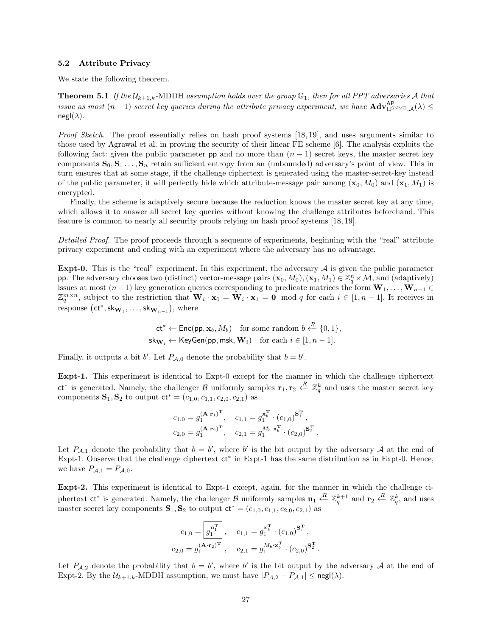#### 5.2 Attribute Privacy

We state the following theorem.

**Theorem 5.1** If the  $\mathcal{U}_{k+1,k}$ -MDDH assumption holds over the group  $\mathbb{G}_1$ , then for all PPT adversaries A that issue as most  $(n-1)$  secret key queries during the attribute privacy experiment, we have  $\text{Adv}_{\Pi^{\text{SNME}},\mathcal{A}}^{\text{AP}}(\lambda) \leq$  $negl(\lambda)$ .

Proof Sketch. The proof essentially relies on hash proof systems [18, 19], and uses arguments similar to those used by Agrawal et al. in proving the security of their linear FE scheme [6]. The analysis exploits the following fact: given the public parameter **pp** and no more than  $(n - 1)$  secret keys, the master secret key components  $\mathbf{S}_0, \mathbf{S}_1, \ldots, \mathbf{S}_n$  retain sufficient entropy from an (unbounded) adversary's point of view. This in turn ensures that at some stage, if the challenge ciphertext is generated using the master-secret-key instead of the public parameter, it will perfectly hide which attribute-message pair among  $(\mathbf{x}_0, M_0)$  and  $(\mathbf{x}_1, M_1)$  is encrypted.

Finally, the scheme is adaptively secure because the reduction knows the master secret key at any time, which allows it to answer all secret key queries without knowing the challenge attributes beforehand. This feature is common to nearly all security proofs relying on hash proof systems [18, 19].

Detailed Proof. The proof proceeds through a sequence of experiments, beginning with the "real" attribute privacy experiment and ending with an experiment where the adversary has no advantage.

**Expt-0.** This is the "real" experiment. In this experiment, the adversary  $\mathcal{A}$  is given the public parameter pp. The adversary chooses two (distinct) vector-message pairs  $(\mathbf{x}_0, M_0), (\mathbf{x}_1, M_1) \in \mathbb{Z}_q^n \times \mathcal{M}$ , and (adaptively) issues at most  $(n-1)$  key generation queries corresponding to predicate matrices the form  $\mathbf{W}_1, \ldots, \mathbf{W}_{n-1}$  ∈  $\mathbb{Z}_q^{m \times n}$ , subject to the restriction that  $\mathbf{W}_i \cdot \mathbf{x}_0 = \mathbf{W}_i \cdot \mathbf{x}_1 = \mathbf{0} \mod q$  for each  $i \in [1, n-1]$ . It receives in response  $(\mathsf{ct^*},\mathsf{skw}_1,\ldots,\mathsf{skw}_{n-1}),$  where

> $ct^* \leftarrow \mathsf{Enc}(\mathsf{pp}, \mathbf{x}_b, M_b)$  for some random  $b \stackrel{R}{\leftarrow} \{0, 1\},$  $\mathsf{sk}_{\mathbf{W}_i} \leftarrow \mathsf{KeyGen}(\mathsf{pp}, \mathsf{msk}, \mathbf{W}_i)$  for each  $i \in [1, n-1]$ .

Finally, it outputs a bit b'. Let  $P_{A,0}$  denote the probability that  $b = b'$ .

Expt-1. This experiment is identical to Expt-0 except for the manner in which the challenge ciphertext ct<sup>\*</sup> is generated. Namely, the challenger B uniformly samples  $\mathbf{r}_1, \mathbf{r}_2 \stackrel{R}{\leftarrow} \mathbb{Z}_q^k$  and uses the master secret key components  $S_1, S_2$  to output  $ct^* = (c_{1,0}, c_{1,1}, c_{2,0}, c_{2,1})$  as

$$
c_{1,0} = g_1^{(\mathbf{A} \cdot \mathbf{r}_1)^{\mathbf{T}}}, \quad c_{1,1} = g_1^{\mathbf{x}_0^{\mathbf{T}}} \cdot (c_{1,0})^{\mathbf{S}_1^{\mathbf{T}}},
$$

$$
c_{2,0} = g_1^{(\mathbf{A} \cdot \mathbf{r}_2)^{\mathbf{T}}}, \quad c_{2,1} = g_1^{M_b \cdot \mathbf{x}_b^{\mathbf{T}}} \cdot (c_{2,0})^{\mathbf{S}_2^{\mathbf{T}}}.
$$

Let  $P_{A,1}$  denote the probability that  $b = b'$ , where b' is the bit output by the adversary A at the end of Expt-1. Observe that the challenge ciphertext ct<sup>∗</sup> in Expt-1 has the same distribution as in Expt-0. Hence, we have  $P_{A,1} = P_{A,0}$ .

Expt-2. This experiment is identical to Expt-1 except, again, for the manner in which the challenge ciphertext  $ct^*$  is generated. Namely, the challenger B uniformly samples  $\mathbf{u}_1 \stackrel{R}{\leftarrow} \mathbb{Z}_q^{k+1}$  and  $\mathbf{r}_2 \stackrel{R}{\leftarrow} \mathbb{Z}_q^k$ , and uses master secret key components  $S_1, S_2$  to output  $ct^* = (c_{1,0}, c_{1,1}, c_{2,0}, c_{2,1})$  as

$$
c_{1,0} = \begin{bmatrix} g_1^{\mathbf{u}_1^{\mathbf{T}}} \\ g_1^{(\mathbf{u}_1)} \end{bmatrix}, \quad c_{1,1} = g_1^{\mathbf{x}_b^{\mathbf{T}}} \cdot (c_{1,0})^{\mathbf{S}_1^{\mathbf{T}}},
$$
  

$$
c_{2,0} = g_1^{(\mathbf{A} \cdot \mathbf{r}_2)^{\mathbf{T}}}, \quad c_{2,1} = g_1^{M_b \cdot \mathbf{x}_b^{\mathbf{T}}} \cdot (c_{2,0})^{\mathbf{S}_2^{\mathbf{T}}}.
$$

Let  $P_{A,2}$  denote the probability that  $b = b'$ , where b' is the bit output by the adversary A at the end of Expt-2. By the  $\mathcal{U}_{k+1,k}$ -MDDH assumption, we must have  $|P_{\mathcal{A},2} - P_{\mathcal{A},1}| \leq \text{negl}(\lambda)$ .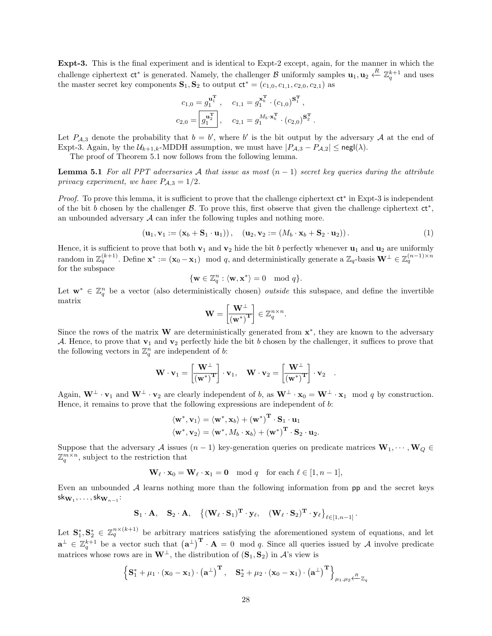Expt-3. This is the final experiment and is identical to Expt-2 except, again, for the manner in which the challenge ciphertext  $ct^*$  is generated. Namely, the challenger  $\mathcal B$  uniformly samples  $\mathbf u_1, \mathbf u_2 \leftarrow^R \mathbb{Z}_q^{k+1}$  and uses the master secret key components  $S_1, S_2$  to output  $ct^* = (c_{1,0}, c_{1,1}, c_{2,0}, c_{2,1})$  as

$$
c_{1,0} = g_1^{\mathbf{u}_1^{\mathbf{T}}}, \quad c_{1,1} = g_1^{\mathbf{x}_b^{\mathbf{T}}}\cdot (c_{1,0})^{\mathbf{S}_1^{\mathbf{T}}},
$$

$$
c_{2,0} = \boxed{g_1^{\mathbf{u}_2^{\mathbf{T}}}}, \quad c_{2,1} = g_1^{M_b \cdot \mathbf{x}_b^{\mathbf{T}}}\cdot (c_{2,0})^{\mathbf{S}_2^{\mathbf{T}}}.
$$

Let  $P_{A,3}$  denote the probability that  $b = b'$ , where b' is the bit output by the adversary A at the end of Expt-3. Again, by the  $\mathcal{U}_{k+1,k}$ -MDDH assumption, we must have  $|P_{\mathcal{A},3} - P_{\mathcal{A},2}| \leq \text{negl}(\lambda)$ .

The proof of Theorem 5.1 now follows from the following lemma.

**Lemma 5.1** For all PPT adversaries A that issue as most  $(n-1)$  secret key queries during the attribute privacy experiment, we have  $P_{A,3} = 1/2$ .

*Proof.* To prove this lemma, it is sufficient to prove that the challenge ciphertext ct<sup>\*</sup> in Expt-3 is independent of the bit b chosen by the challenger  $\beta$ . To prove this, first observe that given the challenge ciphertext  $ct^*$ , an unbounded adversary  $\mathcal A$  can infer the following tuples and nothing more.

$$
(\mathbf{u}_1, \mathbf{v}_1) := (\mathbf{x}_b + \mathbf{S}_1 \cdot \mathbf{u}_1)), \quad (\mathbf{u}_2, \mathbf{v}_2) := (M_b \cdot \mathbf{x}_b + \mathbf{S}_2 \cdot \mathbf{u}_2)). \tag{1}
$$

Hence, it is sufficient to prove that both  $v_1$  and  $v_2$  hide the bit b perfectly whenever  $u_1$  and  $u_2$  are uniformly random in  $\mathbb{Z}_q^{(k+1)}$ . Define  $\mathbf{x}^* := (\mathbf{x}_0 - \mathbf{x}_1) \mod q$ , and deterministically generate a  $\mathbb{Z}_q$ -basis  $\mathbf{W}^{\perp} \in \mathbb{Z}_q^{(n-1)\times n}$ for the subspace

$$
\{ \mathbf{w} \in \mathbb{Z}_q^n : \langle \mathbf{w}, \mathbf{x}^* \rangle = 0 \mod q \}.
$$

Let  $\mathbf{w}^* \in \mathbb{Z}_q^n$  be a vector (also deterministically chosen) *outside* this subspace, and define the invertible matrix

$$
\mathbf{W} = \begin{bmatrix} \mathbf{W}^{\perp} \\ \overline{(\mathbf{w}^*)^{\mathbf{T}}} \end{bmatrix} \in \mathbb{Z}_q^{n \times n}.
$$

Since the rows of the matrix W are deterministically generated from  $x^*$ , they are known to the adversary A. Hence, to prove that  $\mathbf{v}_1$  and  $\mathbf{v}_2$  perfectly hide the bit b chosen by the challenger, it suffices to prove that the following vectors in  $\mathbb{Z}_q^n$  are independent of b:

$$
\mathbf{W}\cdot \mathbf{v}_1 = \begin{bmatrix} \mathbf{W}^{\perp} \\ \overline{\left(\mathbf{w}^{*}\right)^{\mathbf{T}}} \end{bmatrix} \cdot \mathbf{v}_1, \quad \mathbf{W}\cdot \mathbf{v}_2 = \begin{bmatrix} \mathbf{W}^{\perp} \\ \overline{\left(\mathbf{w}^{*}\right)^{\mathbf{T}}} \end{bmatrix} \cdot \mathbf{v}_2 \quad .
$$

Again,  $W^{\perp} \cdot v_1$  and  $W^{\perp} \cdot v_2$  are clearly independent of b, as  $W^{\perp} \cdot x_0 = W^{\perp} \cdot x_1 \mod q$  by construction. Hence, it remains to prove that the following expressions are independent of  $b$ :

$$
\begin{aligned} \langle \mathbf{w}^*, \mathbf{v}_1 \rangle &= \langle \mathbf{w}^*, \mathbf{x}_b \rangle + (\mathbf{w}^*)^{\mathbf{T}} \cdot \mathbf{S}_1 \cdot \mathbf{u}_1 \\ \langle \mathbf{w}^*, \mathbf{v}_2 \rangle &= \langle \mathbf{w}^*, M_b \cdot \mathbf{x}_b \rangle + (\mathbf{w}^*)^{\mathbf{T}} \cdot \mathbf{S}_2 \cdot \mathbf{u}_2. \end{aligned}
$$

Suppose that the adversary A issues  $(n-1)$  key-generation queries on predicate matrices  $\mathbf{W}_1, \cdots, \mathbf{W}_Q \in$  $\mathbb{Z}_q^{m \times n}$ , subject to the restriction that

$$
\mathbf{W}_{\ell} \cdot \mathbf{x}_0 = \mathbf{W}_{\ell} \cdot \mathbf{x}_1 = \mathbf{0} \mod q \text{ for each } \ell \in [1, n-1],
$$

Even an unbounded  $A$  learns nothing more than the following information from  $pp$  and the secret keys  $\mathsf{sk}_{\mathbf{W}_1}, \ldots, \mathsf{sk}_{\mathbf{W}_{n-1}}$ :

$$
\mathbf{S}_1 \cdot \mathbf{A}, \quad \mathbf{S}_2 \cdot \mathbf{A}, \quad \left\{ (\mathbf{W}_{\ell} \cdot \mathbf{S}_1)^{\mathbf{T}} \cdot \mathbf{y}_{\ell}, \quad (\mathbf{W}_{\ell} \cdot \mathbf{S}_2)^{\mathbf{T}} \cdot \mathbf{y}_{\ell} \right\}_{\ell \in [1, n-1]}.
$$

Let  $S_1^*, S_2^* \in \mathbb{Z}_q^{n \times (k+1)}$  be arbitrary matrices satisfying the aforementioned system of equations, and let  $\mathbf{a}^{\perp} \in \mathbb{Z}_q^{k+1}$  be a vector such that  $(\mathbf{a}^{\perp})^{\mathbf{T}} \cdot \mathbf{A} = 0 \mod q$ . Since all queries issued by A involve predicate matrices whose rows are in  $\mathbf{W}^{\perp}$ , the distribution of  $(\mathbf{S}_1, \mathbf{S}_2)$  in A's view is

$$
\left\{ \mathbf{S}_{1}^{*} + \mu_{1} \cdot (\mathbf{x}_{0} - \mathbf{x}_{1}) \cdot (\mathbf{a}^{\perp})^{\mathbf{T}}, \quad \mathbf{S}_{2}^{*} + \mu_{2} \cdot (\mathbf{x}_{0} - \mathbf{x}_{1}) \cdot (\mathbf{a}^{\perp})^{\mathbf{T}} \right\}_{\mu_{1}, \mu_{2} \leftarrow \mathcal{R}_{\mathbb{Z}_{q}}}
$$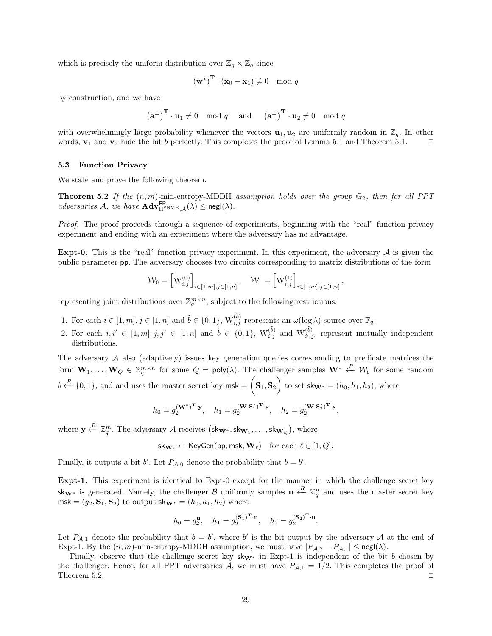which is precisely the uniform distribution over  $\mathbb{Z}_q \times \mathbb{Z}_q$  since

$$
(\mathbf{w}^*)^{\mathbf{T}} \cdot (\mathbf{x}_0 - \mathbf{x}_1) \neq 0 \mod q
$$

by construction, and we have

$$
(\mathbf{a}^{\perp})^{\mathbf{T}} \cdot \mathbf{u}_1 \neq 0 \mod q \text{ and } (\mathbf{a}^{\perp})^{\mathbf{T}} \cdot \mathbf{u}_2 \neq 0 \mod q
$$

with overwhelmingly large probability whenever the vectors  $\mathbf{u}_1, \mathbf{u}_2$  are uniformly random in  $\mathbb{Z}_q$ . In other words,  $\mathbf{v}_1$  and  $\mathbf{v}_2$  hide the bit b perfectly. This completes the proof of Lemma 5.1 and Theorem 5.1.

#### 5.3 Function Privacy

We state and prove the following theorem.

**Theorem 5.2** If the  $(n, m)$ -min-entropy-MDDH assumption holds over the group  $\mathbb{G}_2$ , then for all PPT adversaries A, we have  $\mathbf{Adv}_{\Pi^{\mathrm{SNME}},\mathcal{A}}^{\mathsf{FP}}(\lambda) \le \mathsf{negl}(\lambda)$ .

Proof. The proof proceeds through a sequence of experiments, beginning with the "real" function privacy experiment and ending with an experiment where the adversary has no advantage.

**Expt-0.** This is the "real" function privacy experiment. In this experiment, the adversary  $A$  is given the public parameter pp. The adversary chooses two circuits corresponding to matrix distributions of the form

$$
\mathcal{W}_0 = \left[\mathbf{W}_{i,j}^{(0)}\right]_{i \in [1,m], j \in [1,n]}, \quad \mathcal{W}_1 = \left[\mathbf{W}_{i,j}^{(1)}\right]_{i \in [1,m], j \in [1,n]}
$$

,

representing joint distributions over  $\mathbb{Z}_q^{m \times n}$ , subject to the following restrictions:

- 1. For each  $i \in [1, m], j \in [1, n]$  and  $\tilde{b} \in \{0, 1\}$ ,  $\mathbf{W}_{i,j}^{(\tilde{b})}$  represents an  $\omega(\log \lambda)$ -source over  $\mathbb{F}_q$ .
- 2. For each  $i, i' \in [1, m], j, j' \in [1, n]$  and  $\tilde{b} \in \{0, 1\}$ ,  $W_{i,j}^{(\tilde{b})}$  and  $W_{i',j'}^{(\tilde{b})}$  represent mutually independent distributions.

The adversary  $A$  also (adaptively) issues key generation queries corresponding to predicate matrices the form  $\mathbf{W}_1,\ldots,\mathbf{W}_Q\in\mathbb{Z}_q^{m\times n}$  for some  $Q = \mathsf{poly}(\lambda).$  The challenger samples  $\mathbf{W}^*\overset{R}{\leftarrow}\mathcal{W}_b$  for some random  $b \stackrel{R}{\leftarrow} \{0,1\}$ , and and uses the master secret key msk =  $(S_1, S_2)$  to set sk $\mathbf{w}^* = (h_0, h_1, h_2)$ , where

$$
h_0 = g_2^{(\mathbf{W}^*)^{\mathbf{T}} \cdot \mathbf{y}}, \quad h_1 = g_2^{(\mathbf{W} \cdot \mathbf{S}_1^*)^{\mathbf{T}} \cdot \mathbf{y}}, \quad h_2 = g_2^{(\mathbf{W} \cdot \mathbf{S}_2^*)^{\mathbf{T}} \cdot \mathbf{y}},
$$

where  $\mathbf{y} \xleftarrow{R} \mathbb{Z}_q^m$ . The adversary  $\mathcal A$  receives  $\left(\mathsf{sk}_{\mathbf{W}^*},\mathsf{sk}_{\mathbf{W}_1},\dots,\mathsf{sk}_{\mathbf{W}_Q}\right),$  where

$$
\mathsf{sk}_{\mathbf{W}_{\ell}} \leftarrow \mathsf{KeyGen}(\mathsf{pp},\mathsf{msk},\mathbf{W}_{\ell}) \quad \text{for each } \ell \in [1,Q].
$$

Finally, it outputs a bit b'. Let  $P_{A,0}$  denote the probability that  $b = b'$ .

Expt-1. This experiment is identical to Expt-0 except for the manner in which the challenge secret key skw<sup>∗</sup> is generated. Namely, the challenger B uniformly samples  $\mathbf{u} \leftarrow^R \mathbb{Z}_q^n$  and uses the master secret key msk =  $(q_2, \mathbf{S}_1, \mathbf{S}_2)$  to output sk $\mathbf{w}^* = (h_0, h_1, h_2)$  where

$$
h_0 = g_2^{\mathbf{u}}, \quad h_1 = g_2^{(\mathbf{S}_1)^{\mathbf{T}} \cdot \mathbf{u}}, \quad h_2 = g_2^{(\mathbf{S}_2)^{\mathbf{T}} \cdot \mathbf{u}}.
$$

Let  $P_{A,1}$  denote the probability that  $b = b'$ , where b' is the bit output by the adversary A at the end of Expt-1. By the  $(n, m)$ -min-entropy-MDDH assumption, we must have  $|P_{A,2} - P_{A,1}| \leq \text{negl}(\lambda)$ .

Finally, observe that the challenge secret key  $sk_{W^*}$  in Expt-1 is independent of the bit b chosen by the challenger. Hence, for all PPT adversaries A, we must have  $P_{A,1} = 1/2$ . This completes the proof of Theorem 5.2.  $\Box$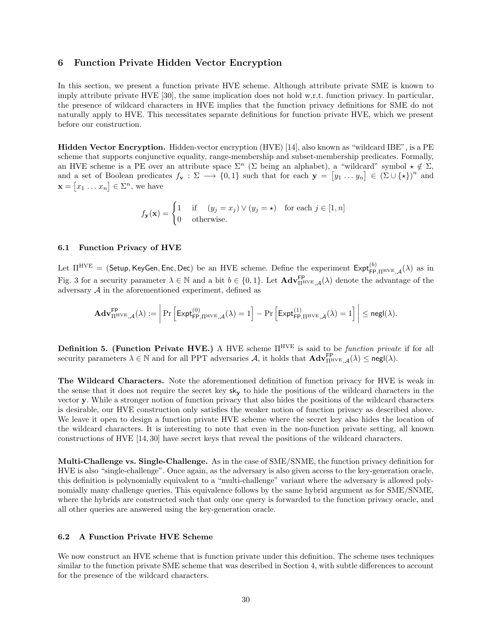# 6 Function Private Hidden Vector Encryption

In this section, we present a function private HVE scheme. Although attribute private SME is known to imply attribute private HVE [30], the same implication does not hold w.r.t. function privacy. In particular, the presence of wildcard characters in HVE implies that the function privacy definitions for SME do not naturally apply to HVE. This necessitates separate definitions for function private HVE, which we present before our construction.

Hidden Vector Encryption. Hidden-vector encryption (HVE) [14], also known as "wildcard IBE", is a PE scheme that supports conjunctive equality, range-membership and subset-membership predicates. Formally, an HVE scheme is a PE over an attribute space  $\Sigma^n$  ( $\Sigma$  being an alphabet), a "wildcard" symbol  $\star \notin \Sigma$ , and a set of Boolean predicates  $f_{\mathbf{v}} : \Sigma \longrightarrow \{0,1\}$  such that for each  $\mathbf{y} = [y_1 \dots y_n] \in (\Sigma \cup {\{\star\}})^n$  and  $\mathbf{x} = [x_1 \dots x_n] \in \Sigma^n$ , we have

$$
f_{\mathbf{y}}(\mathbf{x}) = \begin{cases} 1 & \text{if } (y_j = x_j) \lor (y_j = \star) \quad \text{for each } j \in [1, n] \\ 0 & \text{otherwise.} \end{cases}
$$

## 6.1 Function Privacy of HVE

Let  $\Pi^{\text{HVE}} = (\textsf{Setup}, \textsf{KeyGen}, \textsf{Enc}, \textsf{Dec})$  be an HVE scheme. Define the experiment  $\textsf{Expt}^{(b)}_{\textsf{FP}, \Pi^{\text{HVE}}, \mathcal{A}}(\lambda)$  as in Fig. 3 for a security parameter  $\lambda \in \mathbb{N}$  and a bit  $b \in \{0,1\}$ . Let  $\mathbf{Adv}_{\Pi^{\text{HVE}},\mathcal{A}}^{\text{FP}}(\lambda)$  denote the advantage of the adversary A in the aforementioned experiment, defined as

$$
\mathbf{Adv}_{\Pi^{\mathrm{HVE}},\mathcal{A}}^{\mathsf{FP}}(\lambda) := \bigg|\Pr\left[\mathsf{Expt}_{\mathsf{FP},\Pi^{\mathrm{HVE}},\mathcal{A}}^{(0)}(\lambda) = 1\right] - \Pr\left[\mathsf{Expt}_{\mathsf{FP},\Pi^{\mathrm{HVE}},\mathcal{A}}^{(1)}(\lambda) = 1\right]\bigg| \leq \mathsf{negl}(\lambda).
$$

Definition 5. (Function Private HVE.) A HVE scheme Π<sup>HVE</sup> is said to be *function private* if for all security parameters  $\lambda \in \mathbb{N}$  and for all PPT adversaries A, it holds that  $\mathbf{Adv}_{\Pi^{\text{HVE}}, \mathcal{A}}^{\text{FP}}(\lambda) \leq \mathsf{negl}(\lambda)$ .

The Wildcard Characters. Note the aforementioned definition of function privacy for HVE is weak in the sense that it does not require the secret key sk<sup>y</sup> to hide the positions of the wildcard characters in the vector y. While a stronger notion of function privacy that also hides the positions of the wildcard characters is desirable, our HVE construction only satisfies the weaker notion of function privacy as described above. We leave it open to design a function private HVE scheme where the secret key also hides the location of the wildcard characters. It is interesting to note that even in the non-function private setting, all known constructions of HVE [14, 30] have secret keys that reveal the positions of the wildcard characters.

Multi-Challenge vs. Single-Challenge. As in the case of SME/SNME, the function privacy definition for HVE is also "single-challenge". Once again, as the adversary is also given access to the key-generation oracle, this definition is polynomially equivalent to a "multi-challenge" variant where the adversary is allowed polynomially many challenge queries. This equivalence follows by the same hybrid argument as for SME/SNME, where the hybrids are constructed such that only one query is forwarded to the function privacy oracle, and all other queries are answered using the key-generation oracle.

#### 6.2 A Function Private HVE Scheme

We now construct an HVE scheme that is function private under this definition. The scheme uses techniques similar to the function private SME scheme that was described in Section 4, with subtle differences to account for the presence of the wildcard characters.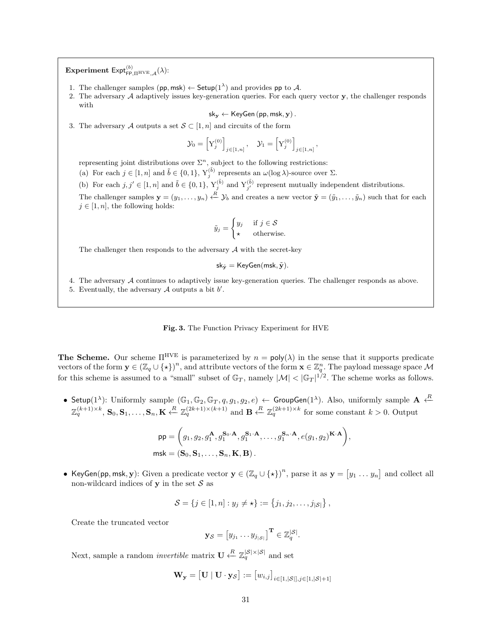${\rm Experiment ~{\rm Ext}_{\rm FP, II^{HVE}, \mathcal{A}}^{(b)}(\lambda)}$ :

- 1. The challenger samples  $(pp, msk) \leftarrow$  Setup $(1^{\lambda})$  and provides pp to A.
- 2. The adversary  $A$  adaptively issues key-generation queries. For each query vector  $y$ , the challenger responds with

 $sk_y \leftarrow KeyGen(pp, msk, y)$ .

3. The adversary A outputs a set  $S \subset [1, n]$  and circuits of the form

$$
\mathcal{Y}_0 = \left[ Y_j^{(0)} \right]_{j \in [1,n]}, \quad \mathcal{Y}_1 = \left[ Y_j^{(0)} \right]_{j \in [1,n]}
$$

,

representing joint distributions over  $\Sigma<sup>n</sup>$ , subject to the following restrictions:

- (a) For each  $j \in [1, n]$  and  $\tilde{b} \in \{0, 1\}$ ,  $Y_j^{(\tilde{b})}$  represents an  $\omega(\log \lambda)$ -source over  $\Sigma$ .
- (b) For each  $j, j' \in [1, n]$  and  $\tilde{b} \in \{0, 1\}$ ,  $Y_j^{(\tilde{b})}$  and  $Y_{j'}^{(\tilde{b})}$  represent mutually independent distributions.

The challenger samples  $\mathbf{y} = (y_1, \ldots, y_n) \stackrel{R}{\leftarrow} \mathcal{Y}_b$  and creates a new vector  $\tilde{\mathbf{y}} = (\tilde{y}_1, \ldots, \tilde{y}_n)$  such that for each  $j \in [1, n]$ , the following holds:

$$
\tilde{y}_j = \begin{cases} y_j & \text{if } j \in \mathcal{S} \\ \star & \text{otherwise.} \end{cases}
$$

The challenger then responds to the adversary  $A$  with the secret-key

$$
sk_{\tilde{y}} = \text{KeyGen}(\text{msk}, \tilde{y}).
$$

4. The adversary  $A$  continues to adaptively issue key-generation queries. The challenger responds as above.

5. Eventually, the adversary  $A$  outputs a bit  $b'$ .



The Scheme. Our scheme  $\Pi^{\text{HVE}}$  is parameterized by  $n = \text{poly}(\lambda)$  in the sense that it supports predicate vectors of the form  $y \in (\mathbb{Z}_q \cup {\{\star\}})^n$ , and attribute vectors of the form  $x \in \mathbb{Z}_q^n$ . The payload message space M for this scheme is assumed to a "small" subset of  $\mathbb{G}_T$ , namely  $|\mathcal{M}| < |\mathbb{G}_T|^{1/2}$ . The scheme works as follows.

• Setup(1<sup> $\lambda$ </sup>): Uniformly sample  $(\mathbb{G}_1, \mathbb{G}_2, \mathbb{G}_T, q, g_1, g_2, e)$  ← GroupGen(1 $\lambda$ ). Also, uniformly sample  $\mathbf{A} \xleftarrow{R}$  $\mathbb{Z}_q^{(k+1)\times k}$ ,  $\mathbf{S}_0, \mathbf{S}_1, \ldots, \mathbf{S}_n, \mathbf{K} \stackrel{R}{\leftarrow} \mathbb{Z}_q^{(2k+1)\times (k+1)}$  and  $\mathbf{B} \stackrel{R}{\leftarrow} \mathbb{Z}_q^{(2k+1)\times k}$  for some constant  $k > 0$ . Output

$$
\mathsf{pp} = \left(g_1, g_2, g_1^{\mathbf{A}}, g_1^{\mathbf{S}_0 \cdot \mathbf{A}}, g_1^{\mathbf{S}_1 \cdot \mathbf{A}}, \dots, g_1^{\mathbf{S}_n \cdot \mathbf{A}}, e(g_1, g_2)^{\mathbf{K} \cdot \mathbf{A}}\right),
$$
  

$$
\mathsf{msk} = (\mathbf{S}_0, \mathbf{S}_1, \dots, \mathbf{S}_n, \mathbf{K}, \mathbf{B}).
$$

• KeyGen(pp, msk, y): Given a predicate vector  $y \in (\mathbb{Z}_q \cup {\{\star\}})^n$ , parse it as  $y = [y_1 \dots y_n]$  and collect all non-wildcard indices of  $y$  in the set  $S$  as

$$
S = \{ j \in [1, n] : y_j \neq \star \} := \{ j_1, j_2, \ldots, j_{|S|} \},
$$

Create the truncated vector

$$
\mathbf{y}_{\mathcal{S}} = [y_{j_1} \dots y_{j_{|\mathcal{S}|}}]^{\mathbf{T}} \in \mathbb{Z}_q^{|\mathcal{S}|}.
$$

Next, sample a random *invertible* matrix  $\mathbf{U} \leftarrow \mathbb{Z}_q^{|\mathcal{S}| \times |\mathcal{S}|}$  and set

$$
\mathbf{W}_{\mathbf{y}} = \begin{bmatrix} \mathbf{U} \mid \mathbf{U} \cdot \mathbf{y}_{\mathcal{S}} \end{bmatrix} \vcentcolon= \begin{bmatrix} w_{i,j} \end{bmatrix}_{i \in [1,|\mathcal{S}|], j \in [1,|\mathcal{S}|+1]}
$$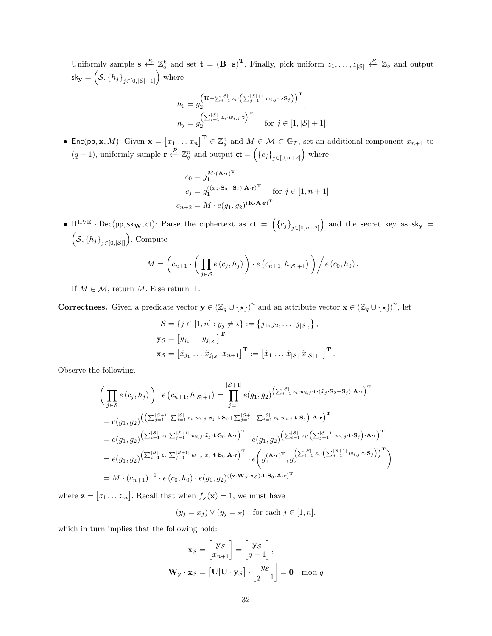Uniformly sample  $\mathbf{s} \leftarrow R \mathbb{Z}_q^k$  and set  $\mathbf{t} = (\mathbf{B} \cdot \mathbf{s})^T$ . Finally, pick uniform  $z_1, \ldots, z_{|\mathcal{S}|} \leftarrow R \mathbb{Z}_q$  and output  $\mathsf{sk}_{\mathbf{y}} = \left(\mathcal{S}, \left\{h_j\right\}_{j \in [0,|\mathcal{S}|+1]}\right) \text{ where }$ 

$$
\begin{aligned} h_0 &= g_2^{\left(\mathbf{K}+\sum_{i=1}^{|\mathcal{S}|}z_i\cdot\left(\sum_{j=1}^{|\mathcal{S}|+1}w_{i,j}\cdot\mathbf{t}\cdot\mathbf{S}_j\right)\right)^{\text{T}}}, \\ h_j &= g_2^{\left(\sum_{i=1}^{|\mathcal{S}|}z_i\cdot w_{i,j}\cdot\mathbf{t}\right)^{\text{T}}} \quad \text{for } j \in [1,|\mathcal{S}|+1]. \end{aligned}
$$

• Enc(pp, x, M): Given  $\mathbf{x} = \begin{bmatrix} x_1 \dots x_n \end{bmatrix}^{\mathbf{T}} \in \mathbb{Z}_q^n$  and  $M \in \mathcal{M} \subset \mathbb{G}_T$ , set an additional component  $x_{n+1}$  to  $(q-1)$ , uniformly sample  $\mathbf{r} \stackrel{R}{\leftarrow} \mathbb{Z}_q^n$  and output  $\mathbf{ct} = \left(\{c_j\}_{j \in [0, n+2]} \right)$  where

$$
c_0 = g_1^{M \cdot (\mathbf{A} \cdot \mathbf{r})^{\mathbf{T}}}
$$
  
\n
$$
c_j = g_1^{((x_j \cdot \mathbf{S}_0 + \mathbf{S}_j) \cdot \mathbf{A} \cdot \mathbf{r})^{\mathbf{T}}}
$$
 for  $j \in [1, n + 1]$   
\n
$$
c_{n+2} = M \cdot e(g_1, g_2)^{(\mathbf{K} \cdot \mathbf{A} \cdot \mathbf{r})^{\mathbf{T}}}
$$

•  $\Pi^{\text{HVE}}$  · Dec(pp, sk<sub>W</sub>, ct): Parse the ciphertext as  $ct = (\{c_j\}_{j\in[0,n+2]})$  and the secret key as sk<sub>y</sub> =  $(S, \{h_j\}_{j\in[0,|\mathcal{S}|]})$ . Compute

$$
M = \left(c_{n+1} \cdot \left(\prod_{j \in S} e(c_j, h_j)\right) \cdot e(c_{n+1}, h_{|S|+1})\right) / e(c_0, h_0).
$$

If  $M \in \mathcal{M}$ , return  $M$ . Else return  $\perp$ .

**Correctness.** Given a predicate vector  $\mathbf{y} \in (\mathbb{Z}_q \cup {\star})^n$  and an attribute vector  $\mathbf{x} \in (\mathbb{Z}_q \cup {\star})^n$ , let

$$
S = \{ j \in [1, n] : y_j \neq \star \} := \{ j_1, j_2, \dots, j_{|S|} \},
$$
  
\n
$$
\mathbf{y}_{S} = [y_{j_1} \dots y_{j_{|S|}}]^{\mathbf{T}}
$$
  
\n
$$
\mathbf{x}_{S} = [\tilde{x}_{j_1} \dots \tilde{x}_{j_{|S|}} x_{n+1}]^{\mathbf{T}} := [\tilde{x}_1 \dots \tilde{x}_{|S|} \tilde{x}_{|S|+1}]^{\mathbf{T}}
$$

.

Observe the following.

$$
\left(\prod_{j\in S}e(c_j, h_j)\right) \cdot e(c_{n+1}, h_{|S|+1}) = \prod_{j=1}^{|S+1|} e(g_1, g_2)^{\left(\sum_{i=1}^{|S|} z_i \cdot w_{i,j} \cdot \mathbf{t} \cdot (\tilde{x}_j \cdot \mathbf{S}_0 + \mathbf{S}_j) \cdot \mathbf{A} \cdot \mathbf{r}\right)^{\mathrm{T}}}
$$
\n
$$
= e(g_1, g_2)^{\left(\left(\sum_{j=1}^{|S|} z_i \cdot w_{i,j} \cdot \tilde{x}_j \cdot \mathbf{t} \cdot \mathbf{S}_0 + \sum_{j=1}^{|S|} z_i \cdot w_{i,j} \cdot \mathbf{t} \cdot \mathbf{S}_0\right) \cdot \mathbf{A} \cdot \mathbf{r}\right)^{\mathrm{T}}}
$$
\n
$$
= e(g_1, g_2)^{\left(\sum_{i=1}^{|S|} z_i \cdot \sum_{j=1}^{|S+1|} w_{i,j} \cdot \tilde{x}_j \cdot \mathbf{t} \cdot \mathbf{S}_0 \cdot \mathbf{A} \cdot \mathbf{r}\right)^{\mathrm{T}}} \cdot e(g_1, g_2)^{\left(\sum_{i=1}^{|S|} z_i \cdot \sum_{j=1}^{|S+1|} w_{i,j} \cdot \tilde{x}_j \cdot \mathbf{t} \cdot \mathbf{S}_0 \cdot \mathbf{A} \cdot \mathbf{r}\right)^{\mathrm{T}}} \cdot e\left(g_1, g_2\right)^{\left(\sum_{i=1}^{|S|} z_i \cdot \sum_{j=1}^{|S+1|} w_{i,j} \cdot \tilde{x}_j \cdot \mathbf{t} \cdot \mathbf{S}_0 \cdot \mathbf{A} \cdot \mathbf{r}\right)^{\mathrm{T}}} \cdot e\left(g_1^{(\mathbf{A} \cdot \mathbf{r})^{\mathrm{T}}, g_2^{\left(\sum_{i=1}^{|S|} z_i \cdot \sum_{j=1}^{|S+1|} w_{i,j} \cdot \mathbf{t} \cdot \mathbf{S}_0\right)\right)^{\mathrm{T}}}\right)
$$
\n
$$
= M \cdot (c_{n+1})^{-1} \cdot e(c_0, h_0) \cdot e(g_1, g_2)^{\left((\mathbf{z} \cdot \mathbf{W}_\mathbf{y} \cdot \mathbf{x}_S) \cdot \mathbf{t} \cdot \mathbf{
$$

where  $\mathbf{z} = [z_1 \dots z_m]$ . Recall that when  $f_{\mathbf{y}}(\mathbf{x}) = 1$ , we must have

$$
(y_j = x_j) \vee (y_j = \star)
$$
 for each  $j \in [1, n],$ 

which in turn implies that the following hold:

$$
\mathbf{x}_{\mathcal{S}} = \begin{bmatrix} \mathbf{y}_{\mathcal{S}} \\ x_{n+1} \end{bmatrix} = \begin{bmatrix} \mathbf{y}_{\mathcal{S}} \\ q - 1 \end{bmatrix},
$$

$$
\mathbf{W}_{\mathbf{y}} \cdot \mathbf{x}_{\mathcal{S}} = \begin{bmatrix} \mathbf{U} | \mathbf{U} \cdot \mathbf{y}_{\mathcal{S}} \end{bmatrix} \cdot \begin{bmatrix} y_{\mathcal{S}} \\ q - 1 \end{bmatrix} = \mathbf{0} \mod q
$$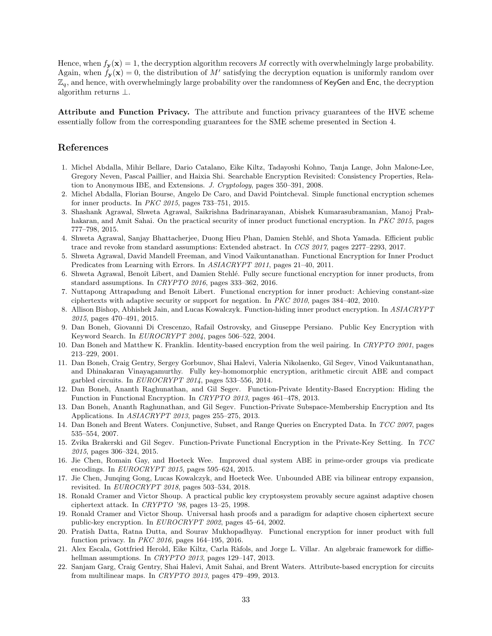Hence, when  $f_{\mathbf{v}}(\mathbf{x}) = 1$ , the decryption algorithm recovers M correctly with overwhelmingly large probability. Again, when  $f_{\mathbf{y}}(\mathbf{x}) = 0$ , the distribution of M' satisfying the decryption equation is uniformly random over  $\mathbb{Z}_q$ , and hence, with overwhelmingly large probability over the randomness of KeyGen and Enc, the decryption algorithm returns  $\bot$ .

Attribute and Function Privacy. The attribute and function privacy guarantees of the HVE scheme essentially follow from the corresponding guarantees for the SME scheme presented in Section 4.

# References

- 1. Michel Abdalla, Mihir Bellare, Dario Catalano, Eike Kiltz, Tadayoshi Kohno, Tanja Lange, John Malone-Lee, Gregory Neven, Pascal Paillier, and Haixia Shi. Searchable Encryption Revisited: Consistency Properties, Relation to Anonymous IBE, and Extensions. J. Cryptology, pages 350–391, 2008.
- 2. Michel Abdalla, Florian Bourse, Angelo De Caro, and David Pointcheval. Simple functional encryption schemes for inner products. In PKC 2015, pages 733–751, 2015.
- 3. Shashank Agrawal, Shweta Agrawal, Saikrishna Badrinarayanan, Abishek Kumarasubramanian, Manoj Prabhakaran, and Amit Sahai. On the practical security of inner product functional encryption. In PKC 2015, pages 777–798, 2015.
- 4. Shweta Agrawal, Sanjay Bhattacherjee, Duong Hieu Phan, Damien Stehl´e, and Shota Yamada. Efficient public trace and revoke from standard assumptions: Extended abstract. In CCS 2017, pages 2277–2293, 2017.
- 5. Shweta Agrawal, David Mandell Freeman, and Vinod Vaikuntanathan. Functional Encryption for Inner Product Predicates from Learning with Errors. In ASIACRYPT 2011, pages 21–40, 2011.
- 6. Shweta Agrawal, Benoît Libert, and Damien Stehlé. Fully secure functional encryption for inner products, from standard assumptions. In CRYPTO 2016, pages 333–362, 2016.
- 7. Nuttapong Attrapadung and Benoît Libert. Functional encryption for inner product: Achieving constant-size ciphertexts with adaptive security or support for negation. In PKC 2010, pages 384–402, 2010.
- 8. Allison Bishop, Abhishek Jain, and Lucas Kowalczyk. Function-hiding inner product encryption. In ASIACRYPT 2015, pages 470–491, 2015.
- 9. Dan Boneh, Giovanni Di Crescenzo, Rafail Ostrovsky, and Giuseppe Persiano. Public Key Encryption with Keyword Search. In EUROCRYPT 2004, pages 506–522, 2004.
- 10. Dan Boneh and Matthew K. Franklin. Identity-based encryption from the weil pairing. In CRYPTO 2001, pages 213–229, 2001.
- 11. Dan Boneh, Craig Gentry, Sergey Gorbunov, Shai Halevi, Valeria Nikolaenko, Gil Segev, Vinod Vaikuntanathan, and Dhinakaran Vinayagamurthy. Fully key-homomorphic encryption, arithmetic circuit ABE and compact garbled circuits. In EUROCRYPT 2014, pages 533–556, 2014.
- 12. Dan Boneh, Ananth Raghunathan, and Gil Segev. Function-Private Identity-Based Encryption: Hiding the Function in Functional Encryption. In CRYPTO 2013, pages 461–478, 2013.
- 13. Dan Boneh, Ananth Raghunathan, and Gil Segev. Function-Private Subspace-Membership Encryption and Its Applications. In *ASIACRYPT 2013*, pages 255-275, 2013.
- 14. Dan Boneh and Brent Waters. Conjunctive, Subset, and Range Queries on Encrypted Data. In TCC 2007, pages 535–554, 2007.
- 15. Zvika Brakerski and Gil Segev. Function-Private Functional Encryption in the Private-Key Setting. In TCC 2015, pages 306–324, 2015.
- 16. Jie Chen, Romain Gay, and Hoeteck Wee. Improved dual system ABE in prime-order groups via predicate encodings. In EUROCRYPT 2015, pages 595–624, 2015.
- 17. Jie Chen, Junqing Gong, Lucas Kowalczyk, and Hoeteck Wee. Unbounded ABE via bilinear entropy expansion, revisited. In  $EUROCRYPT 2018$ , pages 503–534, 2018.
- 18. Ronald Cramer and Victor Shoup. A practical public key cryptosystem provably secure against adaptive chosen ciphertext attack. In CRYPTO '98, pages 13–25, 1998.
- 19. Ronald Cramer and Victor Shoup. Universal hash proofs and a paradigm for adaptive chosen ciphertext secure public-key encryption. In EUROCRYPT 2002, pages 45–64, 2002.
- 20. Pratish Datta, Ratna Dutta, and Sourav Mukhopadhyay. Functional encryption for inner product with full function privacy. In PKC 2016, pages 164–195, 2016.
- 21. Alex Escala, Gottfried Herold, Eike Kiltz, Carla Ràfols, and Jorge L. Villar. An algebraic framework for diffiehellman assumptions. In *CRYPTO 2013*, pages 129–147, 2013.
- 22. Sanjam Garg, Craig Gentry, Shai Halevi, Amit Sahai, and Brent Waters. Attribute-based encryption for circuits from multilinear maps. In CRYPTO 2013, pages 479–499, 2013.